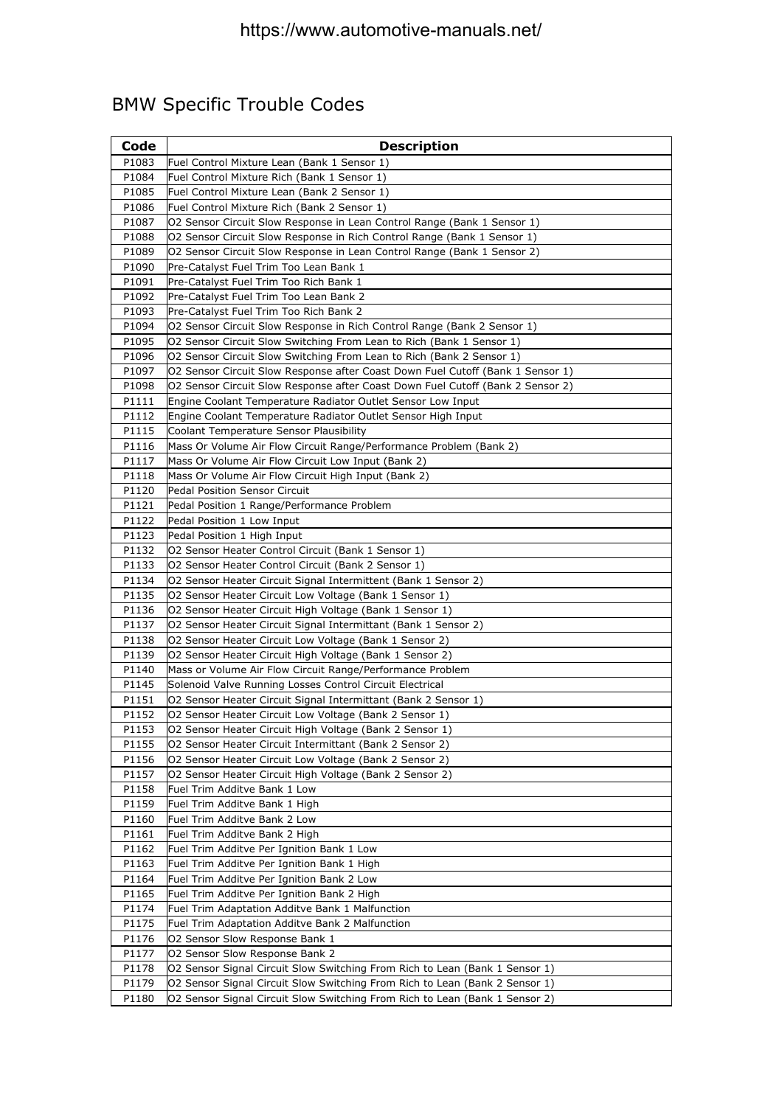# BMW Specific Trouble Codes

| Code           | <b>Description</b>                                                                                                       |
|----------------|--------------------------------------------------------------------------------------------------------------------------|
| P1083          | Fuel Control Mixture Lean (Bank 1 Sensor 1)                                                                              |
| P1084          | Fuel Control Mixture Rich (Bank 1 Sensor 1)                                                                              |
| P1085          | Fuel Control Mixture Lean (Bank 2 Sensor 1)                                                                              |
| P1086          | Fuel Control Mixture Rich (Bank 2 Sensor 1)                                                                              |
| P1087          | O2 Sensor Circuit Slow Response in Lean Control Range (Bank 1 Sensor 1)                                                  |
| P1088          | O2 Sensor Circuit Slow Response in Rich Control Range (Bank 1 Sensor 1)                                                  |
| P1089          | O2 Sensor Circuit Slow Response in Lean Control Range (Bank 1 Sensor 2)                                                  |
| P1090          | Pre-Catalyst Fuel Trim Too Lean Bank 1                                                                                   |
| P1091          | Pre-Catalyst Fuel Trim Too Rich Bank 1                                                                                   |
| P1092          | Pre-Catalyst Fuel Trim Too Lean Bank 2                                                                                   |
| P1093          | Pre-Catalyst Fuel Trim Too Rich Bank 2                                                                                   |
| P1094          | O2 Sensor Circuit Slow Response in Rich Control Range (Bank 2 Sensor 1)                                                  |
| P1095          | O2 Sensor Circuit Slow Switching From Lean to Rich (Bank 1 Sensor 1)                                                     |
| P1096          | O2 Sensor Circuit Slow Switching From Lean to Rich (Bank 2 Sensor 1)                                                     |
| P1097          | O2 Sensor Circuit Slow Response after Coast Down Fuel Cutoff (Bank 1 Sensor 1)                                           |
| P1098          | O2 Sensor Circuit Slow Response after Coast Down Fuel Cutoff (Bank 2 Sensor 2)                                           |
| P1111          | Engine Coolant Temperature Radiator Outlet Sensor Low Input                                                              |
| P1112          | Engine Coolant Temperature Radiator Outlet Sensor High Input                                                             |
| P1115          | <b>Coolant Temperature Sensor Plausibility</b>                                                                           |
| P1116<br>P1117 | Mass Or Volume Air Flow Circuit Range/Performance Problem (Bank 2)<br>Mass Or Volume Air Flow Circuit Low Input (Bank 2) |
| P1118          | Mass Or Volume Air Flow Circuit High Input (Bank 2)                                                                      |
| P1120          | Pedal Position Sensor Circuit                                                                                            |
| P1121          | Pedal Position 1 Range/Performance Problem                                                                               |
| P1122          | Pedal Position 1 Low Input                                                                                               |
| P1123          | Pedal Position 1 High Input                                                                                              |
| P1132          | O2 Sensor Heater Control Circuit (Bank 1 Sensor 1)                                                                       |
| P1133          | O2 Sensor Heater Control Circuit (Bank 2 Sensor 1)                                                                       |
| P1134          | O2 Sensor Heater Circuit Signal Intermittent (Bank 1 Sensor 2)                                                           |
| P1135          | O2 Sensor Heater Circuit Low Voltage (Bank 1 Sensor 1)                                                                   |
| P1136          | O2 Sensor Heater Circuit High Voltage (Bank 1 Sensor 1)                                                                  |
| P1137          | O2 Sensor Heater Circuit Signal Intermittant (Bank 1 Sensor 2)                                                           |
| P1138          | O2 Sensor Heater Circuit Low Voltage (Bank 1 Sensor 2)                                                                   |
| P1139          | O2 Sensor Heater Circuit High Voltage (Bank 1 Sensor 2)                                                                  |
| P1140          | Mass or Volume Air Flow Circuit Range/Performance Problem                                                                |
| P1145          | Solenoid Valve Running Losses Control Circuit Electrical                                                                 |
| P1151          | O2 Sensor Heater Circuit Signal Intermittant (Bank 2 Sensor 1)                                                           |
| P1152          | O2 Sensor Heater Circuit Low Voltage (Bank 2 Sensor 1)                                                                   |
| P1153          | O2 Sensor Heater Circuit High Voltage (Bank 2 Sensor 1)                                                                  |
| P1155<br>P1156 | O2 Sensor Heater Circuit Intermittant (Bank 2 Sensor 2)                                                                  |
| P1157          | O2 Sensor Heater Circuit Low Voltage (Bank 2 Sensor 2)<br>O2 Sensor Heater Circuit High Voltage (Bank 2 Sensor 2)        |
| P1158          | Fuel Trim Additve Bank 1 Low                                                                                             |
| P1159          | Fuel Trim Additve Bank 1 High                                                                                            |
| P1160          | Fuel Trim Additve Bank 2 Low                                                                                             |
| P1161          | Fuel Trim Additve Bank 2 High                                                                                            |
| P1162          | Fuel Trim Additve Per Ignition Bank 1 Low                                                                                |
| P1163          | Fuel Trim Additve Per Ignition Bank 1 High                                                                               |
| P1164          | Fuel Trim Additve Per Ignition Bank 2 Low                                                                                |
| P1165          | Fuel Trim Additve Per Ignition Bank 2 High                                                                               |
| P1174          | Fuel Trim Adaptation Additve Bank 1 Malfunction                                                                          |
| P1175          | Fuel Trim Adaptation Additve Bank 2 Malfunction                                                                          |
| P1176          | O2 Sensor Slow Response Bank 1                                                                                           |
| P1177          | O2 Sensor Slow Response Bank 2                                                                                           |
| P1178          | O2 Sensor Signal Circuit Slow Switching From Rich to Lean (Bank 1 Sensor 1)                                              |
| P1179          | O2 Sensor Signal Circuit Slow Switching From Rich to Lean (Bank 2 Sensor 1)                                              |
| P1180          | O2 Sensor Signal Circuit Slow Switching From Rich to Lean (Bank 1 Sensor 2)                                              |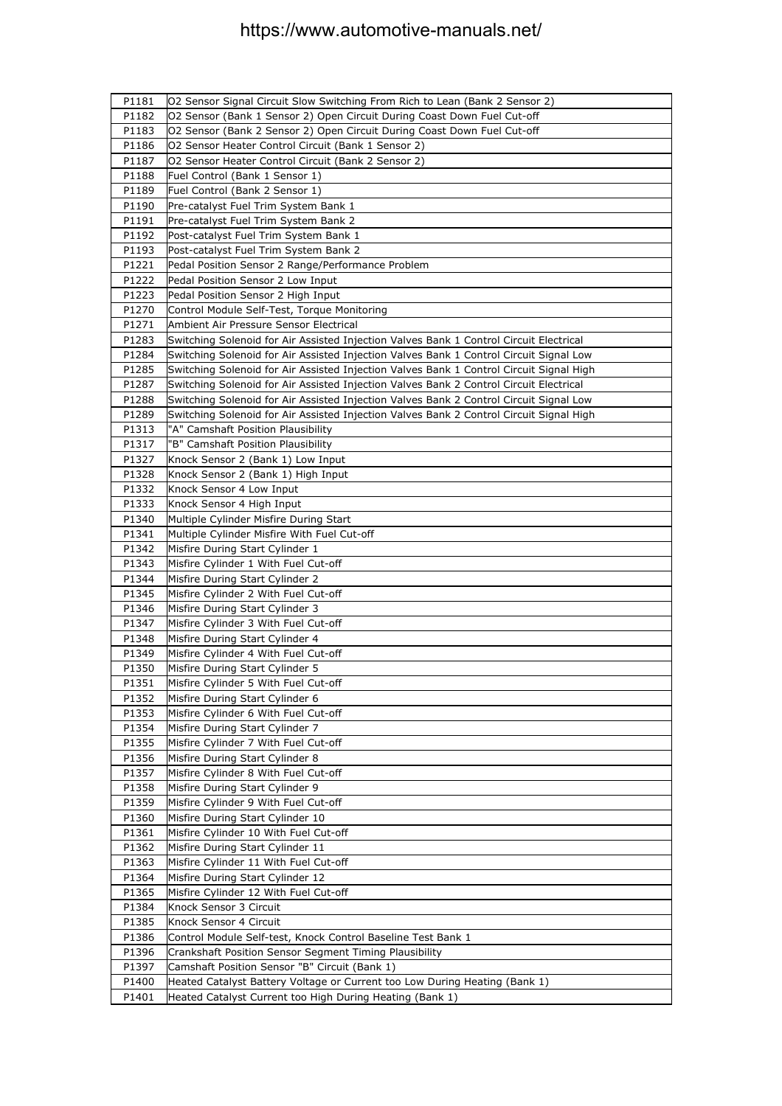| P1181          | O2 Sensor Signal Circuit Slow Switching From Rich to Lean (Bank 2 Sensor 2)             |
|----------------|-----------------------------------------------------------------------------------------|
| P1182          | O2 Sensor (Bank 1 Sensor 2) Open Circuit During Coast Down Fuel Cut-off                 |
| P1183          | O2 Sensor (Bank 2 Sensor 2) Open Circuit During Coast Down Fuel Cut-off                 |
| P1186          | O2 Sensor Heater Control Circuit (Bank 1 Sensor 2)                                      |
| P1187          | O2 Sensor Heater Control Circuit (Bank 2 Sensor 2)                                      |
| P1188          | Fuel Control (Bank 1 Sensor 1)                                                          |
| P1189          | Fuel Control (Bank 2 Sensor 1)                                                          |
| P1190          | Pre-catalyst Fuel Trim System Bank 1                                                    |
| P1191          | Pre-catalyst Fuel Trim System Bank 2                                                    |
| P1192          | Post-catalyst Fuel Trim System Bank 1                                                   |
| P1193          | Post-catalyst Fuel Trim System Bank 2                                                   |
| P1221          | Pedal Position Sensor 2 Range/Performance Problem                                       |
| P1222          | Pedal Position Sensor 2 Low Input                                                       |
| P1223          | Pedal Position Sensor 2 High Input                                                      |
| P1270          | Control Module Self-Test, Torque Monitoring                                             |
| P1271          | Ambient Air Pressure Sensor Electrical                                                  |
| P1283          | Switching Solenoid for Air Assisted Injection Valves Bank 1 Control Circuit Electrical  |
| P1284          | Switching Solenoid for Air Assisted Injection Valves Bank 1 Control Circuit Signal Low  |
| P1285          | Switching Solenoid for Air Assisted Injection Valves Bank 1 Control Circuit Signal High |
| P1287          | Switching Solenoid for Air Assisted Injection Valves Bank 2 Control Circuit Electrical  |
| P1288          | Switching Solenoid for Air Assisted Injection Valves Bank 2 Control Circuit Signal Low  |
| P1289          | Switching Solenoid for Air Assisted Injection Valves Bank 2 Control Circuit Signal High |
| P1313          | "A" Camshaft Position Plausibility                                                      |
| P1317          | "B" Camshaft Position Plausibility                                                      |
| P1327          | Knock Sensor 2 (Bank 1) Low Input                                                       |
| P1328          | Knock Sensor 2 (Bank 1) High Input                                                      |
| P1332          | Knock Sensor 4 Low Input                                                                |
| P1333          | Knock Sensor 4 High Input                                                               |
| P1340          | Multiple Cylinder Misfire During Start                                                  |
| P1341          | Multiple Cylinder Misfire With Fuel Cut-off                                             |
| P1342          | Misfire During Start Cylinder 1                                                         |
| P1343          | Misfire Cylinder 1 With Fuel Cut-off                                                    |
| P1344          | Misfire During Start Cylinder 2                                                         |
| P1345          | Misfire Cylinder 2 With Fuel Cut-off                                                    |
| P1346          | Misfire During Start Cylinder 3                                                         |
| P1347<br>P1348 | Misfire Cylinder 3 With Fuel Cut-off                                                    |
| P1349          | Misfire During Start Cylinder 4<br>Misfire Cylinder 4 With Fuel Cut-off                 |
| P1350          | Misfire During Start Cylinder 5                                                         |
| P1351          | Misfire Cylinder 5 With Fuel Cut-off                                                    |
| P1352          | Misfire During Start Cylinder 6                                                         |
| P1353          | Misfire Cylinder 6 With Fuel Cut-off                                                    |
| P1354          | Misfire During Start Cylinder 7                                                         |
| P1355          | Misfire Cylinder 7 With Fuel Cut-off                                                    |
| P1356          | Misfire During Start Cylinder 8                                                         |
| P1357          | Misfire Cylinder 8 With Fuel Cut-off                                                    |
| P1358          | Misfire During Start Cylinder 9                                                         |
| P1359          | Misfire Cylinder 9 With Fuel Cut-off                                                    |
| P1360          | Misfire During Start Cylinder 10                                                        |
| P1361          | Misfire Cylinder 10 With Fuel Cut-off                                                   |
| P1362          | Misfire During Start Cylinder 11                                                        |
| P1363          | Misfire Cylinder 11 With Fuel Cut-off                                                   |
| P1364          | Misfire During Start Cylinder 12                                                        |
| P1365          | Misfire Cylinder 12 With Fuel Cut-off                                                   |
| P1384          | Knock Sensor 3 Circuit                                                                  |
| P1385          | Knock Sensor 4 Circuit                                                                  |
| P1386          | Control Module Self-test, Knock Control Baseline Test Bank 1                            |
| P1396          | Crankshaft Position Sensor Segment Timing Plausibility                                  |
| P1397          | Camshaft Position Sensor "B" Circuit (Bank 1)                                           |
| P1400          | Heated Catalyst Battery Voltage or Current too Low During Heating (Bank 1)              |
| P1401          | Heated Catalyst Current too High During Heating (Bank 1)                                |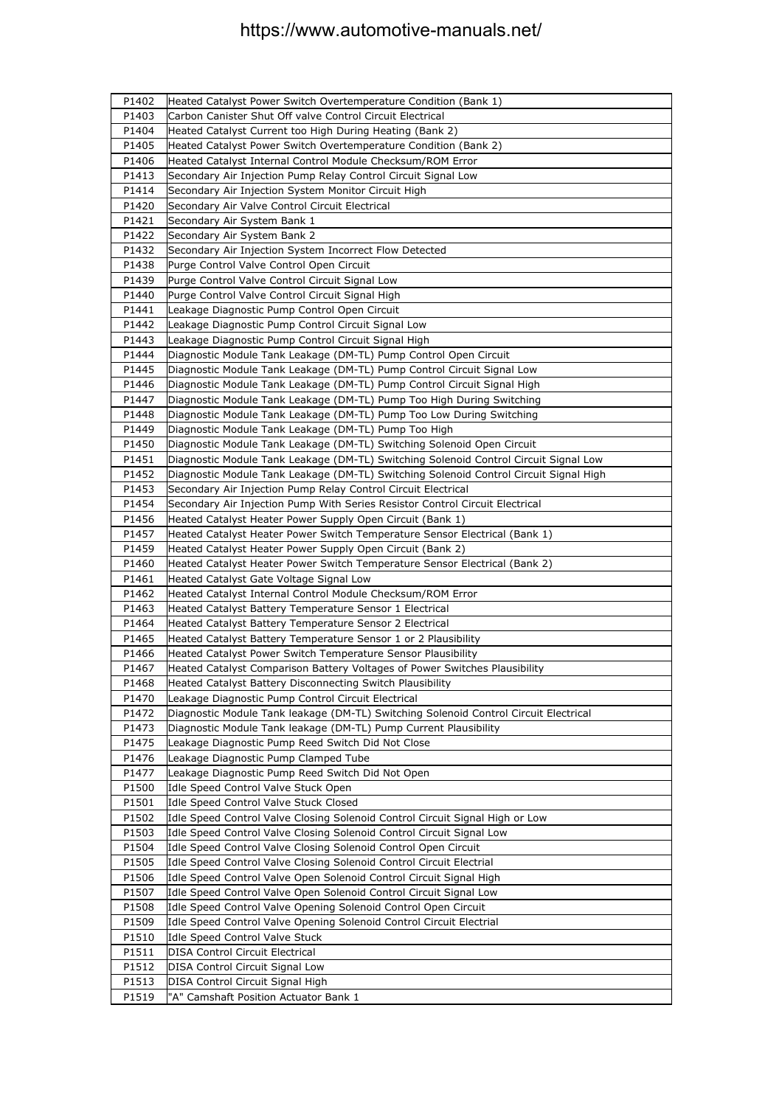| P1402 | Heated Catalyst Power Switch Overtemperature Condition (Bank 1)                       |
|-------|---------------------------------------------------------------------------------------|
| P1403 | Carbon Canister Shut Off valve Control Circuit Electrical                             |
| P1404 | Heated Catalyst Current too High During Heating (Bank 2)                              |
| P1405 | Heated Catalyst Power Switch Overtemperature Condition (Bank 2)                       |
| P1406 | Heated Catalyst Internal Control Module Checksum/ROM Error                            |
| P1413 | Secondary Air Injection Pump Relay Control Circuit Signal Low                         |
| P1414 | Secondary Air Injection System Monitor Circuit High                                   |
| P1420 | Secondary Air Valve Control Circuit Electrical                                        |
| P1421 | Secondary Air System Bank 1                                                           |
| P1422 | Secondary Air System Bank 2                                                           |
| P1432 | Secondary Air Injection System Incorrect Flow Detected                                |
| P1438 | Purge Control Valve Control Open Circuit                                              |
| P1439 | Purge Control Valve Control Circuit Signal Low                                        |
| P1440 | Purge Control Valve Control Circuit Signal High                                       |
| P1441 | Leakage Diagnostic Pump Control Open Circuit                                          |
| P1442 | Leakage Diagnostic Pump Control Circuit Signal Low                                    |
| P1443 | Leakage Diagnostic Pump Control Circuit Signal High                                   |
| P1444 | Diagnostic Module Tank Leakage (DM-TL) Pump Control Open Circuit                      |
| P1445 | Diagnostic Module Tank Leakage (DM-TL) Pump Control Circuit Signal Low                |
| P1446 | Diagnostic Module Tank Leakage (DM-TL) Pump Control Circuit Signal High               |
| P1447 | Diagnostic Module Tank Leakage (DM-TL) Pump Too High During Switching                 |
| P1448 | Diagnostic Module Tank Leakage (DM-TL) Pump Too Low During Switching                  |
| P1449 | Diagnostic Module Tank Leakage (DM-TL) Pump Too High                                  |
| P1450 | Diagnostic Module Tank Leakage (DM-TL) Switching Solenoid Open Circuit                |
| P1451 | Diagnostic Module Tank Leakage (DM-TL) Switching Solenoid Control Circuit Signal Low  |
| P1452 | Diagnostic Module Tank Leakage (DM-TL) Switching Solenoid Control Circuit Signal High |
| P1453 | Secondary Air Injection Pump Relay Control Circuit Electrical                         |
| P1454 | Secondary Air Injection Pump With Series Resistor Control Circuit Electrical          |
| P1456 | Heated Catalyst Heater Power Supply Open Circuit (Bank 1)                             |
| P1457 | Heated Catalyst Heater Power Switch Temperature Sensor Electrical (Bank 1)            |
| P1459 | Heated Catalyst Heater Power Supply Open Circuit (Bank 2)                             |
| P1460 | Heated Catalyst Heater Power Switch Temperature Sensor Electrical (Bank 2)            |
| P1461 | Heated Catalyst Gate Voltage Signal Low                                               |
| P1462 | Heated Catalyst Internal Control Module Checksum/ROM Error                            |
| P1463 | Heated Catalyst Battery Temperature Sensor 1 Electrical                               |
| P1464 | Heated Catalyst Battery Temperature Sensor 2 Electrical                               |
| P1465 | Heated Catalyst Battery Temperature Sensor 1 or 2 Plausibility                        |
| P1466 | Heated Catalyst Power Switch Temperature Sensor Plausibility                          |
| P1467 | Heated Catalyst Comparison Battery Voltages of Power Switches Plausibility            |
| P1468 | Heated Catalyst Battery Disconnecting Switch Plausibility                             |
| P1470 | Leakage Diagnostic Pump Control Circuit Electrical                                    |
| P1472 | Diagnostic Module Tank leakage (DM-TL) Switching Solenoid Control Circuit Electrical  |
| P1473 | Diagnostic Module Tank leakage (DM-TL) Pump Current Plausibility                      |
| P1475 | Leakage Diagnostic Pump Reed Switch Did Not Close                                     |
| P1476 | Leakage Diagnostic Pump Clamped Tube                                                  |
| P1477 | Leakage Diagnostic Pump Reed Switch Did Not Open                                      |
| P1500 | Idle Speed Control Valve Stuck Open                                                   |
| P1501 | Idle Speed Control Valve Stuck Closed                                                 |
| P1502 | Idle Speed Control Valve Closing Solenoid Control Circuit Signal High or Low          |
| P1503 | Idle Speed Control Valve Closing Solenoid Control Circuit Signal Low                  |
| P1504 | Idle Speed Control Valve Closing Solenoid Control Open Circuit                        |
| P1505 | Idle Speed Control Valve Closing Solenoid Control Circuit Electrial                   |
| P1506 | Idle Speed Control Valve Open Solenoid Control Circuit Signal High                    |
| P1507 | Idle Speed Control Valve Open Solenoid Control Circuit Signal Low                     |
| P1508 | Idle Speed Control Valve Opening Solenoid Control Open Circuit                        |
| P1509 | Idle Speed Control Valve Opening Solenoid Control Circuit Electrial                   |
| P1510 | Idle Speed Control Valve Stuck                                                        |
| P1511 | <b>DISA Control Circuit Electrical</b>                                                |
| P1512 | DISA Control Circuit Signal Low                                                       |
| P1513 | DISA Control Circuit Signal High                                                      |
| P1519 | "A" Camshaft Position Actuator Bank 1                                                 |
|       |                                                                                       |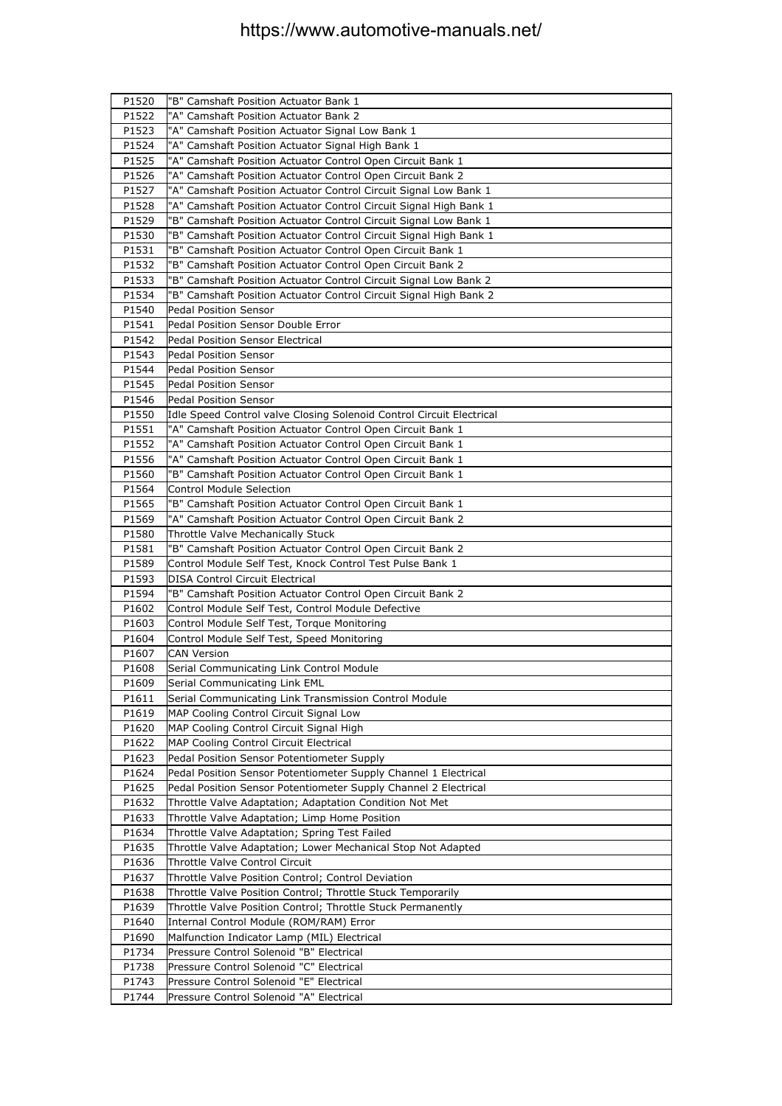| P1520 | "B" Camshaft Position Actuator Bank 1                                |
|-------|----------------------------------------------------------------------|
| P1522 | "A" Camshaft Position Actuator Bank 2                                |
| P1523 | "A" Camshaft Position Actuator Signal Low Bank 1                     |
| P1524 | "A" Camshaft Position Actuator Signal High Bank 1                    |
| P1525 | "A" Camshaft Position Actuator Control Open Circuit Bank 1           |
| P1526 | "A" Camshaft Position Actuator Control Open Circuit Bank 2           |
| P1527 | "A" Camshaft Position Actuator Control Circuit Signal Low Bank 1     |
| P1528 | "A" Camshaft Position Actuator Control Circuit Signal High Bank 1    |
| P1529 | "B" Camshaft Position Actuator Control Circuit Signal Low Bank 1     |
| P1530 | "B" Camshaft Position Actuator Control Circuit Signal High Bank 1    |
| P1531 | "B" Camshaft Position Actuator Control Open Circuit Bank 1           |
| P1532 | "B" Camshaft Position Actuator Control Open Circuit Bank 2           |
| P1533 | "B" Camshaft Position Actuator Control Circuit Signal Low Bank 2     |
| P1534 | "B" Camshaft Position Actuator Control Circuit Signal High Bank 2    |
| P1540 | <b>Pedal Position Sensor</b>                                         |
| P1541 | Pedal Position Sensor Double Error                                   |
| P1542 | Pedal Position Sensor Electrical                                     |
| P1543 | Pedal Position Sensor                                                |
| P1544 | Pedal Position Sensor                                                |
| P1545 | <b>Pedal Position Sensor</b>                                         |
| P1546 | Pedal Position Sensor                                                |
| P1550 | Idle Speed Control valve Closing Solenoid Control Circuit Electrical |
| P1551 | "A" Camshaft Position Actuator Control Open Circuit Bank 1           |
| P1552 | "A" Camshaft Position Actuator Control Open Circuit Bank 1           |
| P1556 | "A" Camshaft Position Actuator Control Open Circuit Bank 1           |
| P1560 | "B" Camshaft Position Actuator Control Open Circuit Bank 1           |
| P1564 | <b>Control Module Selection</b>                                      |
| P1565 | "B" Camshaft Position Actuator Control Open Circuit Bank 1           |
| P1569 | "A" Camshaft Position Actuator Control Open Circuit Bank 2           |
| P1580 | Throttle Valve Mechanically Stuck                                    |
| P1581 | "B" Camshaft Position Actuator Control Open Circuit Bank 2           |
| P1589 | Control Module Self Test, Knock Control Test Pulse Bank 1            |
| P1593 | <b>DISA Control Circuit Electrical</b>                               |
| P1594 | "B" Camshaft Position Actuator Control Open Circuit Bank 2           |
| P1602 | Control Module Self Test, Control Module Defective                   |
| P1603 | Control Module Self Test, Torque Monitoring                          |
| P1604 | Control Module Self Test, Speed Monitoring                           |
| P1607 | <b>CAN Version</b>                                                   |
| P1608 | Serial Communicating Link Control Module                             |
| P1609 | Serial Communicating Link EML                                        |
| P1611 | Serial Communicating Link Transmission Control Module                |
| P1619 | MAP Cooling Control Circuit Signal Low                               |
| P1620 | MAP Cooling Control Circuit Signal High                              |
| P1622 | MAP Cooling Control Circuit Electrical                               |
| P1623 | Pedal Position Sensor Potentiometer Supply                           |
| P1624 | Pedal Position Sensor Potentiometer Supply Channel 1 Electrical      |
| P1625 | Pedal Position Sensor Potentiometer Supply Channel 2 Electrical      |
| P1632 | Throttle Valve Adaptation; Adaptation Condition Not Met              |
| P1633 | Throttle Valve Adaptation; Limp Home Position                        |
| P1634 | Throttle Valve Adaptation; Spring Test Failed                        |
| P1635 | Throttle Valve Adaptation; Lower Mechanical Stop Not Adapted         |
| P1636 | Throttle Valve Control Circuit                                       |
| P1637 | Throttle Valve Position Control; Control Deviation                   |
| P1638 | Throttle Valve Position Control; Throttle Stuck Temporarily          |
| P1639 | Throttle Valve Position Control; Throttle Stuck Permanently          |
| P1640 | Internal Control Module (ROM/RAM) Error                              |
| P1690 | Malfunction Indicator Lamp (MIL) Electrical                          |
| P1734 | Pressure Control Solenoid "B" Electrical                             |
| P1738 | Pressure Control Solenoid "C" Electrical                             |
| P1743 | Pressure Control Solenoid "E" Electrical                             |
| P1744 | Pressure Control Solenoid "A" Electrical                             |
|       |                                                                      |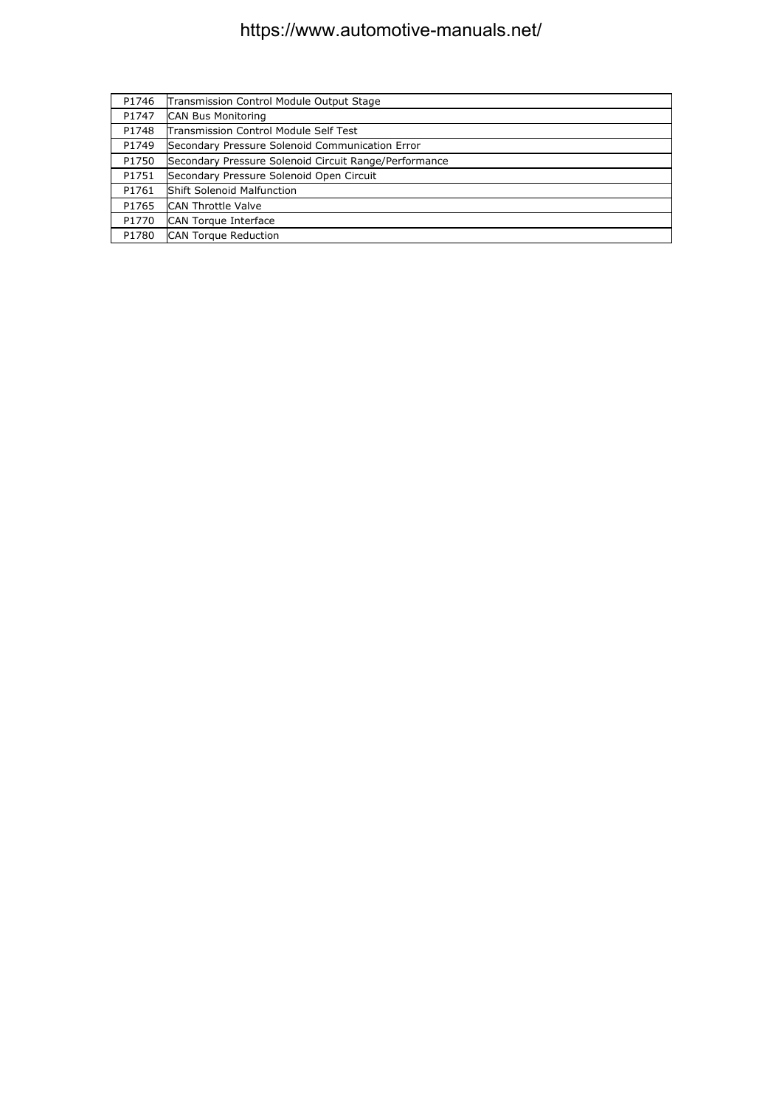| P1746 | Transmission Control Module Output Stage              |
|-------|-------------------------------------------------------|
| P1747 | <b>CAN Bus Monitoring</b>                             |
| P1748 | Transmission Control Module Self Test                 |
| P1749 | Secondary Pressure Solenoid Communication Error       |
| P1750 | Secondary Pressure Solenoid Circuit Range/Performance |
| P1751 | Secondary Pressure Solenoid Open Circuit              |
| P1761 | <b>Shift Solenoid Malfunction</b>                     |
| P1765 | <b>CAN Throttle Valve</b>                             |
| P1770 | CAN Torque Interface                                  |
| P1780 | <b>CAN Torque Reduction</b>                           |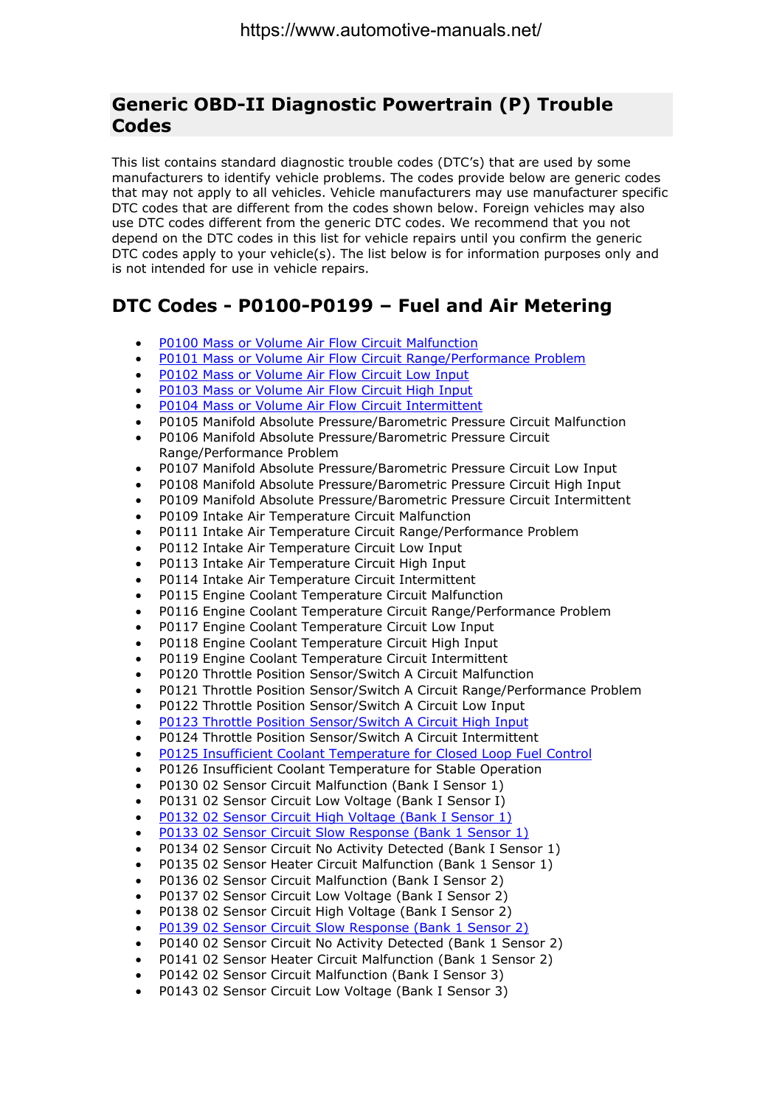#### **Generic OBD-II Diagnostic Powertrain (P) Trouble Codes**

This list contains standard diagnostic trouble codes (DTC's) that are used by some manufacturers to identify vehicle problems. The codes provide below are generic codes that may not apply to all vehicles. Vehicle manufacturers may use manufacturer specific DTC codes that are different from the codes shown below. Foreign vehicles may also use DTC codes different from the generic DTC codes. We recommend that you not depend on the DTC codes in this list for vehicle repairs until you confirm the generic DTC codes apply to your vehicle(s). The list below is for information purposes only and is not intended for use in vehicle repairs.

#### **DTC Codes - P0100-P0199 – Fuel and Air Metering**

- P0100 Mass or Volume Air Flow Circuit Malfunction
- P0101 Mass or Volume Air Flow Circuit Range/Performance Problem
- P0102 Mass or Volume Air Flow Circuit Low Input
- P0103 Mass or Volume Air Flow Circuit High Input
- P0104 Mass or Volume Air Flow Circuit Intermittent
- P0105 Manifold Absolute Pressure/Barometric Pressure Circuit Malfunction
- P0106 Manifold Absolute Pressure/Barometric Pressure Circuit Range/Performance Problem
- P0107 Manifold Absolute Pressure/Barometric Pressure Circuit Low Input
- P0108 Manifold Absolute Pressure/Barometric Pressure Circuit High Input
- P0109 Manifold Absolute Pressure/Barometric Pressure Circuit Intermittent
- P0109 Intake Air Temperature Circuit Malfunction
- P0111 Intake Air Temperature Circuit Range/Performance Problem
- P0112 Intake Air Temperature Circuit Low Input
- P0113 Intake Air Temperature Circuit High Input
- P0114 Intake Air Temperature Circuit Intermittent
- P0115 Engine Coolant Temperature Circuit Malfunction
- P0116 Engine Coolant Temperature Circuit Range/Performance Problem
- P0117 Fngine Coolant Temperature Circuit Low Input
- P0118 Engine Coolant Temperature Circuit High Input
- P0119 Engine Coolant Temperature Circuit Intermittent
- P0120 Throttle Position Sensor/Switch A Circuit Malfunction
- P0121 Throttle Position Sensor/Switch A Circuit Range/Performance Problem
- P0122 Throttle Position Sensor/Switch A Circuit Low Input
- P0123 Throttle Position Sensor/Switch A Circuit High Input
- P0124 Throttle Position Sensor/Switch A Circuit Intermittent
- P0125 Insufficient Coolant Temperature for Closed Loop Fuel Control
- P0126 Insufficient Coolant Temperature for Stable Operation
- P0130 02 Sensor Circuit Malfunction (Bank I Sensor 1)
- P0131 02 Sensor Circuit Low Voltage (Bank I Sensor I)
- P0132 02 Sensor Circuit High Voltage (Bank I Sensor 1)
- P0133 02 Sensor Circuit Slow Response (Bank 1 Sensor 1)
- P0134 02 Sensor Circuit No Activity Detected (Bank I Sensor 1)
- P0135 02 Sensor Heater Circuit Malfunction (Bank 1 Sensor 1)
- P0136 02 Sensor Circuit Malfunction (Bank I Sensor 2)
- P0137 02 Sensor Circuit Low Voltage (Bank I Sensor 2)
- P0138 02 Sensor Circuit High Voltage (Bank I Sensor 2)
- P0139 02 Sensor Circuit Slow Response (Bank 1 Sensor 2)
- P0140 02 Sensor Circuit No Activity Detected (Bank 1 Sensor 2)
- P0141 02 Sensor Heater Circuit Malfunction (Bank 1 Sensor 2)
- P0142 02 Sensor Circuit Malfunction (Bank I Sensor 3)
- P0143 02 Sensor Circuit Low Voltage (Bank I Sensor 3)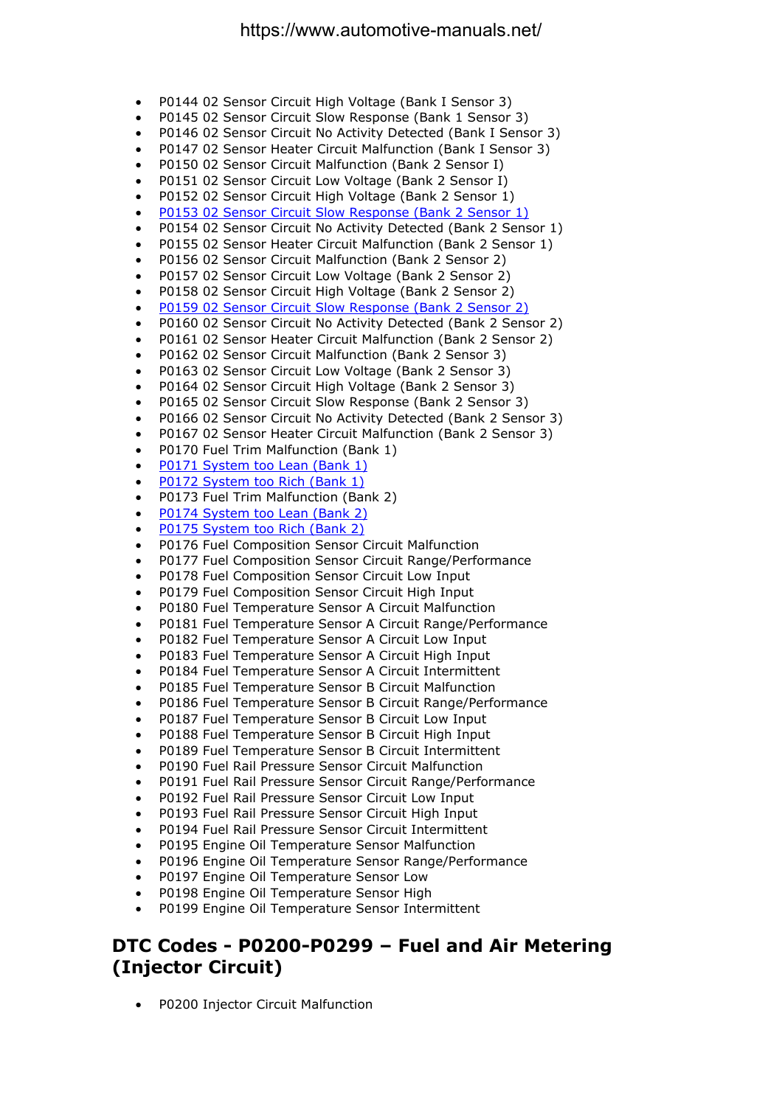- P0144 02 Sensor Circuit High Voltage (Bank I Sensor 3)
- P0145 02 Sensor Circuit Slow Response (Bank 1 Sensor 3)
- P0146 02 Sensor Circuit No Activity Detected (Bank I Sensor 3)
- P0147 02 Sensor Heater Circuit Malfunction (Bank I Sensor 3)
- P0150 02 Sensor Circuit Malfunction (Bank 2 Sensor I)
- P0151 02 Sensor Circuit Low Voltage (Bank 2 Sensor I)
- P0152 02 Sensor Circuit High Voltage (Bank 2 Sensor 1)
- P0153 02 Sensor Circuit Slow Response (Bank 2 Sensor 1)
- P0154 02 Sensor Circuit No Activity Detected (Bank 2 Sensor 1)
- P0155 02 Sensor Heater Circuit Malfunction (Bank 2 Sensor 1)
- P0156 02 Sensor Circuit Malfunction (Bank 2 Sensor 2)
- P0157 02 Sensor Circuit Low Voltage (Bank 2 Sensor 2)
- P0158 02 Sensor Circuit High Voltage (Bank 2 Sensor 2)
- P0159 02 Sensor Circuit Slow Response (Bank 2 Sensor 2)
- P0160 02 Sensor Circuit No Activity Detected (Bank 2 Sensor 2)
- P0161 02 Sensor Heater Circuit Malfunction (Bank 2 Sensor 2)
- P0162 02 Sensor Circuit Malfunction (Bank 2 Sensor 3)
- P0163 02 Sensor Circuit Low Voltage (Bank 2 Sensor 3)
- P0164 02 Sensor Circuit High Voltage (Bank 2 Sensor 3)
- P0165 02 Sensor Circuit Slow Response (Bank 2 Sensor 3)
- P0166 02 Sensor Circuit No Activity Detected (Bank 2 Sensor 3)
- P0167 02 Sensor Heater Circuit Malfunction (Bank 2 Sensor 3)
- P0170 Fuel Trim Malfunction (Bank 1)
- P0171 System too Lean (Bank 1)
- P0172 System too Rich (Bank 1)
- P0173 Fuel Trim Malfunction (Bank 2)
- P0174 System too Lean (Bank 2)
- P0175 System too Rich (Bank 2)
- P0176 Fuel Composition Sensor Circuit Malfunction
- P0177 Fuel Composition Sensor Circuit Range/Performance
- P0178 Fuel Composition Sensor Circuit Low Input
- P0179 Fuel Composition Sensor Circuit High Input
- P0180 Fuel Temperature Sensor A Circuit Malfunction
- P0181 Fuel Temperature Sensor A Circuit Range/Performance
- P0182 Fuel Temperature Sensor A Circuit Low Input
- P0183 Fuel Temperature Sensor A Circuit High Input
- P0184 Fuel Temperature Sensor A Circuit Intermittent
- P0185 Fuel Temperature Sensor B Circuit Malfunction
- P0186 Fuel Temperature Sensor B Circuit Range/Performance
- P0187 Fuel Temperature Sensor B Circuit Low Input
- P0188 Fuel Temperature Sensor B Circuit High Input
- P0189 Fuel Temperature Sensor B Circuit Intermittent
- P0190 Fuel Rail Pressure Sensor Circuit Malfunction
- P0191 Fuel Rail Pressure Sensor Circuit Range/Performance
- P0192 Fuel Rail Pressure Sensor Circuit Low Input
- P0193 Fuel Rail Pressure Sensor Circuit High Input
- P0194 Fuel Rail Pressure Sensor Circuit Intermittent
- P0195 Engine Oil Temperature Sensor Malfunction
- P0196 Engine Oil Temperature Sensor Range/Performance
- P0197 Engine Oil Temperature Sensor Low
- P0198 Engine Oil Temperature Sensor High
- P0199 Engine Oil Temperature Sensor Intermittent

#### **DTC Codes - P0200-P0299 – Fuel and Air Metering (Injector Circuit)**

• P0200 Injector Circuit Malfunction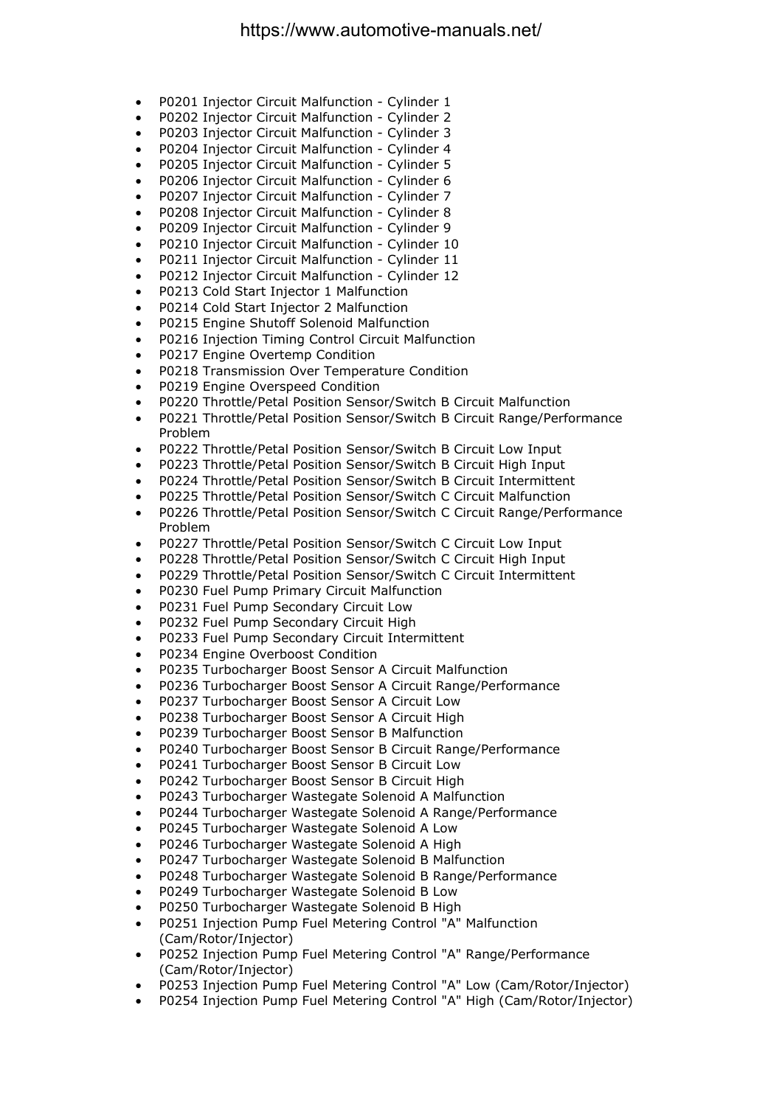- P0201 Injector Circuit Malfunction Cylinder 1
- P0202 Injector Circuit Malfunction Cylinder 2
- P0203 Injector Circuit Malfunction Cylinder 3
- P0204 Injector Circuit Malfunction Cylinder 4
- P0205 Injector Circuit Malfunction Cylinder 5
- P0206 Injector Circuit Malfunction Cylinder 6
- P0207 Injector Circuit Malfunction Cylinder 7
- P0208 Injector Circuit Malfunction Cylinder 8
- P0209 Injector Circuit Malfunction Cylinder 9
- P0210 Injector Circuit Malfunction Cylinder 10
- P0211 Injector Circuit Malfunction Cylinder 11
- P0212 Injector Circuit Malfunction Cylinder 12
- P0213 Cold Start Injector 1 Malfunction
- P0214 Cold Start Injector 2 Malfunction
- P0215 Engine Shutoff Solenoid Malfunction
- P0216 Injection Timing Control Circuit Malfunction
- P0217 Engine Overtemp Condition
- P0218 Transmission Over Temperature Condition
- P0219 Engine Overspeed Condition
- P0220 Throttle/Petal Position Sensor/Switch B Circuit Malfunction
- P0221 Throttle/Petal Position Sensor/Switch B Circuit Range/Performance Problem
- P0222 Throttle/Petal Position Sensor/Switch B Circuit Low Input
- P0223 Throttle/Petal Position Sensor/Switch B Circuit High Input
- P0224 Throttle/Petal Position Sensor/Switch B Circuit Intermittent
- P0225 Throttle/Petal Position Sensor/Switch C Circuit Malfunction
- P0226 Throttle/Petal Position Sensor/Switch C Circuit Range/Performance Problem
- P0227 Throttle/Petal Position Sensor/Switch C Circuit Low Input
- P0228 Throttle/Petal Position Sensor/Switch C Circuit High Input
- P0229 Throttle/Petal Position Sensor/Switch C Circuit Intermittent
- P0230 Fuel Pump Primary Circuit Malfunction
- P0231 Fuel Pump Secondary Circuit Low
- P0232 Fuel Pump Secondary Circuit High
- P0233 Fuel Pump Secondary Circuit Intermittent
- P0234 Engine Overboost Condition
- P0235 Turbocharger Boost Sensor A Circuit Malfunction
- P0236 Turbocharger Boost Sensor A Circuit Range/Performance
- P0237 Turbocharger Boost Sensor A Circuit Low
- P0238 Turbocharger Boost Sensor A Circuit High
- P0239 Turbocharger Boost Sensor B Malfunction
- P0240 Turbocharger Boost Sensor B Circuit Range/Performance
- P0241 Turbocharger Boost Sensor B Circuit Low
- P0242 Turbocharger Boost Sensor B Circuit High
- P0243 Turbocharger Wastegate Solenoid A Malfunction
- P0244 Turbocharger Wastegate Solenoid A Range/Performance
- P0245 Turbocharger Wastegate Solenoid A Low
- P0246 Turbocharger Wastegate Solenoid A High
- P0247 Turbocharger Wastegate Solenoid B Malfunction
- P0248 Turbocharger Wastegate Solenoid B Range/Performance
- P0249 Turbocharger Wastegate Solenoid B Low
- P0250 Turbocharger Wastegate Solenoid B High
- P0251 Injection Pump Fuel Metering Control "A" Malfunction (Cam/Rotor/Injector)
- P0252 Injection Pump Fuel Metering Control "A" Range/Performance (Cam/Rotor/Injector)
- P0253 Injection Pump Fuel Metering Control "A" Low (Cam/Rotor/Injector)
- P0254 Injection Pump Fuel Metering Control "A" High (Cam/Rotor/Injector)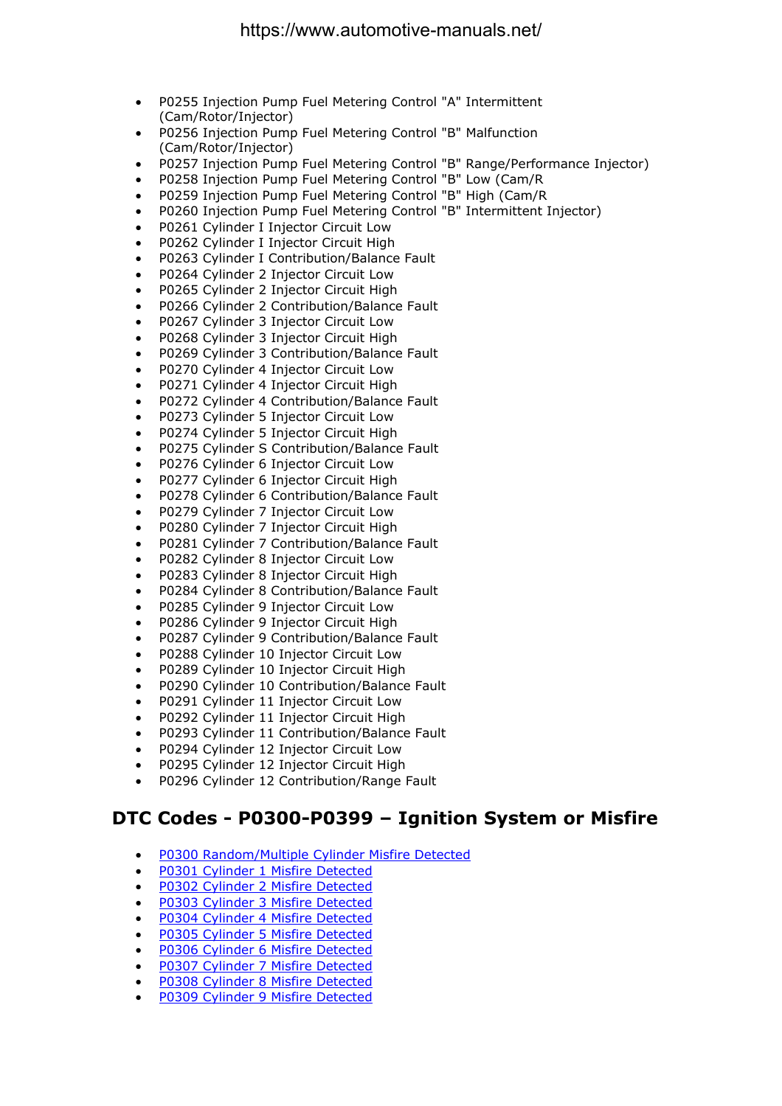- P0255 Injection Pump Fuel Metering Control "A" Intermittent (Cam/Rotor/Injector)
- P0256 Injection Pump Fuel Metering Control "B" Malfunction (Cam/Rotor/Injector)
- P0257 Injection Pump Fuel Metering Control "B" Range/Performance Injector)
- P0258 Injection Pump Fuel Metering Control "B" Low (Cam/R
- P0259 Injection Pump Fuel Metering Control "B" High (Cam/R
- P0260 Injection Pump Fuel Metering Control "B" Intermittent Injector)
- P0261 Cylinder I Injector Circuit Low
- P0262 Cylinder I Injector Circuit High
- P0263 Cylinder I Contribution/Balance Fault
- P0264 Cylinder 2 Injector Circuit Low
- P0265 Cylinder 2 Injector Circuit High
- P0266 Cylinder 2 Contribution/Balance Fault
- P0267 Cylinder 3 Injector Circuit Low
- P0268 Cylinder 3 Injector Circuit High
- P0269 Cylinder 3 Contribution/Balance Fault
- P0270 Cylinder 4 Injector Circuit Low
- P0271 Cylinder 4 Injector Circuit High
- P0272 Cylinder 4 Contribution/Balance Fault
- P0273 Cylinder 5 Injector Circuit Low
- P0274 Cylinder 5 Injector Circuit High
- P0275 Cylinder S Contribution/Balance Fault
- P0276 Cylinder 6 Injector Circuit Low
- P0277 Cylinder 6 Injector Circuit High
- P0278 Cylinder 6 Contribution/Balance Fault
- P0279 Cylinder 7 Injector Circuit Low
- P0280 Cylinder 7 Injector Circuit High
- P0281 Cylinder 7 Contribution/Balance Fault
- P0282 Cylinder 8 Injector Circuit Low
- P0283 Cylinder 8 Injector Circuit High
- P0284 Cylinder 8 Contribution/Balance Fault
- P0285 Cylinder 9 Injector Circuit Low
- P0286 Cylinder 9 Injector Circuit High
- P0287 Cylinder 9 Contribution/Balance Fault
- P0288 Cylinder 10 Injector Circuit Low
- P0289 Cylinder 10 Injector Circuit High
- P0290 Cylinder 10 Contribution/Balance Fault
- P0291 Cylinder 11 Injector Circuit Low
- P0292 Cylinder 11 Injector Circuit High
- P0293 Cylinder 11 Contribution/Balance Fault
- P0294 Cylinder 12 Injector Circuit Low
- P0295 Cylinder 12 Injector Circuit High
- P0296 Cylinder 12 Contribution/Range Fault

#### **DTC Codes - P0300-P0399 – Ignition System or Misfire**

- P0300 Random/Multiple Cylinder Misfire Detected
- P0301 Cylinder 1 Misfire Detected
- P0302 Cylinder 2 Misfire Detected
- P0303 Cylinder 3 Misfire Detected
- P0304 Cylinder 4 Misfire Detected
- P0305 Cylinder 5 Misfire Detected
- P0306 Cylinder 6 Misfire Detected
- P0307 Cylinder 7 Misfire Detected
- P0308 Cylinder 8 Misfire Detected
- P0309 Cylinder 9 Misfire Detected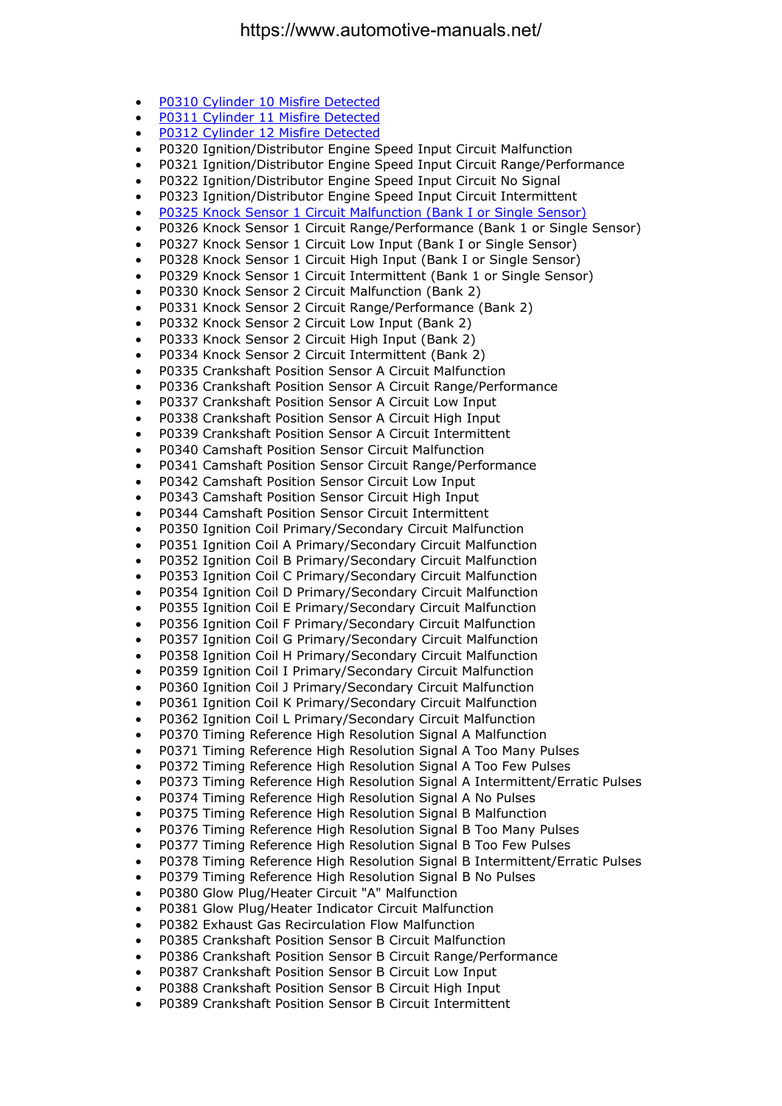- P0310 Cylinder 10 Misfire Detected
- P0311 Cylinder 11 Misfire Detected
- P0312 Cylinder 12 Misfire Detected
- P0320 Ignition/Distributor Engine Speed Input Circuit Malfunction
- P0321 Ignition/Distributor Engine Speed Input Circuit Range/Performance
- P0322 Ignition/Distributor Engine Speed Input Circuit No Signal
- P0323 Ignition/Distributor Engine Speed Input Circuit Intermittent
- P0325 Knock Sensor 1 Circuit Malfunction (Bank I or Single Sensor)
- P0326 Knock Sensor 1 Circuit Range/Performance (Bank 1 or Single Sensor)
- P0327 Knock Sensor 1 Circuit Low Input (Bank I or Single Sensor)
- P0328 Knock Sensor 1 Circuit High Input (Bank I or Single Sensor)
- P0329 Knock Sensor 1 Circuit Intermittent (Bank 1 or Single Sensor)
- P0330 Knock Sensor 2 Circuit Malfunction (Bank 2)
- P0331 Knock Sensor 2 Circuit Range/Performance (Bank 2)
- P0332 Knock Sensor 2 Circuit Low Input (Bank 2)
- P0333 Knock Sensor 2 Circuit High Input (Bank 2)
- P0334 Knock Sensor 2 Circuit Intermittent (Bank 2)
- P0335 Crankshaft Position Sensor A Circuit Malfunction
- P0336 Crankshaft Position Sensor A Circuit Range/Performance
- P0337 Crankshaft Position Sensor A Circuit Low Input
- P0338 Crankshaft Position Sensor A Circuit High Input
- P0339 Crankshaft Position Sensor A Circuit Intermittent
- P0340 Camshaft Position Sensor Circuit Malfunction
- P0341 Camshaft Position Sensor Circuit Range/Performance
- P0342 Camshaft Position Sensor Circuit Low Input
- P0343 Camshaft Position Sensor Circuit High Input
- P0344 Camshaft Position Sensor Circuit Intermittent
- P0350 Ignition Coil Primary/Secondary Circuit Malfunction
- P0351 Ignition Coil A Primary/Secondary Circuit Malfunction
- P0352 Ignition Coil B Primary/Secondary Circuit Malfunction
- P0353 Ignition Coil C Primary/Secondary Circuit Malfunction
- P0354 Ignition Coil D Primary/Secondary Circuit Malfunction
- P0355 Ignition Coil E Primary/Secondary Circuit Malfunction
- P0356 Ignition Coil F Primary/Secondary Circuit Malfunction
- P0357 Ignition Coil G Primary/Secondary Circuit Malfunction
- P0358 Ignition Coil H Primary/Secondary Circuit Malfunction
- P0359 Ignition Coil I Primary/Secondary Circuit Malfunction
- P0360 Ignition Coil J Primary/Secondary Circuit Malfunction
- P0361 Ignition Coil K Primary/Secondary Circuit Malfunction
- P0362 Ignition Coil L Primary/Secondary Circuit Malfunction
- P0370 Timing Reference High Resolution Signal A Malfunction
- P0371 Timing Reference High Resolution Signal A Too Many Pulses
- P0372 Timing Reference High Resolution Signal A Too Few Pulses
- P0373 Timing Reference High Resolution Signal A Intermittent/Erratic Pulses
- P0374 Timing Reference High Resolution Signal A No Pulses
- P0375 Timing Reference High Resolution Signal B Malfunction
- P0376 Timing Reference High Resolution Signal B Too Many Pulses
- P0377 Timing Reference High Resolution Signal B Too Few Pulses
- P0378 Timing Reference High Resolution Signal B Intermittent/Erratic Pulses
- P0379 Timing Reference High Resolution Signal B No Pulses
- P0380 Glow Plug/Heater Circuit "A" Malfunction
- P0381 Glow Plug/Heater Indicator Circuit Malfunction
- P0382 Exhaust Gas Recirculation Flow Malfunction
- P0385 Crankshaft Position Sensor B Circuit Malfunction
- P0386 Crankshaft Position Sensor B Circuit Range/Performance
- P0387 Crankshaft Position Sensor B Circuit Low Input
- P0388 Crankshaft Position Sensor B Circuit High Input
- P0389 Crankshaft Position Sensor B Circuit Intermittent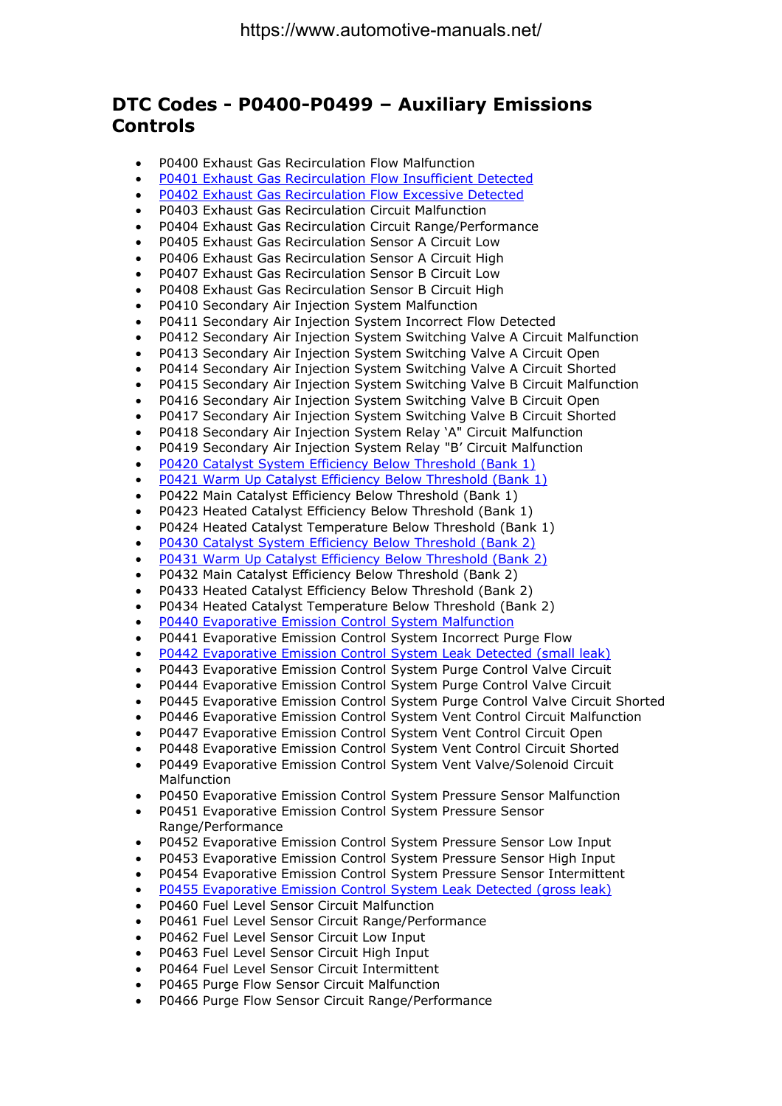#### **DTC Codes - P0400-P0499 – Auxiliary Emissions Controls**

- P0400 Exhaust Gas Recirculation Flow Malfunction
- P0401 Exhaust Gas Recirculation Flow Insufficient Detected
- P0402 Exhaust Gas Recirculation Flow Excessive Detected
- P0403 Exhaust Gas Recirculation Circuit Malfunction
- P0404 Exhaust Gas Recirculation Circuit Range/Performance
- P0405 Exhaust Gas Recirculation Sensor A Circuit Low
- P0406 Exhaust Gas Recirculation Sensor A Circuit High
- P0407 Exhaust Gas Recirculation Sensor B Circuit Low
- P0408 Exhaust Gas Recirculation Sensor B Circuit High
- P0410 Secondary Air Injection System Malfunction
- P0411 Secondary Air Injection System Incorrect Flow Detected
- P0412 Secondary Air Injection System Switching Valve A Circuit Malfunction
- P0413 Secondary Air Injection System Switching Valve A Circuit Open
- P0414 Secondary Air Injection System Switching Valve A Circuit Shorted
- P0415 Secondary Air Injection System Switching Valve B Circuit Malfunction
- P0416 Secondary Air Injection System Switching Valve B Circuit Open
- P0417 Secondary Air Injection System Switching Valve B Circuit Shorted
- P0418 Secondary Air Injection System Relay 'A" Circuit Malfunction
- P0419 Secondary Air Injection System Relay "B' Circuit Malfunction
- P0420 Catalyst System Efficiency Below Threshold (Bank 1)
- P0421 Warm Up Catalyst Efficiency Below Threshold (Bank 1)
- P0422 Main Catalyst Efficiency Below Threshold (Bank 1)
- P0423 Heated Catalyst Efficiency Below Threshold (Bank 1)
- P0424 Heated Catalyst Temperature Below Threshold (Bank 1)
- P0430 Catalyst System Efficiency Below Threshold (Bank 2)
- P0431 Warm Up Catalyst Efficiency Below Threshold (Bank 2)
- P0432 Main Catalyst Efficiency Below Threshold (Bank 2)
- P0433 Heated Catalyst Efficiency Below Threshold (Bank 2)
- P0434 Heated Catalyst Temperature Below Threshold (Bank 2)
- P0440 Evaporative Emission Control System Malfunction
- P0441 Evaporative Emission Control System Incorrect Purge Flow
- P0442 Evaporative Emission Control System Leak Detected (small leak)
- P0443 Evaporative Emission Control System Purge Control Valve Circuit
- P0444 Evaporative Emission Control System Purge Control Valve Circuit
- P0445 Evaporative Emission Control System Purge Control Valve Circuit Shorted
- P0446 Evaporative Emission Control System Vent Control Circuit Malfunction
- P0447 Evaporative Emission Control System Vent Control Circuit Open
- P0448 Evaporative Emission Control System Vent Control Circuit Shorted
- P0449 Evaporative Emission Control System Vent Valve/Solenoid Circuit **Malfunction**
- P0450 Evaporative Emission Control System Pressure Sensor Malfunction
- P0451 Evaporative Emission Control System Pressure Sensor Range/Performance
- P0452 Evaporative Emission Control System Pressure Sensor Low Input
- P0453 Evaporative Emission Control System Pressure Sensor High Input
- P0454 Evaporative Emission Control System Pressure Sensor Intermittent
- P0455 Evaporative Emission Control System Leak Detected (gross leak)
- P0460 Fuel Level Sensor Circuit Malfunction
- P0461 Fuel Level Sensor Circuit Range/Performance
- P0462 Fuel Level Sensor Circuit Low Input
- P0463 Fuel Level Sensor Circuit High Input
- P0464 Fuel Level Sensor Circuit Intermittent
- P0465 Purge Flow Sensor Circuit Malfunction
- P0466 Purge Flow Sensor Circuit Range/Performance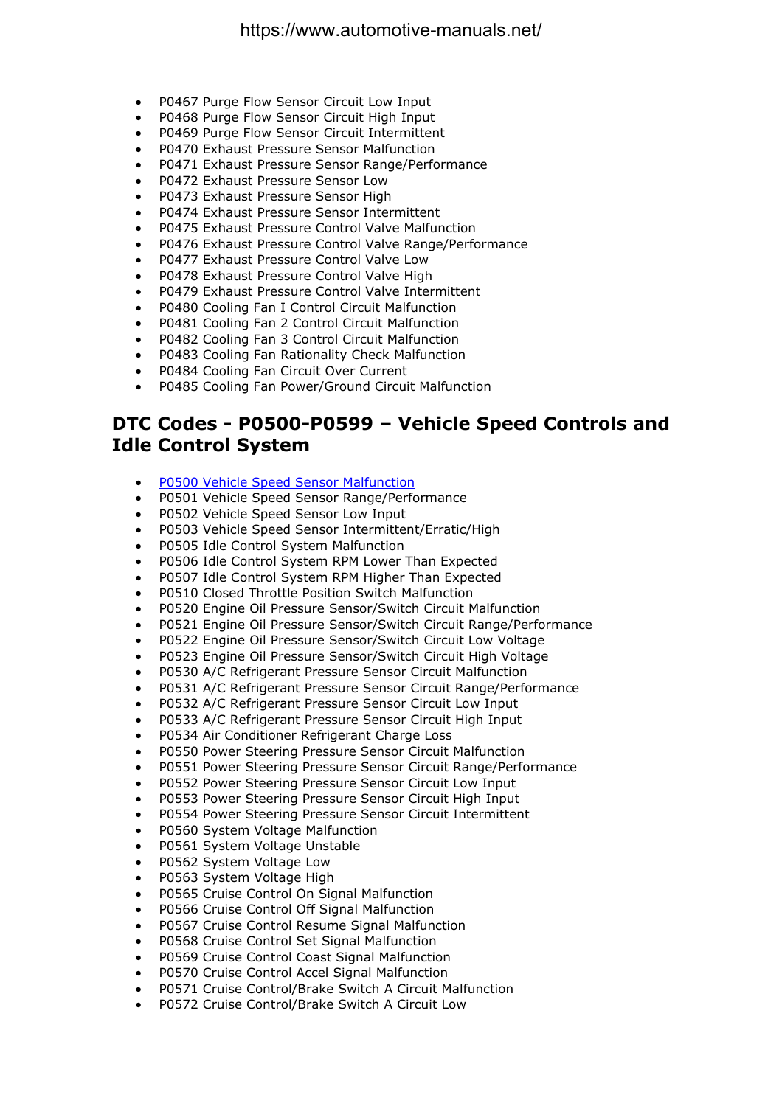- P0467 Purge Flow Sensor Circuit Low Input
- P0468 Purge Flow Sensor Circuit High Input
- P0469 Purge Flow Sensor Circuit Intermittent
- P0470 Exhaust Pressure Sensor Malfunction
- P0471 Exhaust Pressure Sensor Range/Performance
- P0472 Exhaust Pressure Sensor Low
- P0473 Exhaust Pressure Sensor High
- P0474 Exhaust Pressure Sensor Intermittent
- P0475 Exhaust Pressure Control Valve Malfunction
- P0476 Exhaust Pressure Control Valve Range/Performance
- P0477 Exhaust Pressure Control Valve Low
- P0478 Exhaust Pressure Control Valve High
- P0479 Exhaust Pressure Control Valve Intermittent
- P0480 Cooling Fan I Control Circuit Malfunction
- P0481 Cooling Fan 2 Control Circuit Malfunction
- P0482 Cooling Fan 3 Control Circuit Malfunction
- P0483 Cooling Fan Rationality Check Malfunction
- P0484 Cooling Fan Circuit Over Current
- P0485 Cooling Fan Power/Ground Circuit Malfunction

#### **DTC Codes - P0500-P0599 – Vehicle Speed Controls and Idle Control System**

- P0500 Vehicle Speed Sensor Malfunction
- P0501 Vehicle Speed Sensor Range/Performance
- P0502 Vehicle Speed Sensor Low Input
- P0503 Vehicle Speed Sensor Intermittent/Erratic/High
- P0505 Idle Control System Malfunction
- P0506 Idle Control System RPM Lower Than Expected
- P0507 Idle Control System RPM Higher Than Expected
- P0510 Closed Throttle Position Switch Malfunction
- P0520 Engine Oil Pressure Sensor/Switch Circuit Malfunction
- P0521 Engine Oil Pressure Sensor/Switch Circuit Range/Performance
- P0522 Engine Oil Pressure Sensor/Switch Circuit Low Voltage
- P0523 Engine Oil Pressure Sensor/Switch Circuit High Voltage
- P0530 A/C Refrigerant Pressure Sensor Circuit Malfunction
- P0531 A/C Refrigerant Pressure Sensor Circuit Range/Performance
- P0532 A/C Refrigerant Pressure Sensor Circuit Low Input
- P0533 A/C Refrigerant Pressure Sensor Circuit High Input
- P0534 Air Conditioner Refrigerant Charge Loss
- P0550 Power Steering Pressure Sensor Circuit Malfunction
- P0551 Power Steering Pressure Sensor Circuit Range/Performance
- P0552 Power Steering Pressure Sensor Circuit Low Input
- P0553 Power Steering Pressure Sensor Circuit High Input
- P0554 Power Steering Pressure Sensor Circuit Intermittent
- P0560 System Voltage Malfunction
- P0561 System Voltage Unstable
- P0562 System Voltage Low
- P0563 System Voltage High
- P0565 Cruise Control On Signal Malfunction
- P0566 Cruise Control Off Signal Malfunction
- P0567 Cruise Control Resume Signal Malfunction
- P0568 Cruise Control Set Signal Malfunction
- P0569 Cruise Control Coast Signal Malfunction
- P0570 Cruise Control Accel Signal Malfunction
- P0571 Cruise Control/Brake Switch A Circuit Malfunction
- P0572 Cruise Control/Brake Switch A Circuit Low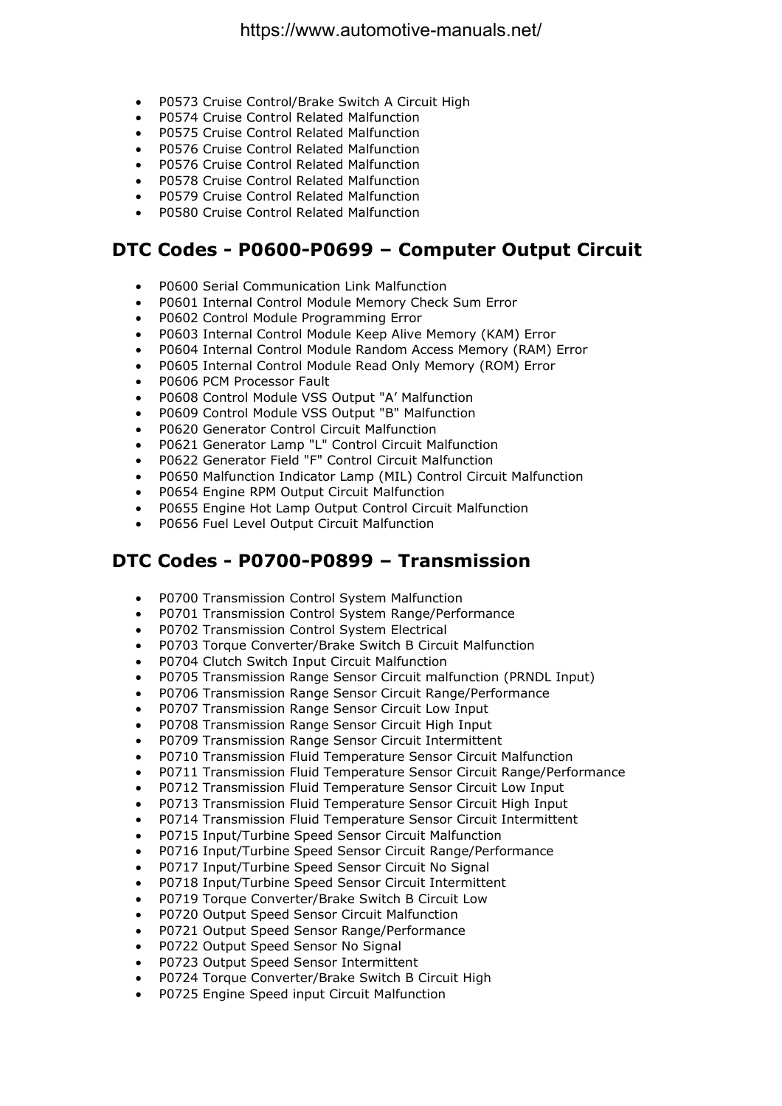- P0573 Cruise Control/Brake Switch A Circuit High
- P0574 Cruise Control Related Malfunction
- P0575 Cruise Control Related Malfunction
- P0576 Cruise Control Related Malfunction
- P0576 Cruise Control Related Malfunction
- P0578 Cruise Control Related Malfunction
- P0579 Cruise Control Related Malfunction
- P0580 Cruise Control Related Malfunction

#### **DTC Codes - P0600-P0699 – Computer Output Circuit**

- P0600 Serial Communication Link Malfunction
- P0601 Internal Control Module Memory Check Sum Error
- P0602 Control Module Programming Error
- P0603 Internal Control Module Keep Alive Memory (KAM) Error
- P0604 Internal Control Module Random Access Memory (RAM) Error
- P0605 Internal Control Module Read Only Memory (ROM) Error
- P0606 PCM Processor Fault
- P0608 Control Module VSS Output "A' Malfunction
- P0609 Control Module VSS Output "B" Malfunction
- P0620 Generator Control Circuit Malfunction
- P0621 Generator Lamp "L" Control Circuit Malfunction
- P0622 Generator Field "F" Control Circuit Malfunction
- P0650 Malfunction Indicator Lamp (MIL) Control Circuit Malfunction
- P0654 Engine RPM Output Circuit Malfunction
- P0655 Engine Hot Lamp Output Control Circuit Malfunction
- P0656 Fuel Level Output Circuit Malfunction

#### **DTC Codes - P0700-P0899 – Transmission**

- P0700 Transmission Control System Malfunction
- P0701 Transmission Control System Range/Performance
- P0702 Transmission Control System Electrical
- P0703 Torque Converter/Brake Switch B Circuit Malfunction
- P0704 Clutch Switch Input Circuit Malfunction
- P0705 Transmission Range Sensor Circuit malfunction (PRNDL Input)
- P0706 Transmission Range Sensor Circuit Range/Performance
- P0707 Transmission Range Sensor Circuit Low Input
- P0708 Transmission Range Sensor Circuit High Input
- P0709 Transmission Range Sensor Circuit Intermittent
- P0710 Transmission Fluid Temperature Sensor Circuit Malfunction
- P0711 Transmission Fluid Temperature Sensor Circuit Range/Performance
- P0712 Transmission Fluid Temperature Sensor Circuit Low Input
- P0713 Transmission Fluid Temperature Sensor Circuit High Input
- P0714 Transmission Fluid Temperature Sensor Circuit Intermittent
- P0715 Input/Turbine Speed Sensor Circuit Malfunction
- P0716 Input/Turbine Speed Sensor Circuit Range/Performance
- P0717 Input/Turbine Speed Sensor Circuit No Signal
- P0718 Input/Turbine Speed Sensor Circuit Intermittent
- P0719 Torque Converter/Brake Switch B Circuit Low
- P0720 Output Speed Sensor Circuit Malfunction
- P0721 Output Speed Sensor Range/Performance
- P0722 Output Speed Sensor No Signal
- P0723 Output Speed Sensor Intermittent
- P0724 Torque Converter/Brake Switch B Circuit High
- P0725 Engine Speed input Circuit Malfunction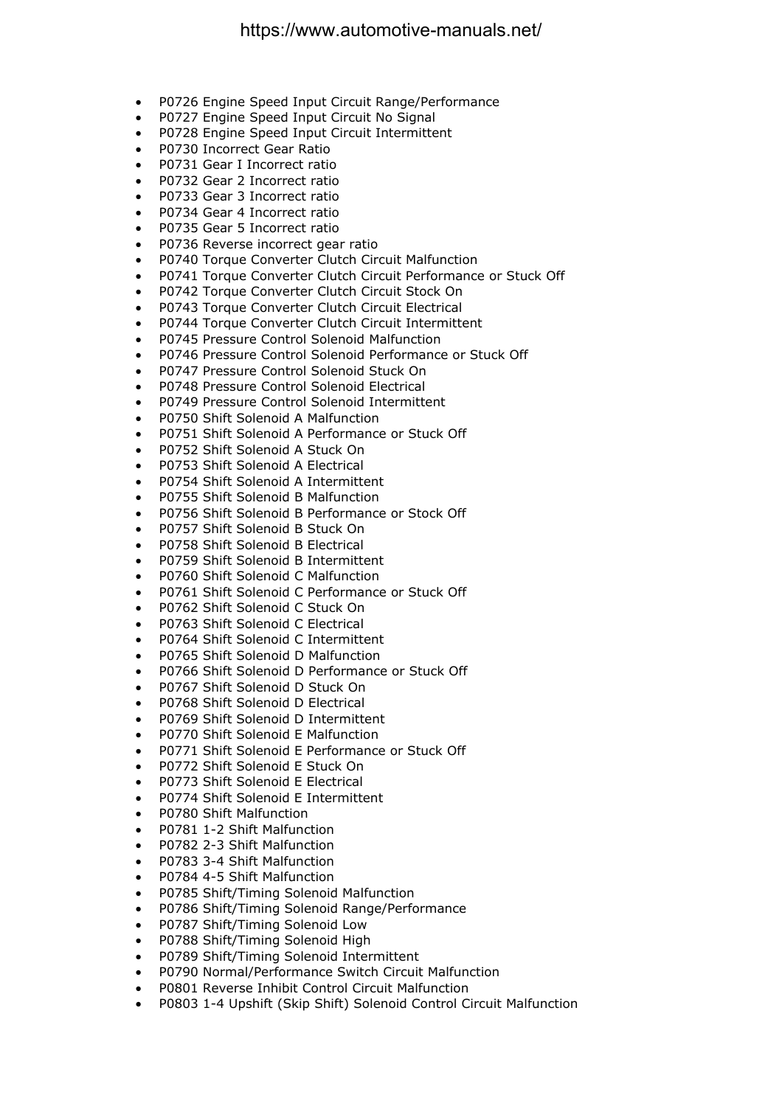- P0726 Engine Speed Input Circuit Range/Performance
- P0727 Engine Speed Input Circuit No Signal
- P0728 Engine Speed Input Circuit Intermittent
- P0730 Incorrect Gear Ratio
- P0731 Gear I Incorrect ratio
- P0732 Gear 2 Incorrect ratio
- P0733 Gear 3 Incorrect ratio
- P0734 Gear 4 Incorrect ratio
- P0735 Gear 5 Incorrect ratio
- P0736 Reverse incorrect gear ratio
- P0740 Torque Converter Clutch Circuit Malfunction
- P0741 Torque Converter Clutch Circuit Performance or Stuck Off
- P0742 Torque Converter Clutch Circuit Stock On
- P0743 Torque Converter Clutch Circuit Electrical
- P0744 Torque Converter Clutch Circuit Intermittent
- P0745 Pressure Control Solenoid Malfunction
- P0746 Pressure Control Solenoid Performance or Stuck Off
- P0747 Pressure Control Solenoid Stuck On
- P0748 Pressure Control Solenoid Electrical
- P0749 Pressure Control Solenoid Intermittent
- P0750 Shift Solenoid A Malfunction
- P0751 Shift Solenoid A Performance or Stuck Off
- P0752 Shift Solenoid A Stuck On
- P0753 Shift Solenoid A Electrical
- P0754 Shift Solenoid A Intermittent
- P0755 Shift Solenoid B Malfunction
- P0756 Shift Solenoid B Performance or Stock Off
- P0757 Shift Solenoid B Stuck On
- P0758 Shift Solenoid B Electrical
- P0759 Shift Solenoid B Intermittent
- P0760 Shift Solenoid C Malfunction
- P0761 Shift Solenoid C Performance or Stuck Off
- P0762 Shift Solenoid C Stuck On
- P0763 Shift Solenoid C Electrical
- P0764 Shift Solenoid C Intermittent
- P0765 Shift Solenoid D Malfunction
- P0766 Shift Solenoid D Performance or Stuck Off
- P0767 Shift Solenoid D Stuck On
- P0768 Shift Solenoid D Electrical
- P0769 Shift Solenoid D Intermittent
- P0770 Shift Solenoid E Malfunction
- P0771 Shift Solenoid E Performance or Stuck Off
- P0772 Shift Solenoid E Stuck On
- P0773 Shift Solenoid E Electrical
- P0774 Shift Solenoid E Intermittent
- P0780 Shift Malfunction
- P0781 1-2 Shift Malfunction
- P0782 2-3 Shift Malfunction
- P0783 3-4 Shift Malfunction
- P0784 4-5 Shift Malfunction
- P0785 Shift/Timing Solenoid Malfunction
- P0786 Shift/Timing Solenoid Range/Performance
- P0787 Shift/Timing Solenoid Low
- P0788 Shift/Timing Solenoid High
- P0789 Shift/Timing Solenoid Intermittent
- P0790 Normal/Performance Switch Circuit Malfunction
- P0801 Reverse Inhibit Control Circuit Malfunction
- P0803 1-4 Upshift (Skip Shift) Solenoid Control Circuit Malfunction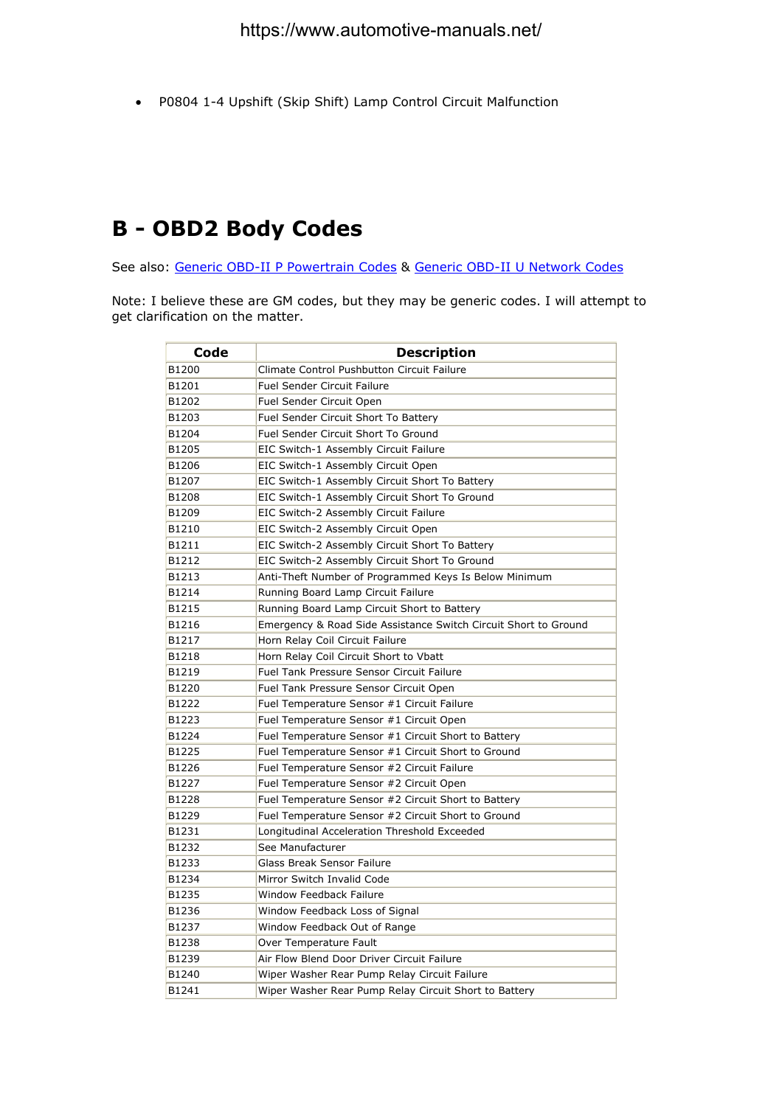• P0804 1-4 Upshift (Skip Shift) Lamp Control Circuit Malfunction

#### **B - OBD2 Body Codes**

See also: Generic OBD-II P Powertrain Codes & Generic OBD-II U Network Codes

Note: I believe these are GM codes, but they may be generic codes. I will attempt to get clarification on the matter.

| Code  | <b>Description</b>                                              |
|-------|-----------------------------------------------------------------|
| B1200 | Climate Control Pushbutton Circuit Failure                      |
| B1201 | <b>Fuel Sender Circuit Failure</b>                              |
| B1202 | Fuel Sender Circuit Open                                        |
| B1203 | Fuel Sender Circuit Short To Battery                            |
| B1204 | Fuel Sender Circuit Short To Ground                             |
| B1205 | EIC Switch-1 Assembly Circuit Failure                           |
| B1206 | EIC Switch-1 Assembly Circuit Open                              |
| B1207 | EIC Switch-1 Assembly Circuit Short To Battery                  |
| B1208 | EIC Switch-1 Assembly Circuit Short To Ground                   |
| B1209 | EIC Switch-2 Assembly Circuit Failure                           |
| B1210 | EIC Switch-2 Assembly Circuit Open                              |
| B1211 | EIC Switch-2 Assembly Circuit Short To Battery                  |
| B1212 | EIC Switch-2 Assembly Circuit Short To Ground                   |
| B1213 | Anti-Theft Number of Programmed Keys Is Below Minimum           |
| B1214 | Running Board Lamp Circuit Failure                              |
| B1215 | Running Board Lamp Circuit Short to Battery                     |
| B1216 | Emergency & Road Side Assistance Switch Circuit Short to Ground |
| B1217 | Horn Relay Coil Circuit Failure                                 |
| B1218 | Horn Relay Coil Circuit Short to Vbatt                          |
| B1219 | Fuel Tank Pressure Sensor Circuit Failure                       |
| B1220 | Fuel Tank Pressure Sensor Circuit Open                          |
| B1222 | Fuel Temperature Sensor #1 Circuit Failure                      |
| B1223 | Fuel Temperature Sensor #1 Circuit Open                         |
| B1224 | Fuel Temperature Sensor #1 Circuit Short to Battery             |
| B1225 | Fuel Temperature Sensor #1 Circuit Short to Ground              |
| B1226 | Fuel Temperature Sensor #2 Circuit Failure                      |
| B1227 | Fuel Temperature Sensor #2 Circuit Open                         |
| B1228 | Fuel Temperature Sensor #2 Circuit Short to Battery             |
| B1229 | Fuel Temperature Sensor #2 Circuit Short to Ground              |
| B1231 | Longitudinal Acceleration Threshold Exceeded                    |
| B1232 | See Manufacturer                                                |
| B1233 | <b>Glass Break Sensor Failure</b>                               |
| B1234 | Mirror Switch Invalid Code                                      |
| B1235 | Window Feedback Failure                                         |
| B1236 | Window Feedback Loss of Signal                                  |
| B1237 | Window Feedback Out of Range                                    |
| B1238 | Over Temperature Fault                                          |
| B1239 | Air Flow Blend Door Driver Circuit Failure                      |
| B1240 | Wiper Washer Rear Pump Relay Circuit Failure                    |
| B1241 | Wiper Washer Rear Pump Relay Circuit Short to Battery           |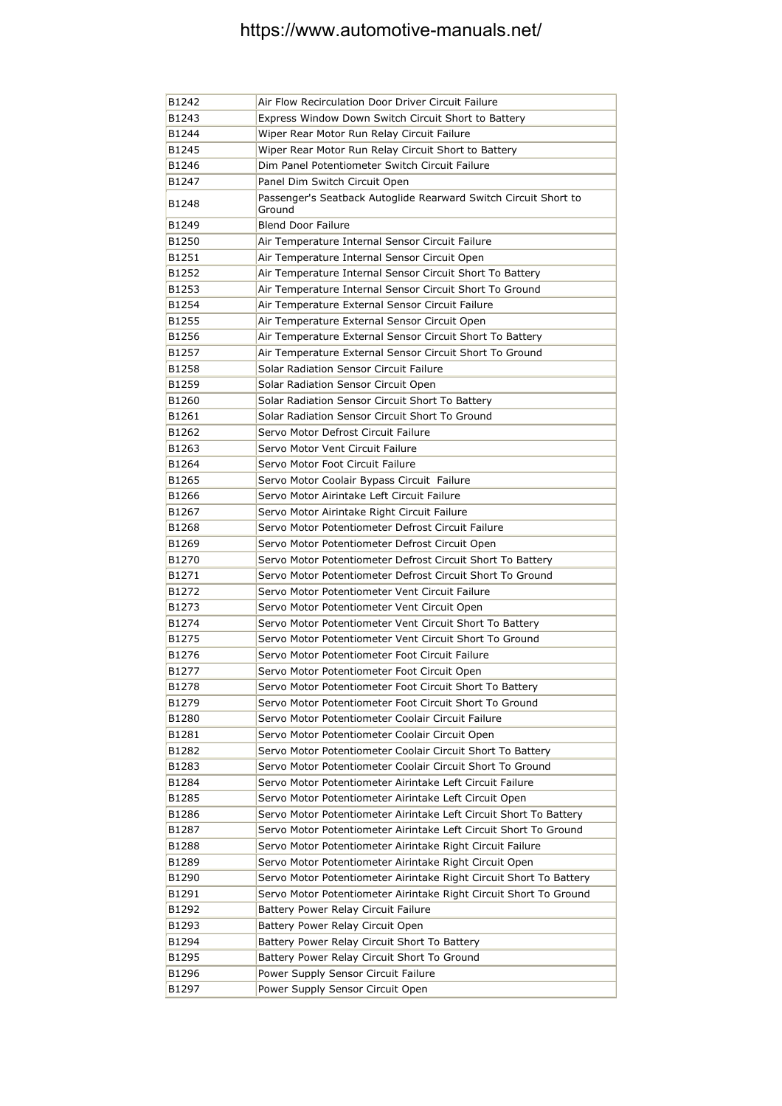| B1242 | Air Flow Recirculation Door Driver Circuit Failure                        |
|-------|---------------------------------------------------------------------------|
| B1243 | Express Window Down Switch Circuit Short to Battery                       |
| B1244 | Wiper Rear Motor Run Relay Circuit Failure                                |
| B1245 | Wiper Rear Motor Run Relay Circuit Short to Battery                       |
| B1246 | Dim Panel Potentiometer Switch Circuit Failure                            |
| B1247 | Panel Dim Switch Circuit Open                                             |
| B1248 | Passenger's Seatback Autoglide Rearward Switch Circuit Short to<br>Ground |
| B1249 | <b>Blend Door Failure</b>                                                 |
| B1250 | Air Temperature Internal Sensor Circuit Failure                           |
| B1251 | Air Temperature Internal Sensor Circuit Open                              |
| B1252 | Air Temperature Internal Sensor Circuit Short To Battery                  |
| B1253 | Air Temperature Internal Sensor Circuit Short To Ground                   |
| B1254 | Air Temperature External Sensor Circuit Failure                           |
| B1255 | Air Temperature External Sensor Circuit Open                              |
| B1256 | Air Temperature External Sensor Circuit Short To Battery                  |
| B1257 | Air Temperature External Sensor Circuit Short To Ground                   |
| B1258 | Solar Radiation Sensor Circuit Failure                                    |
| B1259 | Solar Radiation Sensor Circuit Open                                       |
| B1260 | Solar Radiation Sensor Circuit Short To Battery                           |
| B1261 | Solar Radiation Sensor Circuit Short To Ground                            |
| B1262 | Servo Motor Defrost Circuit Failure                                       |
| B1263 | Servo Motor Vent Circuit Failure                                          |
| B1264 | Servo Motor Foot Circuit Failure                                          |
| B1265 | Servo Motor Coolair Bypass Circuit Failure                                |
| B1266 | Servo Motor Airintake Left Circuit Failure                                |
| B1267 | Servo Motor Airintake Right Circuit Failure                               |
| B1268 | Servo Motor Potentiometer Defrost Circuit Failure                         |
| B1269 | Servo Motor Potentiometer Defrost Circuit Open                            |
| B1270 | Servo Motor Potentiometer Defrost Circuit Short To Battery                |
| B1271 | Servo Motor Potentiometer Defrost Circuit Short To Ground                 |
| B1272 | Servo Motor Potentiometer Vent Circuit Failure                            |
| B1273 | Servo Motor Potentiometer Vent Circuit Open                               |
| B1274 | Servo Motor Potentiometer Vent Circuit Short To Battery                   |
| B1275 | Servo Motor Potentiometer Vent Circuit Short To Ground                    |
| B1276 | Servo Motor Potentiometer Foot Circuit Failure                            |
| B1277 | Servo Motor Potentiometer Foot Circuit Open                               |
| B1278 | Servo Motor Potentiometer Foot Circuit Short To Battery                   |
| B1279 | Servo Motor Potentiometer Foot Circuit Short To Ground                    |
| B1280 | Servo Motor Potentiometer Coolair Circuit Failure                         |
| B1281 | Servo Motor Potentiometer Coolair Circuit Open                            |
| B1282 | Servo Motor Potentiometer Coolair Circuit Short To Battery                |
| B1283 | Servo Motor Potentiometer Coolair Circuit Short To Ground                 |
| B1284 | Servo Motor Potentiometer Airintake Left Circuit Failure                  |
| B1285 | Servo Motor Potentiometer Airintake Left Circuit Open                     |
| B1286 | Servo Motor Potentiometer Airintake Left Circuit Short To Battery         |
| B1287 | Servo Motor Potentiometer Airintake Left Circuit Short To Ground          |
| B1288 | Servo Motor Potentiometer Airintake Right Circuit Failure                 |
| B1289 | Servo Motor Potentiometer Airintake Right Circuit Open                    |
| B1290 | Servo Motor Potentiometer Airintake Right Circuit Short To Battery        |
| B1291 | Servo Motor Potentiometer Airintake Right Circuit Short To Ground         |
| B1292 | Battery Power Relay Circuit Failure                                       |
| B1293 | Battery Power Relay Circuit Open                                          |
| B1294 | Battery Power Relay Circuit Short To Battery                              |
| B1295 | Battery Power Relay Circuit Short To Ground                               |
| B1296 | Power Supply Sensor Circuit Failure                                       |
| B1297 | Power Supply Sensor Circuit Open                                          |
|       |                                                                           |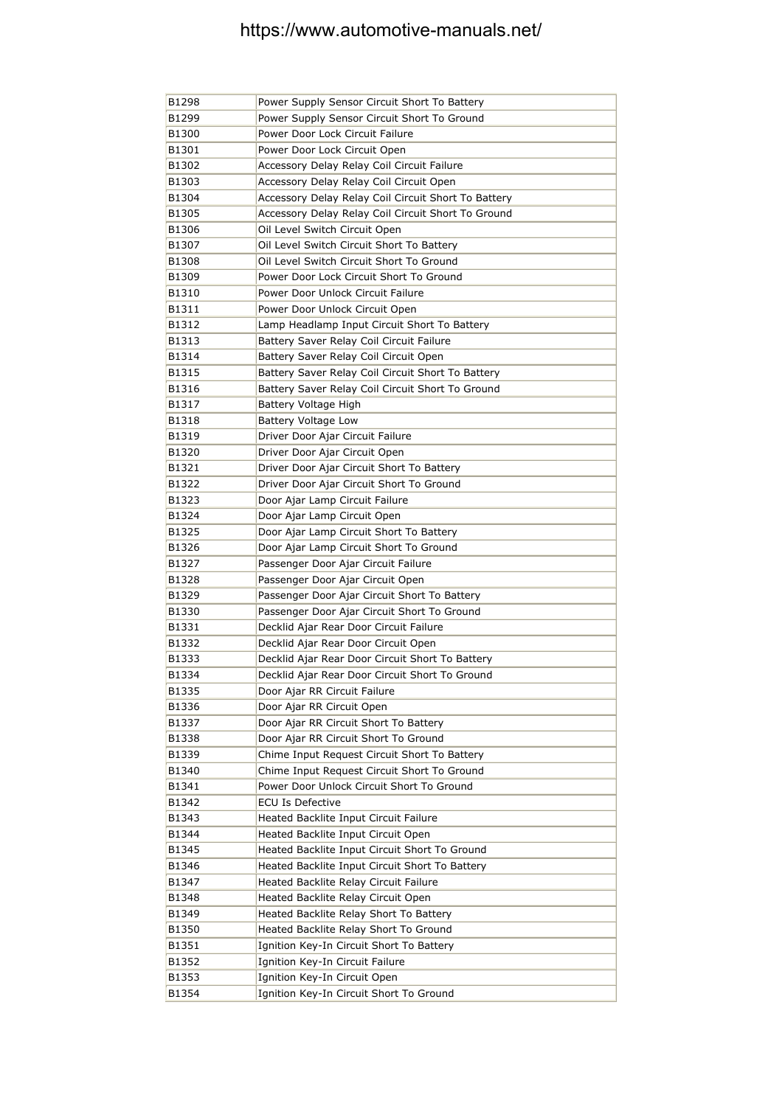| B1298 | Power Supply Sensor Circuit Short To Battery        |
|-------|-----------------------------------------------------|
| B1299 | Power Supply Sensor Circuit Short To Ground         |
| B1300 | Power Door Lock Circuit Failure                     |
| B1301 | Power Door Lock Circuit Open                        |
| B1302 | Accessory Delay Relay Coil Circuit Failure          |
| B1303 | Accessory Delay Relay Coil Circuit Open             |
| B1304 | Accessory Delay Relay Coil Circuit Short To Battery |
| B1305 | Accessory Delay Relay Coil Circuit Short To Ground  |
| B1306 | Oil Level Switch Circuit Open                       |
| B1307 | Oil Level Switch Circuit Short To Battery           |
| B1308 | Oil Level Switch Circuit Short To Ground            |
| B1309 | Power Door Lock Circuit Short To Ground             |
| B1310 | Power Door Unlock Circuit Failure                   |
| B1311 | Power Door Unlock Circuit Open                      |
| B1312 | Lamp Headlamp Input Circuit Short To Battery        |
| B1313 | Battery Saver Relay Coil Circuit Failure            |
| B1314 | Battery Saver Relay Coil Circuit Open               |
| B1315 | Battery Saver Relay Coil Circuit Short To Battery   |
| B1316 | Battery Saver Relay Coil Circuit Short To Ground    |
| B1317 | Battery Voltage High                                |
| B1318 | Battery Voltage Low                                 |
| B1319 | Driver Door Ajar Circuit Failure                    |
| B1320 | Driver Door Ajar Circuit Open                       |
| B1321 | Driver Door Ajar Circuit Short To Battery           |
| B1322 | Driver Door Ajar Circuit Short To Ground            |
| B1323 | Door Ajar Lamp Circuit Failure                      |
| B1324 | Door Ajar Lamp Circuit Open                         |
| B1325 | Door Ajar Lamp Circuit Short To Battery             |
| B1326 | Door Ajar Lamp Circuit Short To Ground              |
| B1327 | Passenger Door Ajar Circuit Failure                 |
| B1328 | Passenger Door Ajar Circuit Open                    |
| B1329 | Passenger Door Ajar Circuit Short To Battery        |
| B1330 | Passenger Door Ajar Circuit Short To Ground         |
| B1331 | Decklid Ajar Rear Door Circuit Failure              |
| B1332 | Decklid Ajar Rear Door Circuit Open                 |
| B1333 | Decklid Ajar Rear Door Circuit Short To Battery     |
| B1334 | Decklid Ajar Rear Door Circuit Short To Ground      |
| B1335 | Door Ajar RR Circuit Failure                        |
| B1336 | Door Ajar RR Circuit Open                           |
| B1337 | Door Ajar RR Circuit Short To Battery               |
| B1338 | Door Ajar RR Circuit Short To Ground                |
| B1339 | Chime Input Request Circuit Short To Battery        |
| B1340 | Chime Input Request Circuit Short To Ground         |
| B1341 | Power Door Unlock Circuit Short To Ground           |
| B1342 | <b>ECU Is Defective</b>                             |
| B1343 | Heated Backlite Input Circuit Failure               |
| B1344 | Heated Backlite Input Circuit Open                  |
| B1345 | Heated Backlite Input Circuit Short To Ground       |
| B1346 | Heated Backlite Input Circuit Short To Battery      |
| B1347 | Heated Backlite Relay Circuit Failure               |
| B1348 | Heated Backlite Relay Circuit Open                  |
| B1349 | Heated Backlite Relay Short To Battery              |
| B1350 | Heated Backlite Relay Short To Ground               |
| B1351 | Ignition Key-In Circuit Short To Battery            |
| B1352 | Ignition Key-In Circuit Failure                     |
| B1353 | Ignition Key-In Circuit Open                        |
| B1354 | Ignition Key-In Circuit Short To Ground             |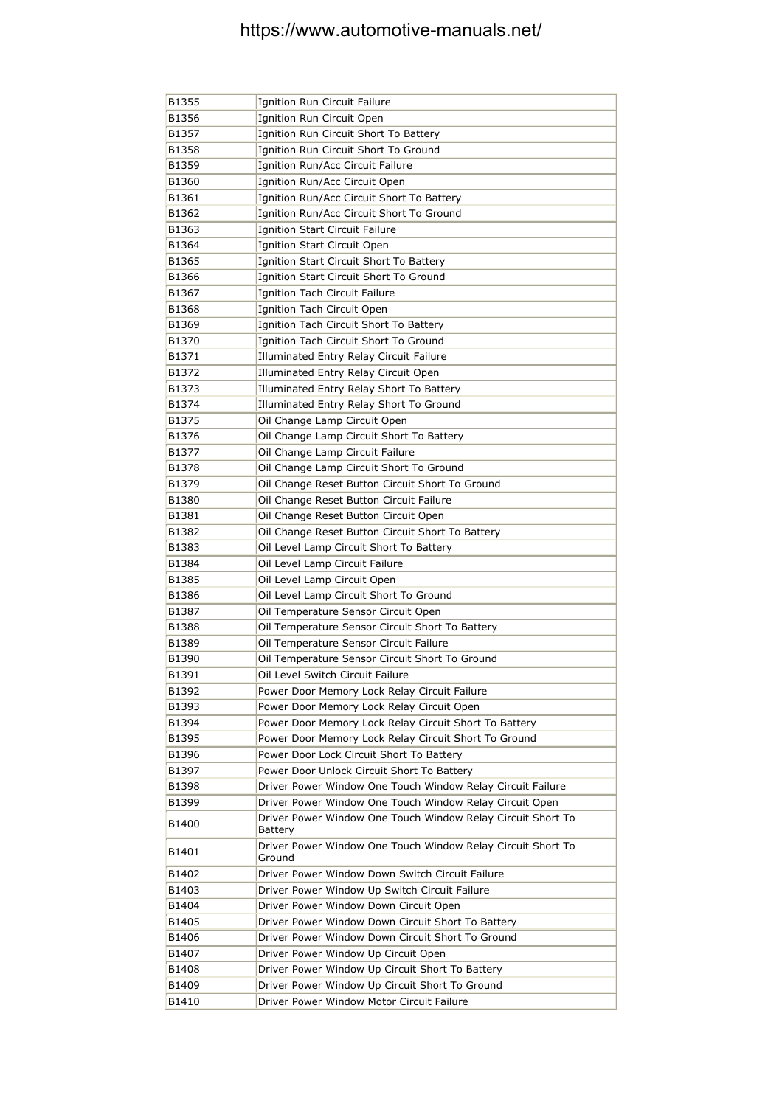| B1355          | Ignition Run Circuit Failure                                                                                          |
|----------------|-----------------------------------------------------------------------------------------------------------------------|
| B1356          | Ignition Run Circuit Open                                                                                             |
| B1357          | Ignition Run Circuit Short To Battery                                                                                 |
| B1358          | Ignition Run Circuit Short To Ground                                                                                  |
| B1359          | Ignition Run/Acc Circuit Failure                                                                                      |
| B1360          | Ignition Run/Acc Circuit Open                                                                                         |
| B1361          | Ignition Run/Acc Circuit Short To Battery                                                                             |
| B1362          | Ignition Run/Acc Circuit Short To Ground                                                                              |
| B1363          | Ignition Start Circuit Failure                                                                                        |
| B1364          | Ignition Start Circuit Open                                                                                           |
| B1365          | Ignition Start Circuit Short To Battery                                                                               |
| B1366          | Ignition Start Circuit Short To Ground                                                                                |
| B1367          | Ignition Tach Circuit Failure                                                                                         |
| B1368          | Ignition Tach Circuit Open                                                                                            |
| B1369          | Ignition Tach Circuit Short To Battery                                                                                |
| B1370          | Ignition Tach Circuit Short To Ground                                                                                 |
| B1371          | Illuminated Entry Relay Circuit Failure                                                                               |
| B1372          | Illuminated Entry Relay Circuit Open                                                                                  |
| B1373          | Illuminated Entry Relay Short To Battery                                                                              |
| B1374          | Illuminated Entry Relay Short To Ground                                                                               |
| B1375          | Oil Change Lamp Circuit Open                                                                                          |
| B1376          | Oil Change Lamp Circuit Short To Battery                                                                              |
| B1377          | Oil Change Lamp Circuit Failure                                                                                       |
| B1378          | Oil Change Lamp Circuit Short To Ground                                                                               |
| B1379          | Oil Change Reset Button Circuit Short To Ground                                                                       |
| B1380          | Oil Change Reset Button Circuit Failure                                                                               |
| B1381          | Oil Change Reset Button Circuit Open                                                                                  |
| B1382          | Oil Change Reset Button Circuit Short To Battery                                                                      |
| B1383          | Oil Level Lamp Circuit Short To Battery                                                                               |
| B1384          | Oil Level Lamp Circuit Failure                                                                                        |
| B1385          | Oil Level Lamp Circuit Open                                                                                           |
| B1386          | Oil Level Lamp Circuit Short To Ground                                                                                |
| B1387          | Oil Temperature Sensor Circuit Open                                                                                   |
| B1388          | Oil Temperature Sensor Circuit Short To Battery                                                                       |
| B1389          | Oil Temperature Sensor Circuit Failure                                                                                |
| B1390          | Oil Temperature Sensor Circuit Short To Ground                                                                        |
| B1391          | Oil Level Switch Circuit Failure                                                                                      |
| B1392          | Power Door Memory Lock Relay Circuit Failure                                                                          |
| B1393          | Power Door Memory Lock Relay Circuit Open                                                                             |
| B1394          | Power Door Memory Lock Relay Circuit Short To Battery                                                                 |
| B1395          | Power Door Memory Lock Relay Circuit Short To Ground                                                                  |
| B1396          | Power Door Lock Circuit Short To Battery                                                                              |
| B1397          | Power Door Unlock Circuit Short To Battery                                                                            |
|                |                                                                                                                       |
| B1398<br>B1399 | Driver Power Window One Touch Window Relay Circuit Failure<br>Driver Power Window One Touch Window Relay Circuit Open |
|                |                                                                                                                       |
| B1400          | Driver Power Window One Touch Window Relay Circuit Short To<br>Battery                                                |
| B1401          | Driver Power Window One Touch Window Relay Circuit Short To<br>Ground                                                 |
| B1402          | Driver Power Window Down Switch Circuit Failure                                                                       |
| B1403          | Driver Power Window Up Switch Circuit Failure                                                                         |
| B1404          | Driver Power Window Down Circuit Open                                                                                 |
| B1405          | Driver Power Window Down Circuit Short To Battery                                                                     |
| B1406          | Driver Power Window Down Circuit Short To Ground                                                                      |
| B1407          | Driver Power Window Up Circuit Open                                                                                   |
| B1408          | Driver Power Window Up Circuit Short To Battery                                                                       |
| B1409          | Driver Power Window Up Circuit Short To Ground                                                                        |
| B1410          | Driver Power Window Motor Circuit Failure                                                                             |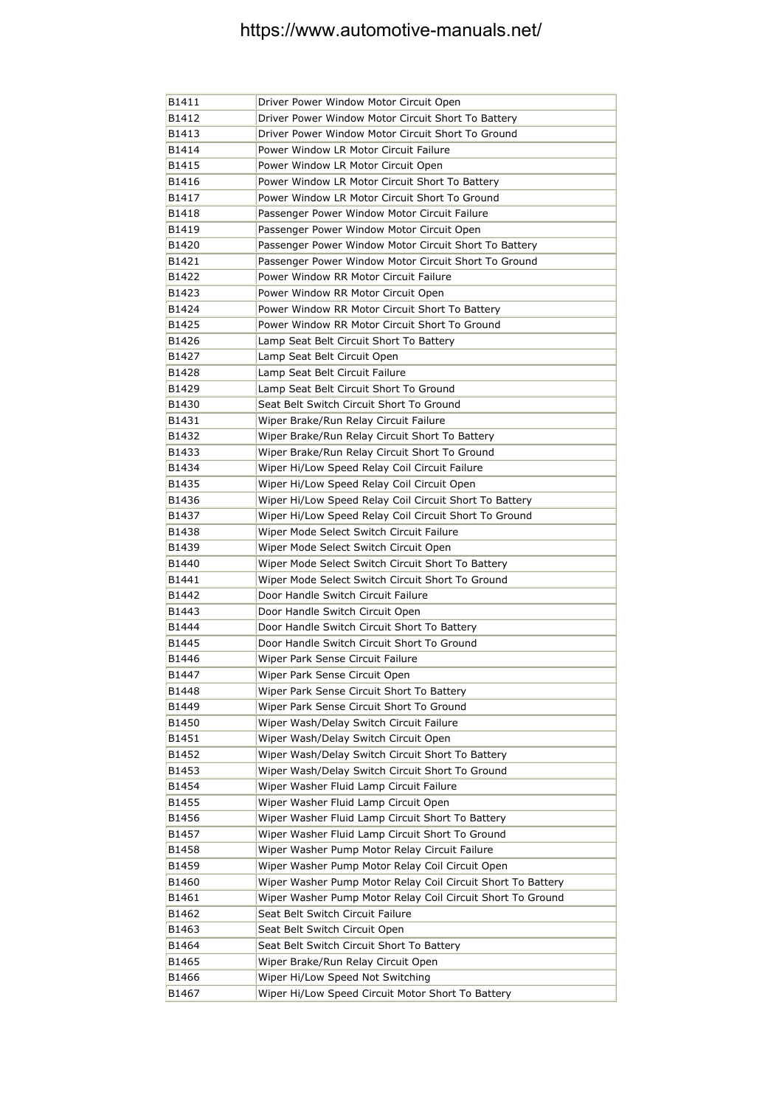| B1411 | Driver Power Window Motor Circuit Open                      |
|-------|-------------------------------------------------------------|
| B1412 | Driver Power Window Motor Circuit Short To Battery          |
| B1413 | Driver Power Window Motor Circuit Short To Ground           |
| B1414 | Power Window LR Motor Circuit Failure                       |
| B1415 | Power Window LR Motor Circuit Open                          |
| B1416 | Power Window LR Motor Circuit Short To Battery              |
| B1417 | Power Window LR Motor Circuit Short To Ground               |
| B1418 | Passenger Power Window Motor Circuit Failure                |
| B1419 | Passenger Power Window Motor Circuit Open                   |
| B1420 | Passenger Power Window Motor Circuit Short To Battery       |
| B1421 | Passenger Power Window Motor Circuit Short To Ground        |
| B1422 | Power Window RR Motor Circuit Failure                       |
| B1423 | Power Window RR Motor Circuit Open                          |
| B1424 | Power Window RR Motor Circuit Short To Battery              |
| B1425 | Power Window RR Motor Circuit Short To Ground               |
| B1426 | Lamp Seat Belt Circuit Short To Battery                     |
| B1427 | Lamp Seat Belt Circuit Open                                 |
| B1428 | Lamp Seat Belt Circuit Failure                              |
| B1429 | Lamp Seat Belt Circuit Short To Ground                      |
| B1430 | Seat Belt Switch Circuit Short To Ground                    |
| B1431 | Wiper Brake/Run Relay Circuit Failure                       |
| B1432 | Wiper Brake/Run Relay Circuit Short To Battery              |
| B1433 | Wiper Brake/Run Relay Circuit Short To Ground               |
| B1434 | Wiper Hi/Low Speed Relay Coil Circuit Failure               |
| B1435 | Wiper Hi/Low Speed Relay Coil Circuit Open                  |
| B1436 | Wiper Hi/Low Speed Relay Coil Circuit Short To Battery      |
| B1437 | Wiper Hi/Low Speed Relay Coil Circuit Short To Ground       |
| B1438 | Wiper Mode Select Switch Circuit Failure                    |
| B1439 | Wiper Mode Select Switch Circuit Open                       |
| B1440 | Wiper Mode Select Switch Circuit Short To Battery           |
| B1441 | Wiper Mode Select Switch Circuit Short To Ground            |
| B1442 | Door Handle Switch Circuit Failure                          |
| B1443 | Door Handle Switch Circuit Open                             |
| B1444 | Door Handle Switch Circuit Short To Battery                 |
| B1445 | Door Handle Switch Circuit Short To Ground                  |
| B1446 | Wiper Park Sense Circuit Failure                            |
| B1447 | Wiper Park Sense Circuit Open                               |
| B1448 | Wiper Park Sense Circuit Short To Battery                   |
| B1449 | Wiper Park Sense Circuit Short To Ground                    |
| B1450 | Wiper Wash/Delay Switch Circuit Failure                     |
| B1451 | Wiper Wash/Delay Switch Circuit Open                        |
| B1452 | Wiper Wash/Delay Switch Circuit Short To Battery            |
| B1453 | Wiper Wash/Delay Switch Circuit Short To Ground             |
| B1454 | Wiper Washer Fluid Lamp Circuit Failure                     |
| B1455 | Wiper Washer Fluid Lamp Circuit Open                        |
| B1456 | Wiper Washer Fluid Lamp Circuit Short To Battery            |
| B1457 | Wiper Washer Fluid Lamp Circuit Short To Ground             |
| B1458 | Wiper Washer Pump Motor Relay Circuit Failure               |
| B1459 | Wiper Washer Pump Motor Relay Coil Circuit Open             |
| B1460 | Wiper Washer Pump Motor Relay Coil Circuit Short To Battery |
| B1461 | Wiper Washer Pump Motor Relay Coil Circuit Short To Ground  |
| B1462 | Seat Belt Switch Circuit Failure                            |
| B1463 | Seat Belt Switch Circuit Open                               |
| B1464 | Seat Belt Switch Circuit Short To Battery                   |
| B1465 | Wiper Brake/Run Relay Circuit Open                          |
| B1466 | Wiper Hi/Low Speed Not Switching                            |
| B1467 | Wiper Hi/Low Speed Circuit Motor Short To Battery           |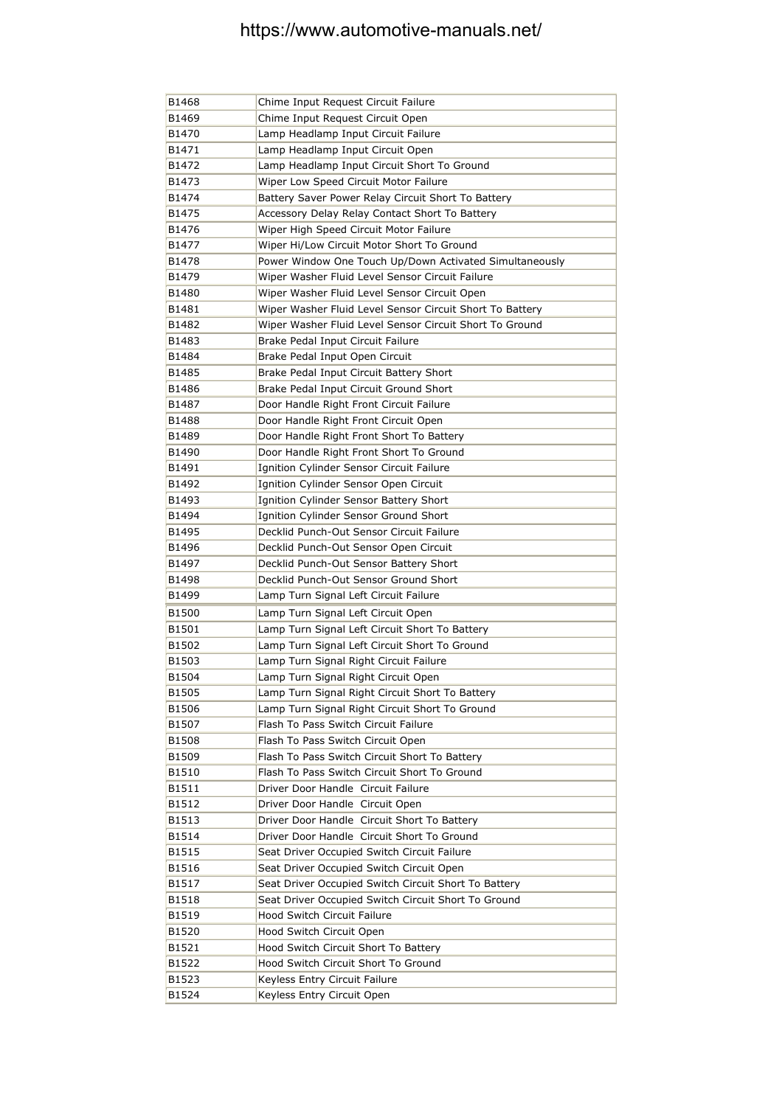| B1468 | Chime Input Request Circuit Failure                      |
|-------|----------------------------------------------------------|
| B1469 | Chime Input Request Circuit Open                         |
| B1470 | Lamp Headlamp Input Circuit Failure                      |
| B1471 | Lamp Headlamp Input Circuit Open                         |
| B1472 | Lamp Headlamp Input Circuit Short To Ground              |
| B1473 | Wiper Low Speed Circuit Motor Failure                    |
| B1474 | Battery Saver Power Relay Circuit Short To Battery       |
| B1475 | Accessory Delay Relay Contact Short To Battery           |
| B1476 | Wiper High Speed Circuit Motor Failure                   |
| B1477 | Wiper Hi/Low Circuit Motor Short To Ground               |
| B1478 | Power Window One Touch Up/Down Activated Simultaneously  |
| B1479 | Wiper Washer Fluid Level Sensor Circuit Failure          |
| B1480 | Wiper Washer Fluid Level Sensor Circuit Open             |
| B1481 | Wiper Washer Fluid Level Sensor Circuit Short To Battery |
| B1482 | Wiper Washer Fluid Level Sensor Circuit Short To Ground  |
| B1483 | Brake Pedal Input Circuit Failure                        |
| B1484 | Brake Pedal Input Open Circuit                           |
| B1485 | Brake Pedal Input Circuit Battery Short                  |
| B1486 | Brake Pedal Input Circuit Ground Short                   |
| B1487 | Door Handle Right Front Circuit Failure                  |
| B1488 | Door Handle Right Front Circuit Open                     |
| B1489 | Door Handle Right Front Short To Battery                 |
| B1490 | Door Handle Right Front Short To Ground                  |
| B1491 | Ignition Cylinder Sensor Circuit Failure                 |
| B1492 | Ignition Cylinder Sensor Open Circuit                    |
| B1493 | Ignition Cylinder Sensor Battery Short                   |
| B1494 | Ignition Cylinder Sensor Ground Short                    |
| B1495 | Decklid Punch-Out Sensor Circuit Failure                 |
| B1496 | Decklid Punch-Out Sensor Open Circuit                    |
| B1497 | Decklid Punch-Out Sensor Battery Short                   |
| B1498 | Decklid Punch-Out Sensor Ground Short                    |
| B1499 | Lamp Turn Signal Left Circuit Failure                    |
| B1500 | Lamp Turn Signal Left Circuit Open                       |
| B1501 | Lamp Turn Signal Left Circuit Short To Battery           |
| B1502 | Lamp Turn Signal Left Circuit Short To Ground            |
| B1503 | Lamp Turn Signal Right Circuit Failure                   |
| B1504 | Lamp Turn Signal Right Circuit Open                      |
| B1505 | Lamp Turn Signal Right Circuit Short To Battery          |
| B1506 | Lamp Turn Signal Right Circuit Short To Ground           |
| B1507 | Flash To Pass Switch Circuit Failure                     |
| B1508 | Flash To Pass Switch Circuit Open                        |
| B1509 | Flash To Pass Switch Circuit Short To Battery            |
| B1510 | Flash To Pass Switch Circuit Short To Ground             |
| B1511 | Driver Door Handle Circuit Failure                       |
| B1512 | Driver Door Handle Circuit Open                          |
| B1513 | Driver Door Handle Circuit Short To Battery              |
| B1514 | Driver Door Handle Circuit Short To Ground               |
| B1515 | Seat Driver Occupied Switch Circuit Failure              |
| B1516 | Seat Driver Occupied Switch Circuit Open                 |
| B1517 | Seat Driver Occupied Switch Circuit Short To Battery     |
| B1518 | Seat Driver Occupied Switch Circuit Short To Ground      |
| B1519 | Hood Switch Circuit Failure                              |
| B1520 | Hood Switch Circuit Open                                 |
| B1521 | Hood Switch Circuit Short To Battery                     |
| B1522 | Hood Switch Circuit Short To Ground                      |
| B1523 | Keyless Entry Circuit Failure                            |
| B1524 | Keyless Entry Circuit Open                               |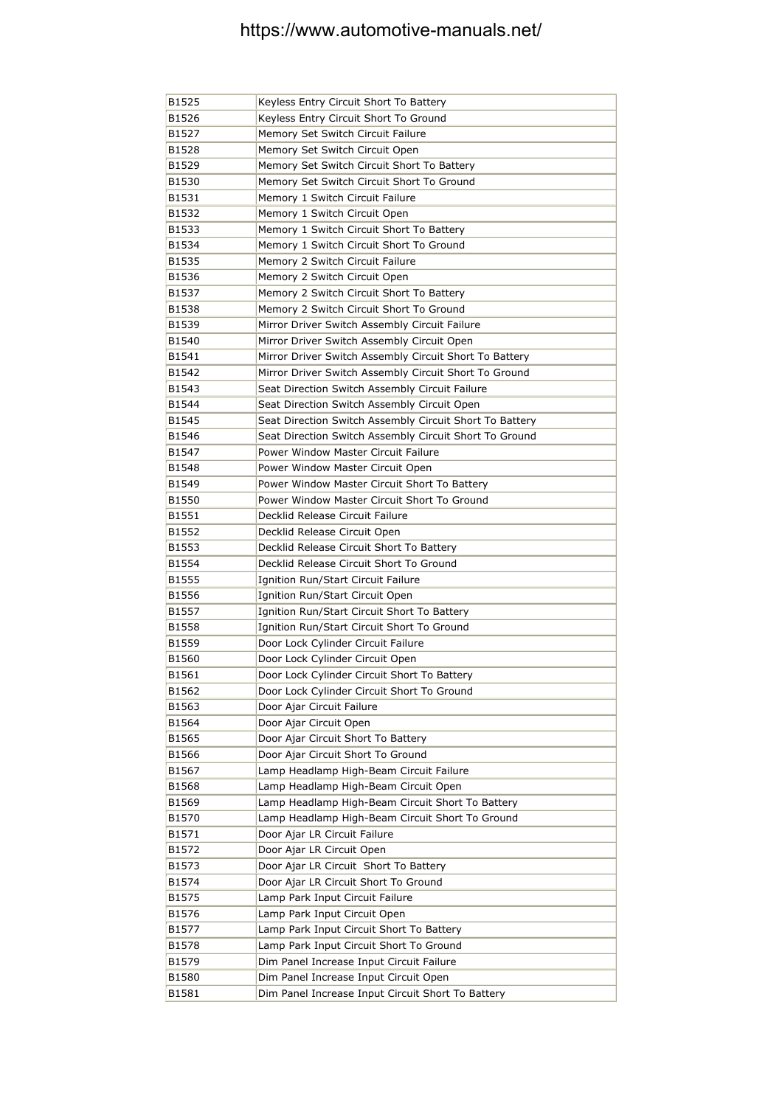| B1525 | Keyless Entry Circuit Short To Battery                  |
|-------|---------------------------------------------------------|
| B1526 | Keyless Entry Circuit Short To Ground                   |
| B1527 | Memory Set Switch Circuit Failure                       |
| B1528 | Memory Set Switch Circuit Open                          |
| B1529 | Memory Set Switch Circuit Short To Battery              |
| B1530 | Memory Set Switch Circuit Short To Ground               |
| B1531 | Memory 1 Switch Circuit Failure                         |
| B1532 | Memory 1 Switch Circuit Open                            |
| B1533 | Memory 1 Switch Circuit Short To Battery                |
| B1534 | Memory 1 Switch Circuit Short To Ground                 |
| B1535 | Memory 2 Switch Circuit Failure                         |
| B1536 | Memory 2 Switch Circuit Open                            |
| B1537 | Memory 2 Switch Circuit Short To Battery                |
| B1538 | Memory 2 Switch Circuit Short To Ground                 |
| B1539 | Mirror Driver Switch Assembly Circuit Failure           |
| B1540 | Mirror Driver Switch Assembly Circuit Open              |
| B1541 | Mirror Driver Switch Assembly Circuit Short To Battery  |
| B1542 | Mirror Driver Switch Assembly Circuit Short To Ground   |
| B1543 | Seat Direction Switch Assembly Circuit Failure          |
| B1544 | Seat Direction Switch Assembly Circuit Open             |
| B1545 | Seat Direction Switch Assembly Circuit Short To Battery |
| B1546 | Seat Direction Switch Assembly Circuit Short To Ground  |
| B1547 | Power Window Master Circuit Failure                     |
| B1548 | Power Window Master Circuit Open                        |
| B1549 | Power Window Master Circuit Short To Battery            |
| B1550 | Power Window Master Circuit Short To Ground             |
| B1551 | Decklid Release Circuit Failure                         |
| B1552 | Decklid Release Circuit Open                            |
| B1553 | Decklid Release Circuit Short To Battery                |
| B1554 | Decklid Release Circuit Short To Ground                 |
| B1555 | Ignition Run/Start Circuit Failure                      |
| B1556 | Ignition Run/Start Circuit Open                         |
| B1557 | Ignition Run/Start Circuit Short To Battery             |
| B1558 | Ignition Run/Start Circuit Short To Ground              |
| B1559 | Door Lock Cylinder Circuit Failure                      |
| B1560 | Door Lock Cylinder Circuit Open                         |
| B1561 | Door Lock Cylinder Circuit Short To Battery             |
| B1562 | Door Lock Cylinder Circuit Short To Ground              |
| B1563 | Door Ajar Circuit Failure                               |
| B1564 | Door Ajar Circuit Open                                  |
| B1565 | Door Ajar Circuit Short To Battery                      |
| B1566 | Door Ajar Circuit Short To Ground                       |
| B1567 | Lamp Headlamp High-Beam Circuit Failure                 |
| B1568 | Lamp Headlamp High-Beam Circuit Open                    |
| B1569 | Lamp Headlamp High-Beam Circuit Short To Battery        |
| B1570 | Lamp Headlamp High-Beam Circuit Short To Ground         |
| B1571 | Door Ajar LR Circuit Failure                            |
| B1572 | Door Ajar LR Circuit Open                               |
| B1573 | Door Ajar LR Circuit Short To Battery                   |
| B1574 | Door Ajar LR Circuit Short To Ground                    |
| B1575 | Lamp Park Input Circuit Failure                         |
| B1576 | Lamp Park Input Circuit Open                            |
| B1577 | Lamp Park Input Circuit Short To Battery                |
| B1578 | Lamp Park Input Circuit Short To Ground                 |
| B1579 | Dim Panel Increase Input Circuit Failure                |
| B1580 | Dim Panel Increase Input Circuit Open                   |
| B1581 | Dim Panel Increase Input Circuit Short To Battery       |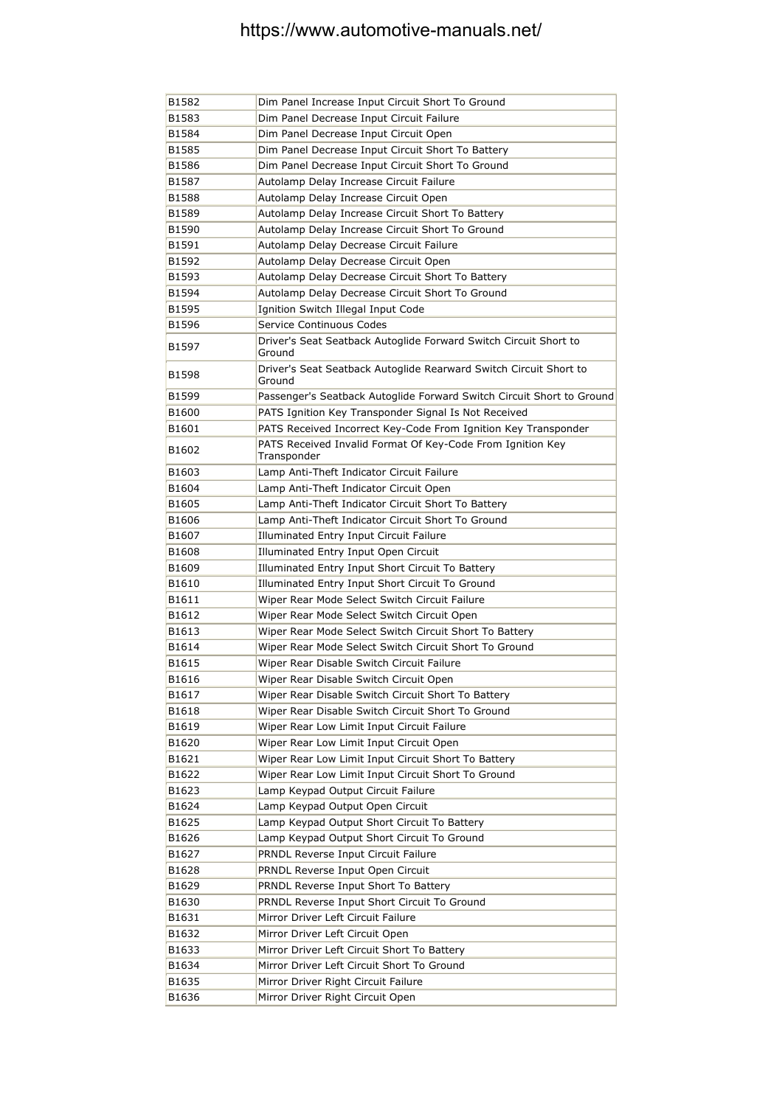| B1582 | Dim Panel Increase Input Circuit Short To Ground                            |
|-------|-----------------------------------------------------------------------------|
| B1583 | Dim Panel Decrease Input Circuit Failure                                    |
| B1584 | Dim Panel Decrease Input Circuit Open                                       |
| B1585 | Dim Panel Decrease Input Circuit Short To Battery                           |
| B1586 | Dim Panel Decrease Input Circuit Short To Ground                            |
| B1587 | Autolamp Delay Increase Circuit Failure                                     |
| B1588 | Autolamp Delay Increase Circuit Open                                        |
| B1589 | Autolamp Delay Increase Circuit Short To Battery                            |
| B1590 | Autolamp Delay Increase Circuit Short To Ground                             |
| B1591 | Autolamp Delay Decrease Circuit Failure                                     |
| B1592 | Autolamp Delay Decrease Circuit Open                                        |
| B1593 | Autolamp Delay Decrease Circuit Short To Battery                            |
| B1594 | Autolamp Delay Decrease Circuit Short To Ground                             |
| B1595 | Ignition Switch Illegal Input Code                                          |
| B1596 | Service Continuous Codes                                                    |
| B1597 | Driver's Seat Seatback Autoglide Forward Switch Circuit Short to<br>Ground  |
| B1598 | Driver's Seat Seatback Autoglide Rearward Switch Circuit Short to<br>Ground |
| B1599 | Passenger's Seatback Autoglide Forward Switch Circuit Short to Ground       |
| B1600 | PATS Ignition Key Transponder Signal Is Not Received                        |
| B1601 | PATS Received Incorrect Key-Code From Ignition Key Transponder              |
| B1602 | PATS Received Invalid Format Of Key-Code From Ignition Key<br>Transponder   |
| B1603 | Lamp Anti-Theft Indicator Circuit Failure                                   |
| B1604 | Lamp Anti-Theft Indicator Circuit Open                                      |
| B1605 | Lamp Anti-Theft Indicator Circuit Short To Battery                          |
| B1606 | Lamp Anti-Theft Indicator Circuit Short To Ground                           |
| B1607 | Illuminated Entry Input Circuit Failure                                     |
| B1608 | Illuminated Entry Input Open Circuit                                        |
| B1609 | Illuminated Entry Input Short Circuit To Battery                            |
| B1610 | Illuminated Entry Input Short Circuit To Ground                             |
| B1611 | Wiper Rear Mode Select Switch Circuit Failure                               |
| B1612 | Wiper Rear Mode Select Switch Circuit Open                                  |
| B1613 | Wiper Rear Mode Select Switch Circuit Short To Battery                      |
| B1614 | Wiper Rear Mode Select Switch Circuit Short To Ground                       |
| B1615 | Wiper Rear Disable Switch Circuit Failure                                   |
| B1616 | Wiper Rear Disable Switch Circuit Open                                      |
| B1617 | Wiper Rear Disable Switch Circuit Short To Battery                          |
| B1618 | Wiper Rear Disable Switch Circuit Short To Ground                           |
| B1619 | Wiper Rear Low Limit Input Circuit Failure                                  |
| B1620 | Wiper Rear Low Limit Input Circuit Open                                     |
| B1621 | Wiper Rear Low Limit Input Circuit Short To Battery                         |
| B1622 | Wiper Rear Low Limit Input Circuit Short To Ground                          |
| B1623 | Lamp Keypad Output Circuit Failure                                          |
| B1624 | Lamp Keypad Output Open Circuit                                             |
| B1625 | Lamp Keypad Output Short Circuit To Battery                                 |
| B1626 | Lamp Keypad Output Short Circuit To Ground                                  |
| B1627 | PRNDL Reverse Input Circuit Failure                                         |
| B1628 | PRNDL Reverse Input Open Circuit                                            |
| B1629 | PRNDL Reverse Input Short To Battery                                        |
| B1630 | PRNDL Reverse Input Short Circuit To Ground                                 |
| B1631 | Mirror Driver Left Circuit Failure                                          |
| B1632 | Mirror Driver Left Circuit Open                                             |
| B1633 | Mirror Driver Left Circuit Short To Battery                                 |
| B1634 | Mirror Driver Left Circuit Short To Ground                                  |
| B1635 | Mirror Driver Right Circuit Failure                                         |
| B1636 | Mirror Driver Right Circuit Open                                            |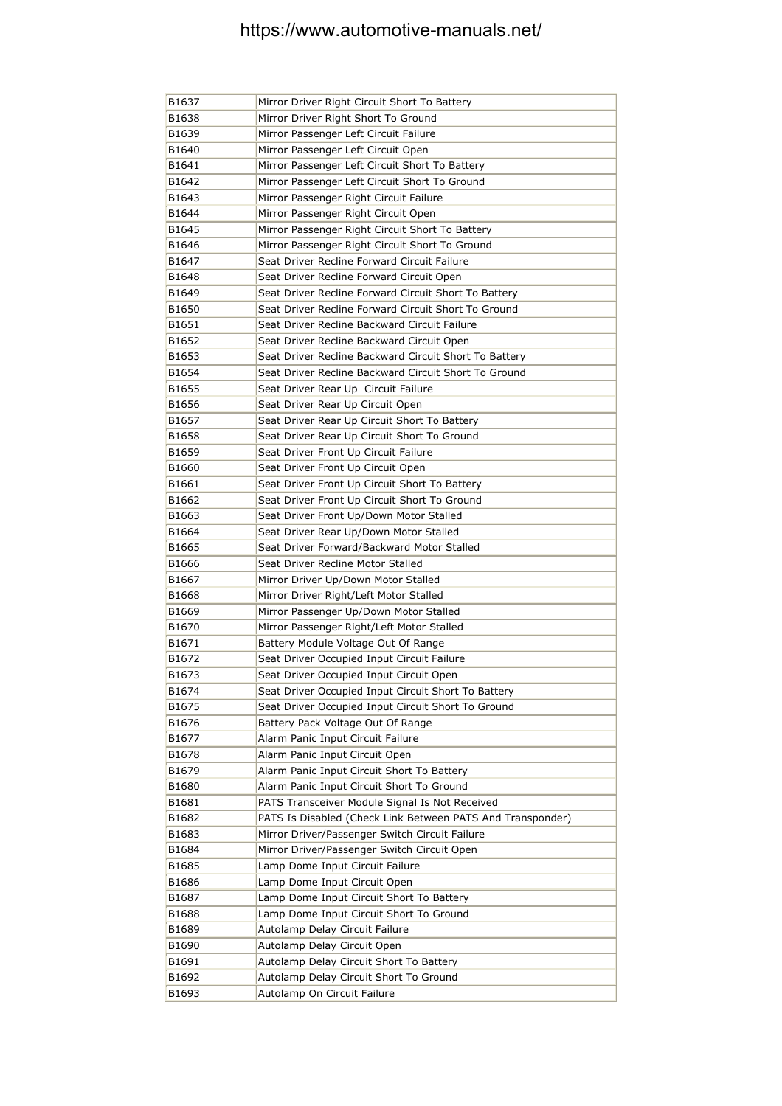| B1637 | Mirror Driver Right Circuit Short To Battery               |
|-------|------------------------------------------------------------|
| B1638 | Mirror Driver Right Short To Ground                        |
| B1639 | Mirror Passenger Left Circuit Failure                      |
| B1640 | Mirror Passenger Left Circuit Open                         |
| B1641 | Mirror Passenger Left Circuit Short To Battery             |
| B1642 | Mirror Passenger Left Circuit Short To Ground              |
| B1643 | Mirror Passenger Right Circuit Failure                     |
| B1644 | Mirror Passenger Right Circuit Open                        |
| B1645 | Mirror Passenger Right Circuit Short To Battery            |
| B1646 | Mirror Passenger Right Circuit Short To Ground             |
| B1647 | Seat Driver Recline Forward Circuit Failure                |
| B1648 | Seat Driver Recline Forward Circuit Open                   |
| B1649 | Seat Driver Recline Forward Circuit Short To Battery       |
| B1650 | Seat Driver Recline Forward Circuit Short To Ground        |
| B1651 | Seat Driver Recline Backward Circuit Failure               |
| B1652 | Seat Driver Recline Backward Circuit Open                  |
| B1653 | Seat Driver Recline Backward Circuit Short To Battery      |
| B1654 | Seat Driver Recline Backward Circuit Short To Ground       |
| B1655 | Seat Driver Rear Up Circuit Failure                        |
| B1656 | Seat Driver Rear Up Circuit Open                           |
| B1657 | Seat Driver Rear Up Circuit Short To Battery               |
| B1658 | Seat Driver Rear Up Circuit Short To Ground                |
| B1659 | Seat Driver Front Up Circuit Failure                       |
| B1660 | Seat Driver Front Up Circuit Open                          |
| B1661 | Seat Driver Front Up Circuit Short To Battery              |
| B1662 | Seat Driver Front Up Circuit Short To Ground               |
| B1663 | Seat Driver Front Up/Down Motor Stalled                    |
| B1664 | Seat Driver Rear Up/Down Motor Stalled                     |
| B1665 | Seat Driver Forward/Backward Motor Stalled                 |
| B1666 | Seat Driver Recline Motor Stalled                          |
| B1667 | Mirror Driver Up/Down Motor Stalled                        |
| B1668 | Mirror Driver Right/Left Motor Stalled                     |
| B1669 | Mirror Passenger Up/Down Motor Stalled                     |
| B1670 | Mirror Passenger Right/Left Motor Stalled                  |
| B1671 | Battery Module Voltage Out Of Range                        |
| B1672 | Seat Driver Occupied Input Circuit Failure                 |
| B1673 | Seat Driver Occupied Input Circuit Open                    |
| B1674 | Seat Driver Occupied Input Circuit Short To Battery        |
| B1675 | Seat Driver Occupied Input Circuit Short To Ground         |
| B1676 | Battery Pack Voltage Out Of Range                          |
| B1677 | Alarm Panic Input Circuit Failure                          |
| B1678 | Alarm Panic Input Circuit Open                             |
| B1679 | Alarm Panic Input Circuit Short To Battery                 |
| B1680 | Alarm Panic Input Circuit Short To Ground                  |
| B1681 | PATS Transceiver Module Signal Is Not Received             |
| B1682 | PATS Is Disabled (Check Link Between PATS And Transponder) |
| B1683 | Mirror Driver/Passenger Switch Circuit Failure             |
| B1684 | Mirror Driver/Passenger Switch Circuit Open                |
| B1685 | Lamp Dome Input Circuit Failure                            |
| B1686 | Lamp Dome Input Circuit Open                               |
| B1687 | Lamp Dome Input Circuit Short To Battery                   |
| B1688 | Lamp Dome Input Circuit Short To Ground                    |
| B1689 | Autolamp Delay Circuit Failure                             |
| B1690 | Autolamp Delay Circuit Open                                |
| B1691 | Autolamp Delay Circuit Short To Battery                    |
| B1692 | Autolamp Delay Circuit Short To Ground                     |
| B1693 | Autolamp On Circuit Failure                                |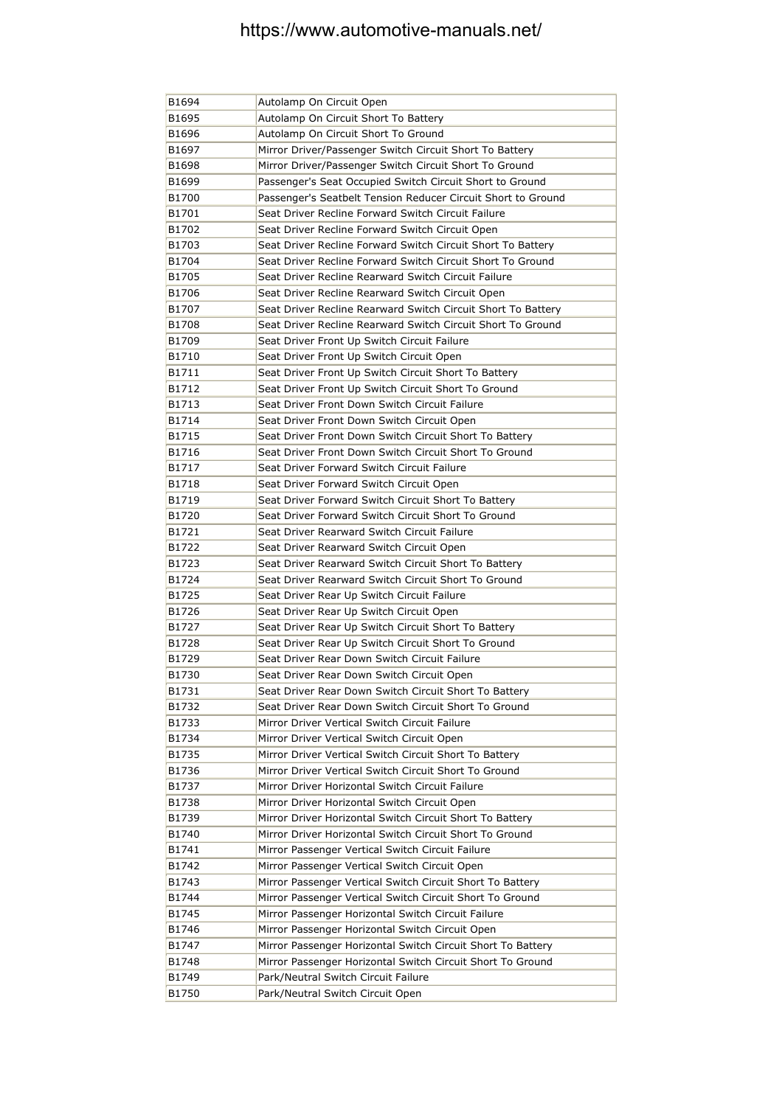| B1694          | Autolamp On Circuit Open                                                                                                  |
|----------------|---------------------------------------------------------------------------------------------------------------------------|
| B1695          | Autolamp On Circuit Short To Battery                                                                                      |
| B1696          | Autolamp On Circuit Short To Ground                                                                                       |
| B1697          | Mirror Driver/Passenger Switch Circuit Short To Battery                                                                   |
| B1698          | Mirror Driver/Passenger Switch Circuit Short To Ground                                                                    |
| B1699          | Passenger's Seat Occupied Switch Circuit Short to Ground                                                                  |
| B1700          | Passenger's Seatbelt Tension Reducer Circuit Short to Ground                                                              |
| B1701          | Seat Driver Recline Forward Switch Circuit Failure                                                                        |
| B1702          | Seat Driver Recline Forward Switch Circuit Open                                                                           |
| B1703          | Seat Driver Recline Forward Switch Circuit Short To Battery                                                               |
| B1704          | Seat Driver Recline Forward Switch Circuit Short To Ground                                                                |
| B1705          | Seat Driver Recline Rearward Switch Circuit Failure                                                                       |
| B1706          | Seat Driver Recline Rearward Switch Circuit Open                                                                          |
| B1707          | Seat Driver Recline Rearward Switch Circuit Short To Battery                                                              |
| B1708          | Seat Driver Recline Rearward Switch Circuit Short To Ground                                                               |
| B1709          | Seat Driver Front Up Switch Circuit Failure                                                                               |
| B1710          | Seat Driver Front Up Switch Circuit Open                                                                                  |
| B1711          | Seat Driver Front Up Switch Circuit Short To Battery                                                                      |
| B1712          | Seat Driver Front Up Switch Circuit Short To Ground                                                                       |
| B1713          | Seat Driver Front Down Switch Circuit Failure                                                                             |
| B1714          | Seat Driver Front Down Switch Circuit Open                                                                                |
| B1715          | Seat Driver Front Down Switch Circuit Short To Battery                                                                    |
| B1716          | Seat Driver Front Down Switch Circuit Short To Ground                                                                     |
| B1717          | Seat Driver Forward Switch Circuit Failure                                                                                |
| B1718          | Seat Driver Forward Switch Circuit Open                                                                                   |
| B1719          | Seat Driver Forward Switch Circuit Short To Battery                                                                       |
| B1720          | Seat Driver Forward Switch Circuit Short To Ground                                                                        |
| B1721          | Seat Driver Rearward Switch Circuit Failure                                                                               |
| B1722          | Seat Driver Rearward Switch Circuit Open                                                                                  |
| B1723          | Seat Driver Rearward Switch Circuit Short To Battery                                                                      |
| B1724          | Seat Driver Rearward Switch Circuit Short To Ground                                                                       |
| B1725          | Seat Driver Rear Up Switch Circuit Failure                                                                                |
| B1726          | Seat Driver Rear Up Switch Circuit Open                                                                                   |
| B1727          | Seat Driver Rear Up Switch Circuit Short To Battery                                                                       |
| B1728          | Seat Driver Rear Up Switch Circuit Short To Ground                                                                        |
| B1729          | Seat Driver Rear Down Switch Circuit Failure                                                                              |
| B1730          | Seat Driver Rear Down Switch Circuit Open                                                                                 |
| B1731          | Seat Driver Rear Down Switch Circuit Short To Battery                                                                     |
| B1732          | Seat Driver Rear Down Switch Circuit Short To Ground                                                                      |
| B1733          | Mirror Driver Vertical Switch Circuit Failure                                                                             |
| B1734          | Mirror Driver Vertical Switch Circuit Open                                                                                |
| B1735          | Mirror Driver Vertical Switch Circuit Short To Battery                                                                    |
| B1736          | Mirror Driver Vertical Switch Circuit Short To Ground                                                                     |
| B1737          | Mirror Driver Horizontal Switch Circuit Failure                                                                           |
| B1738          | Mirror Driver Horizontal Switch Circuit Open                                                                              |
| B1739          | Mirror Driver Horizontal Switch Circuit Short To Battery                                                                  |
| B1740          | Mirror Driver Horizontal Switch Circuit Short To Ground                                                                   |
| B1741          | Mirror Passenger Vertical Switch Circuit Failure                                                                          |
| B1742          | Mirror Passenger Vertical Switch Circuit Open                                                                             |
| B1743          | Mirror Passenger Vertical Switch Circuit Short To Battery                                                                 |
| B1744          | Mirror Passenger Vertical Switch Circuit Short To Ground                                                                  |
| B1745<br>B1746 | Mirror Passenger Horizontal Switch Circuit Failure                                                                        |
|                | Mirror Passenger Horizontal Switch Circuit Open                                                                           |
| B1747<br>B1748 | Mirror Passenger Horizontal Switch Circuit Short To Battery<br>Mirror Passenger Horizontal Switch Circuit Short To Ground |
| B1749          | Park/Neutral Switch Circuit Failure                                                                                       |
| B1750          | Park/Neutral Switch Circuit Open                                                                                          |
|                |                                                                                                                           |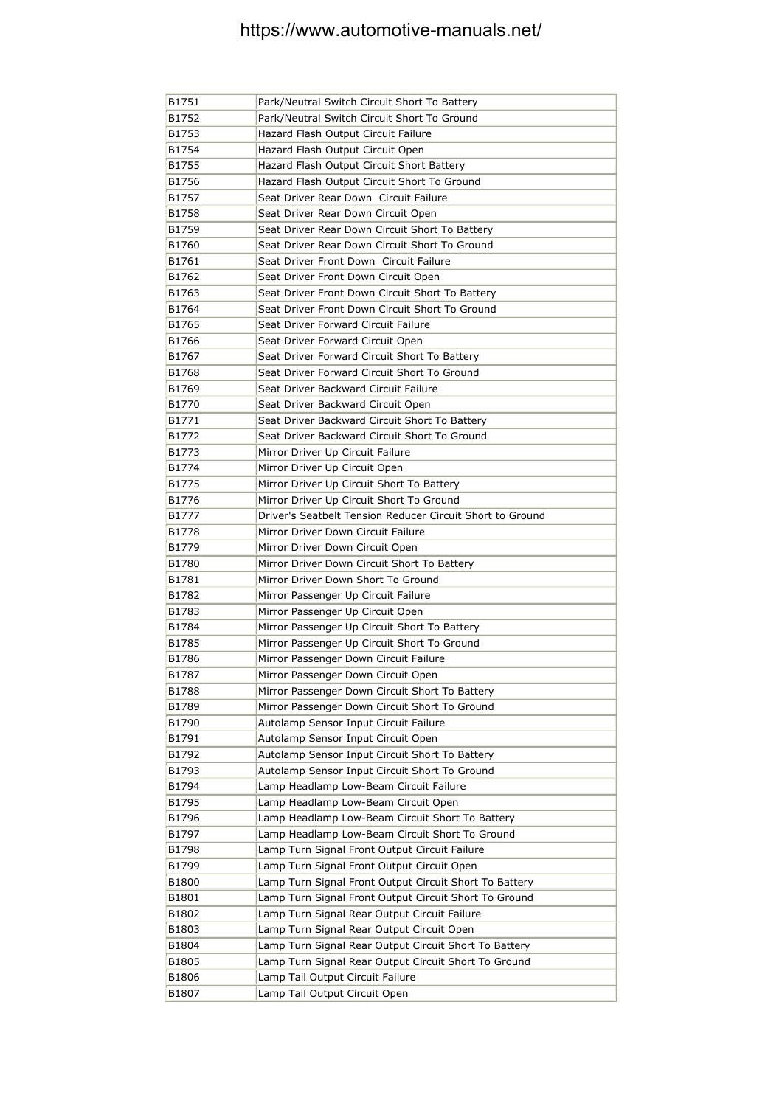| B1751 | Park/Neutral Switch Circuit Short To Battery              |
|-------|-----------------------------------------------------------|
| B1752 | Park/Neutral Switch Circuit Short To Ground               |
| B1753 | Hazard Flash Output Circuit Failure                       |
| B1754 | Hazard Flash Output Circuit Open                          |
| B1755 | Hazard Flash Output Circuit Short Battery                 |
| B1756 | Hazard Flash Output Circuit Short To Ground               |
| B1757 | Seat Driver Rear Down Circuit Failure                     |
| B1758 | Seat Driver Rear Down Circuit Open                        |
| B1759 | Seat Driver Rear Down Circuit Short To Battery            |
| B1760 | Seat Driver Rear Down Circuit Short To Ground             |
| B1761 | Seat Driver Front Down Circuit Failure                    |
| B1762 | Seat Driver Front Down Circuit Open                       |
| B1763 | Seat Driver Front Down Circuit Short To Battery           |
| B1764 | Seat Driver Front Down Circuit Short To Ground            |
| B1765 | Seat Driver Forward Circuit Failure                       |
| B1766 | Seat Driver Forward Circuit Open                          |
| B1767 | Seat Driver Forward Circuit Short To Battery              |
| B1768 | Seat Driver Forward Circuit Short To Ground               |
| B1769 | Seat Driver Backward Circuit Failure                      |
| B1770 | Seat Driver Backward Circuit Open                         |
| B1771 | Seat Driver Backward Circuit Short To Battery             |
| B1772 | Seat Driver Backward Circuit Short To Ground              |
| B1773 | Mirror Driver Up Circuit Failure                          |
| B1774 | Mirror Driver Up Circuit Open                             |
| B1775 | Mirror Driver Up Circuit Short To Battery                 |
| B1776 | Mirror Driver Up Circuit Short To Ground                  |
| B1777 | Driver's Seatbelt Tension Reducer Circuit Short to Ground |
| B1778 | Mirror Driver Down Circuit Failure                        |
| B1779 | Mirror Driver Down Circuit Open                           |
| B1780 | Mirror Driver Down Circuit Short To Battery               |
| B1781 | Mirror Driver Down Short To Ground                        |
| B1782 | Mirror Passenger Up Circuit Failure                       |
| B1783 | Mirror Passenger Up Circuit Open                          |
| B1784 | Mirror Passenger Up Circuit Short To Battery              |
| B1785 | Mirror Passenger Up Circuit Short To Ground               |
| B1786 | Mirror Passenger Down Circuit Failure                     |
| B1787 | Mirror Passenger Down Circuit Open                        |
| B1788 | Mirror Passenger Down Circuit Short To Battery            |
| B1789 | Mirror Passenger Down Circuit Short To Ground             |
| B1790 | Autolamp Sensor Input Circuit Failure                     |
| B1791 | Autolamp Sensor Input Circuit Open                        |
| B1792 | Autolamp Sensor Input Circuit Short To Battery            |
| B1793 | Autolamp Sensor Input Circuit Short To Ground             |
| B1794 | Lamp Headlamp Low-Beam Circuit Failure                    |
| B1795 | Lamp Headlamp Low-Beam Circuit Open                       |
| B1796 | Lamp Headlamp Low-Beam Circuit Short To Battery           |
| B1797 | Lamp Headlamp Low-Beam Circuit Short To Ground            |
| B1798 | Lamp Turn Signal Front Output Circuit Failure             |
| B1799 | Lamp Turn Signal Front Output Circuit Open                |
| B1800 | Lamp Turn Signal Front Output Circuit Short To Battery    |
| B1801 | Lamp Turn Signal Front Output Circuit Short To Ground     |
| B1802 | Lamp Turn Signal Rear Output Circuit Failure              |
| B1803 | Lamp Turn Signal Rear Output Circuit Open                 |
| B1804 | Lamp Turn Signal Rear Output Circuit Short To Battery     |
| B1805 | Lamp Turn Signal Rear Output Circuit Short To Ground      |
| B1806 | Lamp Tail Output Circuit Failure                          |
| B1807 | Lamp Tail Output Circuit Open                             |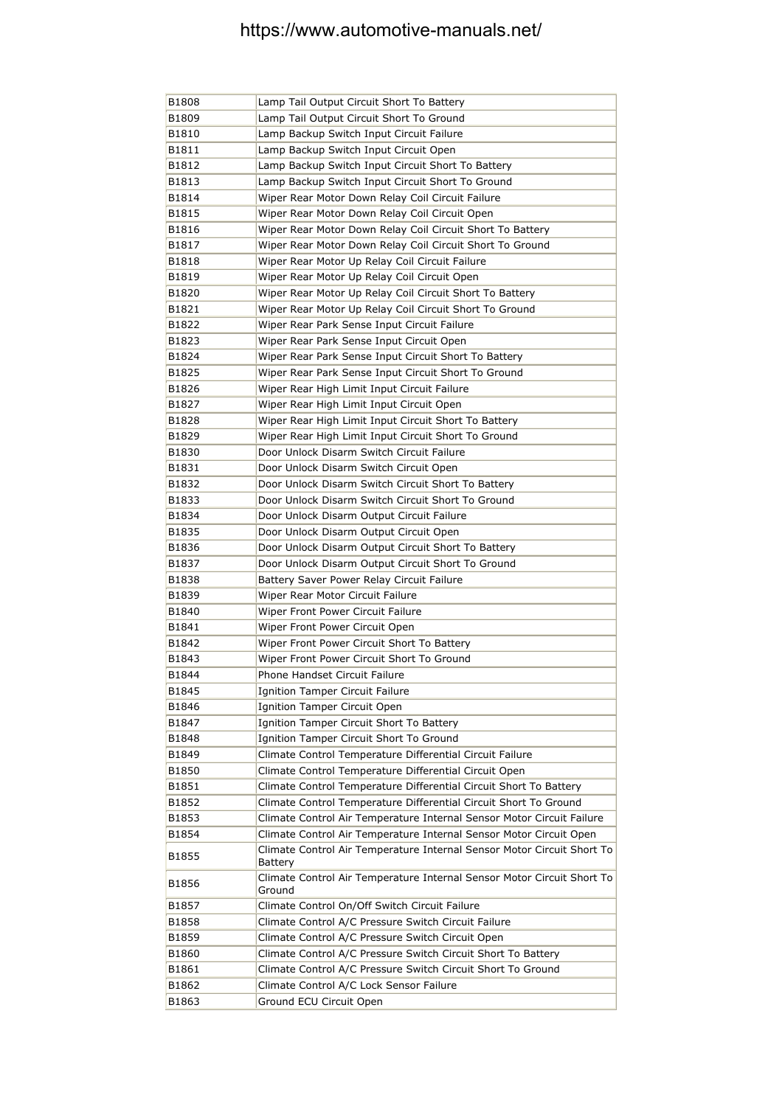| B1808 | Lamp Tail Output Circuit Short To Battery                                         |
|-------|-----------------------------------------------------------------------------------|
| B1809 | Lamp Tail Output Circuit Short To Ground                                          |
| B1810 | Lamp Backup Switch Input Circuit Failure                                          |
| B1811 | Lamp Backup Switch Input Circuit Open                                             |
| B1812 | Lamp Backup Switch Input Circuit Short To Battery                                 |
| B1813 | Lamp Backup Switch Input Circuit Short To Ground                                  |
| B1814 | Wiper Rear Motor Down Relay Coil Circuit Failure                                  |
| B1815 | Wiper Rear Motor Down Relay Coil Circuit Open                                     |
| B1816 | Wiper Rear Motor Down Relay Coil Circuit Short To Battery                         |
| B1817 | Wiper Rear Motor Down Relay Coil Circuit Short To Ground                          |
| B1818 | Wiper Rear Motor Up Relay Coil Circuit Failure                                    |
| B1819 | Wiper Rear Motor Up Relay Coil Circuit Open                                       |
| B1820 | Wiper Rear Motor Up Relay Coil Circuit Short To Battery                           |
| B1821 | Wiper Rear Motor Up Relay Coil Circuit Short To Ground                            |
| B1822 | Wiper Rear Park Sense Input Circuit Failure                                       |
| B1823 | Wiper Rear Park Sense Input Circuit Open                                          |
| B1824 | Wiper Rear Park Sense Input Circuit Short To Battery                              |
| B1825 | Wiper Rear Park Sense Input Circuit Short To Ground                               |
| B1826 | Wiper Rear High Limit Input Circuit Failure                                       |
| B1827 | Wiper Rear High Limit Input Circuit Open                                          |
| B1828 | Wiper Rear High Limit Input Circuit Short To Battery                              |
| B1829 | Wiper Rear High Limit Input Circuit Short To Ground                               |
| B1830 | Door Unlock Disarm Switch Circuit Failure                                         |
| B1831 | Door Unlock Disarm Switch Circuit Open                                            |
| B1832 | Door Unlock Disarm Switch Circuit Short To Battery                                |
| B1833 | Door Unlock Disarm Switch Circuit Short To Ground                                 |
| B1834 | Door Unlock Disarm Output Circuit Failure                                         |
| B1835 | Door Unlock Disarm Output Circuit Open                                            |
| B1836 | Door Unlock Disarm Output Circuit Short To Battery                                |
| B1837 | Door Unlock Disarm Output Circuit Short To Ground                                 |
| B1838 | Battery Saver Power Relay Circuit Failure                                         |
| B1839 | Wiper Rear Motor Circuit Failure                                                  |
| B1840 | Wiper Front Power Circuit Failure                                                 |
| B1841 | Wiper Front Power Circuit Open                                                    |
| B1842 | Wiper Front Power Circuit Short To Battery                                        |
| B1843 | Wiper Front Power Circuit Short To Ground                                         |
| B1844 | Phone Handset Circuit Failure                                                     |
| B1845 | Ignition Tamper Circuit Failure                                                   |
| B1846 | Ignition Tamper Circuit Open                                                      |
| B1847 | Ignition Tamper Circuit Short To Battery                                          |
| B1848 | Ignition Tamper Circuit Short To Ground                                           |
| B1849 | Climate Control Temperature Differential Circuit Failure                          |
| B1850 | Climate Control Temperature Differential Circuit Open                             |
| B1851 | Climate Control Temperature Differential Circuit Short To Battery                 |
| B1852 | Climate Control Temperature Differential Circuit Short To Ground                  |
| B1853 | Climate Control Air Temperature Internal Sensor Motor Circuit Failure             |
| B1854 | Climate Control Air Temperature Internal Sensor Motor Circuit Open                |
| B1855 | Climate Control Air Temperature Internal Sensor Motor Circuit Short To<br>Battery |
| B1856 | Climate Control Air Temperature Internal Sensor Motor Circuit Short To<br>Ground  |
| B1857 | Climate Control On/Off Switch Circuit Failure                                     |
| B1858 | Climate Control A/C Pressure Switch Circuit Failure                               |
| B1859 | Climate Control A/C Pressure Switch Circuit Open                                  |
| B1860 | Climate Control A/C Pressure Switch Circuit Short To Battery                      |
| B1861 | Climate Control A/C Pressure Switch Circuit Short To Ground                       |
| B1862 | Climate Control A/C Lock Sensor Failure                                           |
| B1863 | Ground ECU Circuit Open                                                           |
|       |                                                                                   |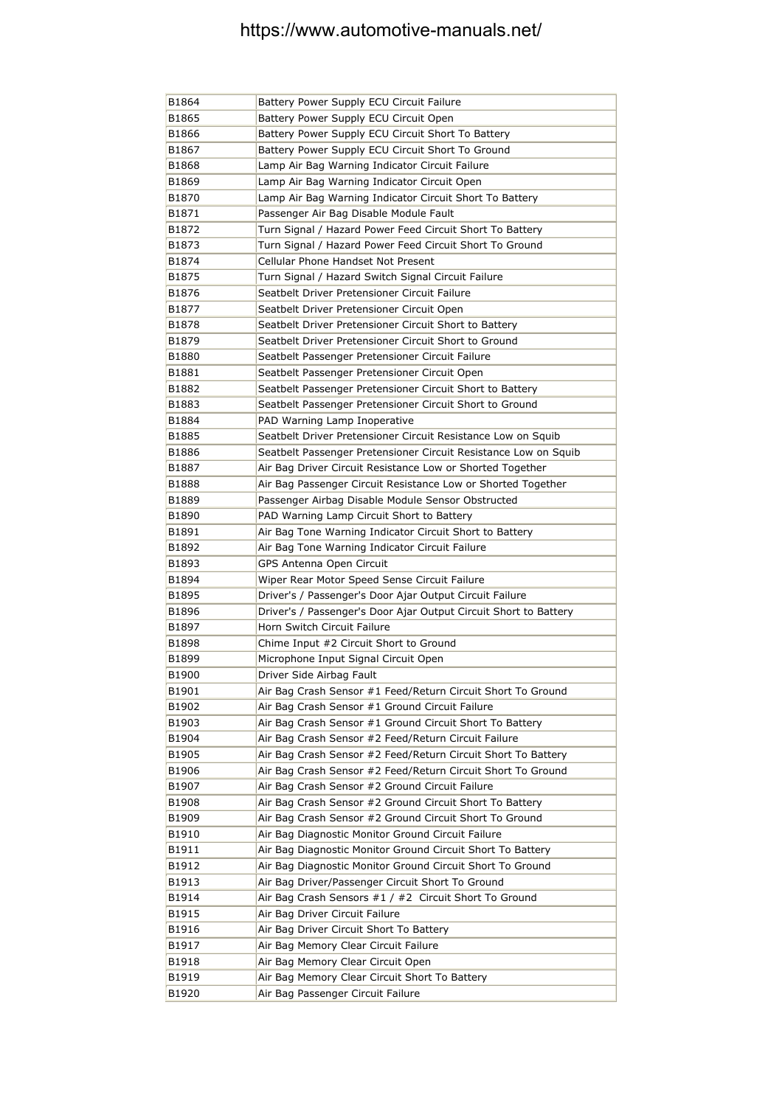| B1864 | Battery Power Supply ECU Circuit Failure                         |
|-------|------------------------------------------------------------------|
| B1865 | Battery Power Supply ECU Circuit Open                            |
| B1866 | Battery Power Supply ECU Circuit Short To Battery                |
| B1867 | Battery Power Supply ECU Circuit Short To Ground                 |
| B1868 | Lamp Air Bag Warning Indicator Circuit Failure                   |
| B1869 | Lamp Air Bag Warning Indicator Circuit Open                      |
| B1870 | Lamp Air Bag Warning Indicator Circuit Short To Battery          |
| B1871 | Passenger Air Bag Disable Module Fault                           |
| B1872 | Turn Signal / Hazard Power Feed Circuit Short To Battery         |
| B1873 | Turn Signal / Hazard Power Feed Circuit Short To Ground          |
| B1874 | Cellular Phone Handset Not Present                               |
| B1875 | Turn Signal / Hazard Switch Signal Circuit Failure               |
| B1876 | Seatbelt Driver Pretensioner Circuit Failure                     |
| B1877 | Seatbelt Driver Pretensioner Circuit Open                        |
| B1878 | Seatbelt Driver Pretensioner Circuit Short to Battery            |
| B1879 | Seatbelt Driver Pretensioner Circuit Short to Ground             |
| B1880 | Seatbelt Passenger Pretensioner Circuit Failure                  |
| B1881 | Seatbelt Passenger Pretensioner Circuit Open                     |
| B1882 | Seatbelt Passenger Pretensioner Circuit Short to Battery         |
| B1883 | Seatbelt Passenger Pretensioner Circuit Short to Ground          |
| B1884 | PAD Warning Lamp Inoperative                                     |
| B1885 | Seatbelt Driver Pretensioner Circuit Resistance Low on Squib     |
| B1886 | Seatbelt Passenger Pretensioner Circuit Resistance Low on Squib  |
| B1887 | Air Bag Driver Circuit Resistance Low or Shorted Together        |
| B1888 | Air Bag Passenger Circuit Resistance Low or Shorted Together     |
| B1889 | Passenger Airbag Disable Module Sensor Obstructed                |
| B1890 | PAD Warning Lamp Circuit Short to Battery                        |
| B1891 | Air Bag Tone Warning Indicator Circuit Short to Battery          |
| B1892 | Air Bag Tone Warning Indicator Circuit Failure                   |
| B1893 | GPS Antenna Open Circuit                                         |
| B1894 | Wiper Rear Motor Speed Sense Circuit Failure                     |
| B1895 | Driver's / Passenger's Door Ajar Output Circuit Failure          |
| B1896 | Driver's / Passenger's Door Ajar Output Circuit Short to Battery |
| B1897 | Horn Switch Circuit Failure                                      |
| B1898 | Chime Input #2 Circuit Short to Ground                           |
| B1899 | Microphone Input Signal Circuit Open                             |
| B1900 | Driver Side Airbag Fault                                         |
| B1901 | Air Bag Crash Sensor #1 Feed/Return Circuit Short To Ground      |
| B1902 | Air Bag Crash Sensor #1 Ground Circuit Failure                   |
| B1903 | Air Bag Crash Sensor #1 Ground Circuit Short To Battery          |
| B1904 | Air Bag Crash Sensor #2 Feed/Return Circuit Failure              |
| B1905 | Air Bag Crash Sensor #2 Feed/Return Circuit Short To Battery     |
| B1906 | Air Bag Crash Sensor #2 Feed/Return Circuit Short To Ground      |
| B1907 | Air Bag Crash Sensor #2 Ground Circuit Failure                   |
| B1908 | Air Bag Crash Sensor #2 Ground Circuit Short To Battery          |
| B1909 | Air Bag Crash Sensor #2 Ground Circuit Short To Ground           |
| B1910 | Air Bag Diagnostic Monitor Ground Circuit Failure                |
| B1911 | Air Bag Diagnostic Monitor Ground Circuit Short To Battery       |
| B1912 | Air Bag Diagnostic Monitor Ground Circuit Short To Ground        |
| B1913 | Air Bag Driver/Passenger Circuit Short To Ground                 |
| B1914 | Air Bag Crash Sensors #1 / #2 Circuit Short To Ground            |
| B1915 | Air Bag Driver Circuit Failure                                   |
| B1916 | Air Bag Driver Circuit Short To Battery                          |
| B1917 | Air Bag Memory Clear Circuit Failure                             |
| B1918 | Air Bag Memory Clear Circuit Open                                |
| B1919 | Air Bag Memory Clear Circuit Short To Battery                    |
| B1920 | Air Bag Passenger Circuit Failure                                |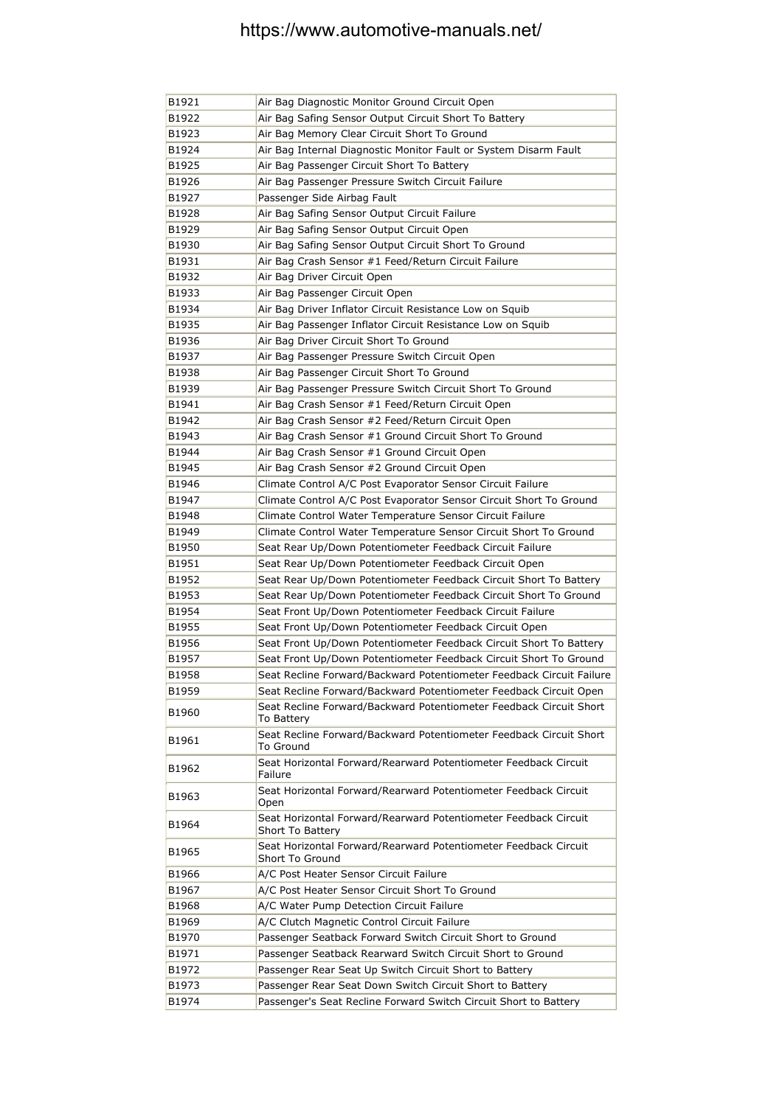| B1921 | Air Bag Diagnostic Monitor Ground Circuit Open                                             |
|-------|--------------------------------------------------------------------------------------------|
| B1922 | Air Bag Safing Sensor Output Circuit Short To Battery                                      |
| B1923 | Air Bag Memory Clear Circuit Short To Ground                                               |
| B1924 | Air Bag Internal Diagnostic Monitor Fault or System Disarm Fault                           |
| B1925 | Air Bag Passenger Circuit Short To Battery                                                 |
| B1926 | Air Bag Passenger Pressure Switch Circuit Failure                                          |
| B1927 | Passenger Side Airbag Fault                                                                |
| B1928 | Air Bag Safing Sensor Output Circuit Failure                                               |
| B1929 | Air Bag Safing Sensor Output Circuit Open                                                  |
| B1930 | Air Bag Safing Sensor Output Circuit Short To Ground                                       |
| B1931 | Air Bag Crash Sensor #1 Feed/Return Circuit Failure                                        |
| B1932 | Air Bag Driver Circuit Open                                                                |
| B1933 | Air Bag Passenger Circuit Open                                                             |
| B1934 | Air Bag Driver Inflator Circuit Resistance Low on Squib                                    |
| B1935 | Air Bag Passenger Inflator Circuit Resistance Low on Squib                                 |
| B1936 | Air Bag Driver Circuit Short To Ground                                                     |
| B1937 | Air Bag Passenger Pressure Switch Circuit Open                                             |
| B1938 | Air Bag Passenger Circuit Short To Ground                                                  |
| B1939 | Air Bag Passenger Pressure Switch Circuit Short To Ground                                  |
| B1941 | Air Bag Crash Sensor #1 Feed/Return Circuit Open                                           |
| B1942 | Air Bag Crash Sensor #2 Feed/Return Circuit Open                                           |
| B1943 | Air Bag Crash Sensor #1 Ground Circuit Short To Ground                                     |
| B1944 | Air Bag Crash Sensor #1 Ground Circuit Open                                                |
| B1945 | Air Bag Crash Sensor #2 Ground Circuit Open                                                |
| B1946 | Climate Control A/C Post Evaporator Sensor Circuit Failure                                 |
| B1947 | Climate Control A/C Post Evaporator Sensor Circuit Short To Ground                         |
| B1948 | Climate Control Water Temperature Sensor Circuit Failure                                   |
| B1949 | Climate Control Water Temperature Sensor Circuit Short To Ground                           |
| B1950 | Seat Rear Up/Down Potentiometer Feedback Circuit Failure                                   |
| B1951 | Seat Rear Up/Down Potentiometer Feedback Circuit Open                                      |
| B1952 | Seat Rear Up/Down Potentiometer Feedback Circuit Short To Battery                          |
| B1953 | Seat Rear Up/Down Potentiometer Feedback Circuit Short To Ground                           |
| B1954 | Seat Front Up/Down Potentiometer Feedback Circuit Failure                                  |
| B1955 | Seat Front Up/Down Potentiometer Feedback Circuit Open                                     |
| B1956 | Seat Front Up/Down Potentiometer Feedback Circuit Short To Battery                         |
| B1957 | Seat Front Up/Down Potentiometer Feedback Circuit Short To Ground                          |
| B1958 | Seat Recline Forward/Backward Potentiometer Feedback Circuit Failure                       |
| B1959 | Seat Recline Forward/Backward Potentiometer Feedback Circuit Open                          |
| B1960 | Seat Recline Forward/Backward Potentiometer Feedback Circuit Short<br>To Battery           |
| B1961 | Seat Recline Forward/Backward Potentiometer Feedback Circuit Short<br>To Ground            |
| B1962 | Seat Horizontal Forward/Rearward Potentiometer Feedback Circuit<br>Failure                 |
| B1963 | Seat Horizontal Forward/Rearward Potentiometer Feedback Circuit<br>Open                    |
| B1964 | Seat Horizontal Forward/Rearward Potentiometer Feedback Circuit<br><b>Short To Battery</b> |
| B1965 | Seat Horizontal Forward/Rearward Potentiometer Feedback Circuit<br>Short To Ground         |
| B1966 | A/C Post Heater Sensor Circuit Failure                                                     |
| B1967 | A/C Post Heater Sensor Circuit Short To Ground                                             |
| B1968 | A/C Water Pump Detection Circuit Failure                                                   |
| B1969 | A/C Clutch Magnetic Control Circuit Failure                                                |
| B1970 | Passenger Seatback Forward Switch Circuit Short to Ground                                  |
| B1971 | Passenger Seatback Rearward Switch Circuit Short to Ground                                 |
| B1972 | Passenger Rear Seat Up Switch Circuit Short to Battery                                     |
| B1973 | Passenger Rear Seat Down Switch Circuit Short to Battery                                   |
| B1974 | Passenger's Seat Recline Forward Switch Circuit Short to Battery                           |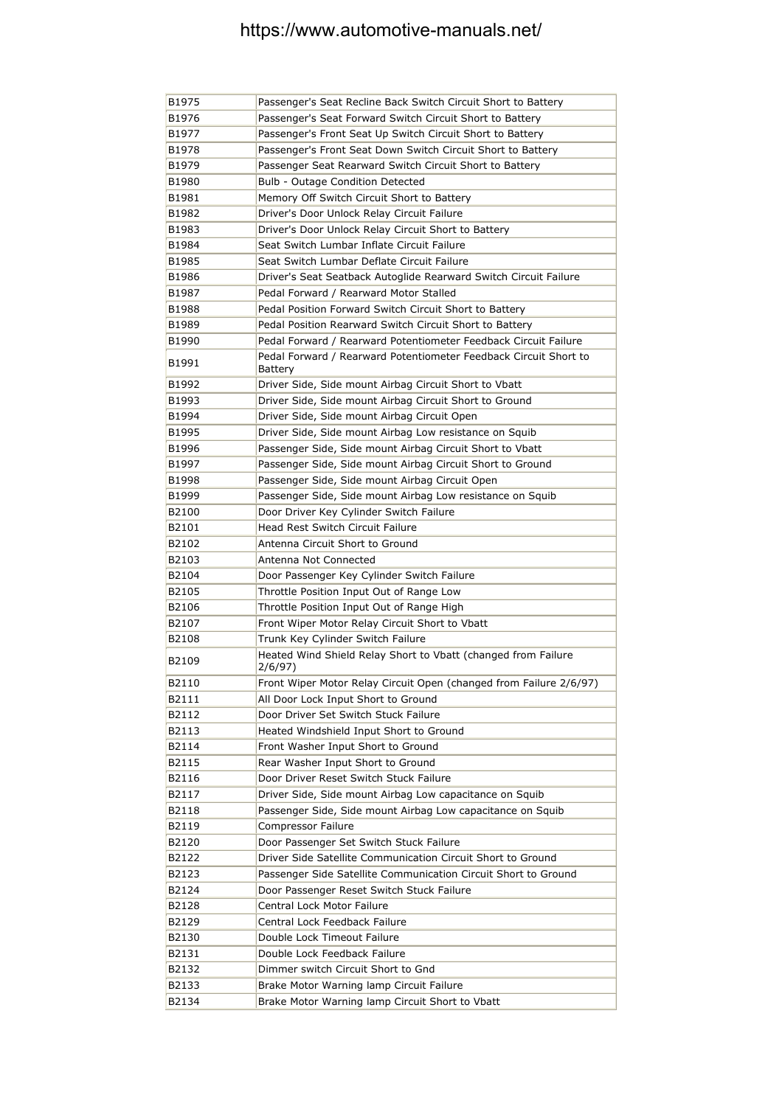| B1975 | Passenger's Seat Recline Back Switch Circuit Short to Battery               |
|-------|-----------------------------------------------------------------------------|
| B1976 | Passenger's Seat Forward Switch Circuit Short to Battery                    |
| B1977 | Passenger's Front Seat Up Switch Circuit Short to Battery                   |
| B1978 | Passenger's Front Seat Down Switch Circuit Short to Battery                 |
| B1979 | Passenger Seat Rearward Switch Circuit Short to Battery                     |
| B1980 | Bulb - Outage Condition Detected                                            |
| B1981 | Memory Off Switch Circuit Short to Battery                                  |
| B1982 | Driver's Door Unlock Relay Circuit Failure                                  |
| B1983 | Driver's Door Unlock Relay Circuit Short to Battery                         |
| B1984 | Seat Switch Lumbar Inflate Circuit Failure                                  |
| B1985 | Seat Switch Lumbar Deflate Circuit Failure                                  |
| B1986 | Driver's Seat Seatback Autoglide Rearward Switch Circuit Failure            |
| B1987 | Pedal Forward / Rearward Motor Stalled                                      |
| B1988 | Pedal Position Forward Switch Circuit Short to Battery                      |
| B1989 | Pedal Position Rearward Switch Circuit Short to Battery                     |
| B1990 | Pedal Forward / Rearward Potentiometer Feedback Circuit Failure             |
| B1991 | Pedal Forward / Rearward Potentiometer Feedback Circuit Short to<br>Battery |
| B1992 | Driver Side, Side mount Airbag Circuit Short to Vbatt                       |
| B1993 | Driver Side, Side mount Airbag Circuit Short to Ground                      |
| B1994 | Driver Side, Side mount Airbag Circuit Open                                 |
| B1995 | Driver Side, Side mount Airbag Low resistance on Squib                      |
| B1996 | Passenger Side, Side mount Airbag Circuit Short to Vbatt                    |
| B1997 | Passenger Side, Side mount Airbag Circuit Short to Ground                   |
| B1998 | Passenger Side, Side mount Airbag Circuit Open                              |
| B1999 | Passenger Side, Side mount Airbag Low resistance on Squib                   |
| B2100 | Door Driver Key Cylinder Switch Failure                                     |
| B2101 | Head Rest Switch Circuit Failure                                            |
| B2102 | Antenna Circuit Short to Ground                                             |
| B2103 | Antenna Not Connected                                                       |
| B2104 | Door Passenger Key Cylinder Switch Failure                                  |
| B2105 | Throttle Position Input Out of Range Low                                    |
| B2106 | Throttle Position Input Out of Range High                                   |
| B2107 | Front Wiper Motor Relay Circuit Short to Vbatt                              |
| B2108 | Trunk Key Cylinder Switch Failure                                           |
| B2109 | Heated Wind Shield Relay Short to Vbatt (changed from Failure<br>2/6/97)    |
| B2110 | Front Wiper Motor Relay Circuit Open (changed from Failure 2/6/97)          |
| B2111 | All Door Lock Input Short to Ground                                         |
| B2112 | Door Driver Set Switch Stuck Failure                                        |
| B2113 | Heated Windshield Input Short to Ground                                     |
| B2114 | Front Washer Input Short to Ground                                          |
| B2115 | Rear Washer Input Short to Ground                                           |
| B2116 | Door Driver Reset Switch Stuck Failure                                      |
| B2117 | Driver Side, Side mount Airbag Low capacitance on Squib                     |
| B2118 | Passenger Side, Side mount Airbag Low capacitance on Squib                  |
| B2119 | Compressor Failure                                                          |
| B2120 | Door Passenger Set Switch Stuck Failure                                     |
| B2122 | Driver Side Satellite Communication Circuit Short to Ground                 |
| B2123 | Passenger Side Satellite Communication Circuit Short to Ground              |
| B2124 | Door Passenger Reset Switch Stuck Failure                                   |
| B2128 | Central Lock Motor Failure                                                  |
| B2129 | Central Lock Feedback Failure                                               |
| B2130 | Double Lock Timeout Failure                                                 |
| B2131 | Double Lock Feedback Failure                                                |
| B2132 | Dimmer switch Circuit Short to Gnd                                          |
| B2133 | Brake Motor Warning lamp Circuit Failure                                    |
| B2134 | Brake Motor Warning lamp Circuit Short to Vbatt                             |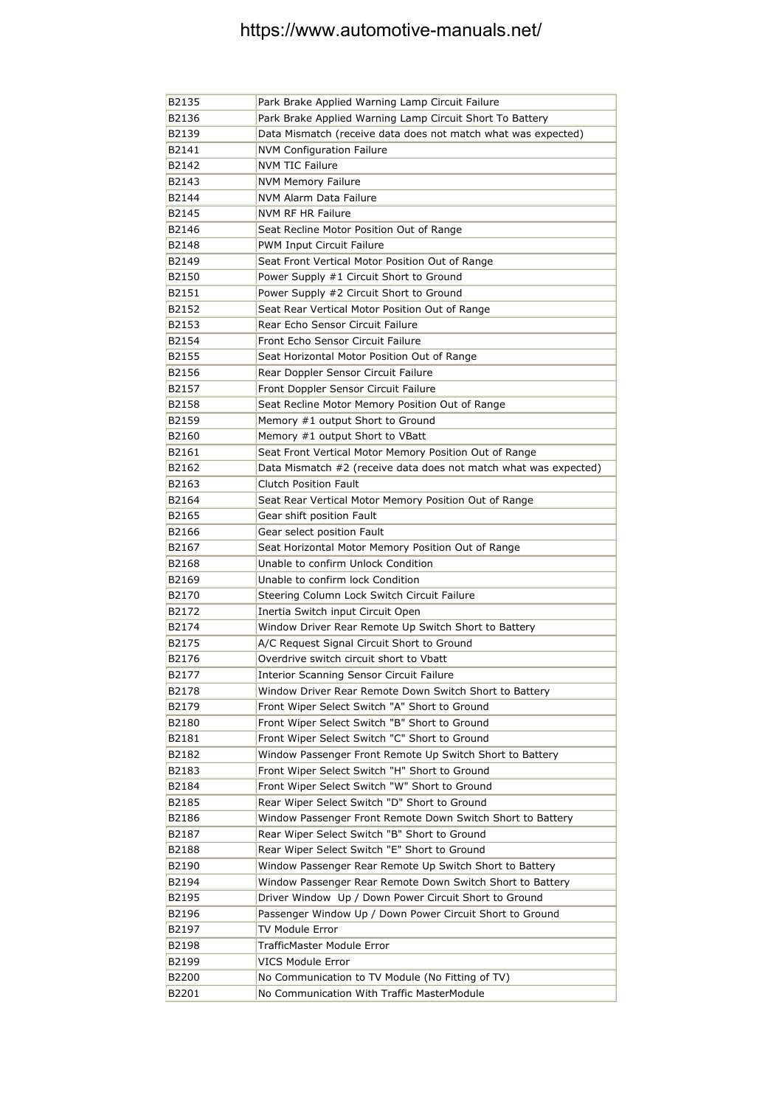| B2135 | Park Brake Applied Warning Lamp Circuit Failure                  |
|-------|------------------------------------------------------------------|
| B2136 | Park Brake Applied Warning Lamp Circuit Short To Battery         |
| B2139 | Data Mismatch (receive data does not match what was expected)    |
| B2141 | <b>NVM Configuration Failure</b>                                 |
| B2142 | <b>NVM TIC Failure</b>                                           |
| B2143 | <b>NVM Memory Failure</b>                                        |
| B2144 | NVM Alarm Data Failure                                           |
| B2145 | <b>NVM RF HR Failure</b>                                         |
| B2146 | Seat Recline Motor Position Out of Range                         |
| B2148 | <b>PWM Input Circuit Failure</b>                                 |
| B2149 | Seat Front Vertical Motor Position Out of Range                  |
| B2150 | Power Supply #1 Circuit Short to Ground                          |
| B2151 | Power Supply #2 Circuit Short to Ground                          |
| B2152 | Seat Rear Vertical Motor Position Out of Range                   |
| B2153 | Rear Echo Sensor Circuit Failure                                 |
| B2154 | Front Echo Sensor Circuit Failure                                |
| B2155 | Seat Horizontal Motor Position Out of Range                      |
| B2156 | Rear Doppler Sensor Circuit Failure                              |
| B2157 | Front Doppler Sensor Circuit Failure                             |
| B2158 | Seat Recline Motor Memory Position Out of Range                  |
| B2159 | Memory #1 output Short to Ground                                 |
| B2160 | Memory #1 output Short to VBatt                                  |
| B2161 | Seat Front Vertical Motor Memory Position Out of Range           |
| B2162 | Data Mismatch #2 (receive data does not match what was expected) |
| B2163 | <b>Clutch Position Fault</b>                                     |
| B2164 | Seat Rear Vertical Motor Memory Position Out of Range            |
| B2165 | Gear shift position Fault                                        |
| B2166 | Gear select position Fault                                       |
| B2167 | Seat Horizontal Motor Memory Position Out of Range               |
| B2168 | Unable to confirm Unlock Condition                               |
| B2169 | Unable to confirm lock Condition                                 |
| B2170 | Steering Column Lock Switch Circuit Failure                      |
| B2172 | Inertia Switch input Circuit Open                                |
| B2174 | Window Driver Rear Remote Up Switch Short to Battery             |
| B2175 | A/C Request Signal Circuit Short to Ground                       |
| B2176 | Overdrive switch circuit short to Vbatt                          |
| B2177 | Interior Scanning Sensor Circuit Failure                         |
| B2178 | Window Driver Rear Remote Down Switch Short to Battery           |
| B2179 | Front Wiper Select Switch "A" Short to Ground                    |
| B2180 | Front Wiper Select Switch "B" Short to Ground                    |
| B2181 | Front Wiper Select Switch "C" Short to Ground                    |
| B2182 | Window Passenger Front Remote Up Switch Short to Battery         |
| B2183 | Front Wiper Select Switch "H" Short to Ground                    |
| B2184 | Front Wiper Select Switch "W" Short to Ground                    |
| B2185 | Rear Wiper Select Switch "D" Short to Ground                     |
| B2186 | Window Passenger Front Remote Down Switch Short to Battery       |
| B2187 | Rear Wiper Select Switch "B" Short to Ground                     |
| B2188 | Rear Wiper Select Switch "E" Short to Ground                     |
| B2190 | Window Passenger Rear Remote Up Switch Short to Battery          |
| B2194 | Window Passenger Rear Remote Down Switch Short to Battery        |
| B2195 | Driver Window Up / Down Power Circuit Short to Ground            |
| B2196 | Passenger Window Up / Down Power Circuit Short to Ground         |
| B2197 | TV Module Error                                                  |
| B2198 | TrafficMaster Module Error                                       |
| B2199 | VICS Module Error                                                |
| B2200 | No Communication to TV Module (No Fitting of TV)                 |
| B2201 | No Communication With Traffic MasterModule                       |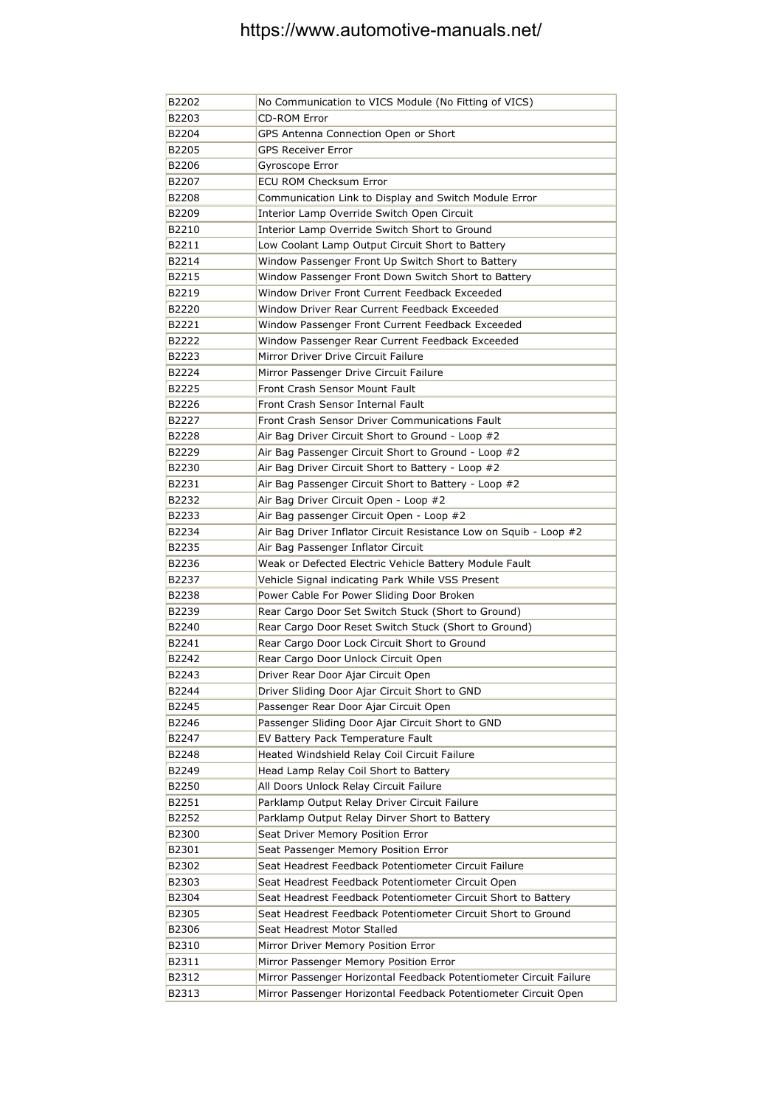| B2202 | No Communication to VICS Module (No Fitting of VICS)               |
|-------|--------------------------------------------------------------------|
| B2203 | <b>CD-ROM Error</b>                                                |
| B2204 | GPS Antenna Connection Open or Short                               |
| B2205 | <b>GPS Receiver Error</b>                                          |
| B2206 | Gyroscope Error                                                    |
| B2207 | <b>ECU ROM Checksum Error</b>                                      |
| B2208 | Communication Link to Display and Switch Module Error              |
| B2209 | Interior Lamp Override Switch Open Circuit                         |
| B2210 | Interior Lamp Override Switch Short to Ground                      |
| B2211 | Low Coolant Lamp Output Circuit Short to Battery                   |
| B2214 | Window Passenger Front Up Switch Short to Battery                  |
| B2215 | Window Passenger Front Down Switch Short to Battery                |
| B2219 | Window Driver Front Current Feedback Exceeded                      |
| B2220 | Window Driver Rear Current Feedback Exceeded                       |
| B2221 | Window Passenger Front Current Feedback Exceeded                   |
| B2222 | Window Passenger Rear Current Feedback Exceeded                    |
| B2223 | Mirror Driver Drive Circuit Failure                                |
| B2224 | Mirror Passenger Drive Circuit Failure                             |
| B2225 | Front Crash Sensor Mount Fault                                     |
| B2226 | Front Crash Sensor Internal Fault                                  |
| B2227 | Front Crash Sensor Driver Communications Fault                     |
| B2228 | Air Bag Driver Circuit Short to Ground - Loop #2                   |
| B2229 | Air Bag Passenger Circuit Short to Ground - Loop #2                |
| B2230 | Air Bag Driver Circuit Short to Battery - Loop #2                  |
| B2231 | Air Bag Passenger Circuit Short to Battery - Loop #2               |
| B2232 | Air Bag Driver Circuit Open - Loop #2                              |
| B2233 | Air Bag passenger Circuit Open - Loop #2                           |
| B2234 | Air Bag Driver Inflator Circuit Resistance Low on Squib - Loop #2  |
| B2235 | Air Bag Passenger Inflator Circuit                                 |
| B2236 | Weak or Defected Electric Vehicle Battery Module Fault             |
| B2237 | Vehicle Signal indicating Park While VSS Present                   |
| B2238 | Power Cable For Power Sliding Door Broken                          |
| B2239 | Rear Cargo Door Set Switch Stuck (Short to Ground)                 |
| B2240 | Rear Cargo Door Reset Switch Stuck (Short to Ground)               |
| B2241 | Rear Cargo Door Lock Circuit Short to Ground                       |
| B2242 | Rear Cargo Door Unlock Circuit Open                                |
| B2243 | Driver Rear Door Ajar Circuit Open                                 |
| B2244 | Driver Sliding Door Ajar Circuit Short to GND                      |
| B2245 | Passenger Rear Door Ajar Circuit Open                              |
| B2246 | Passenger Sliding Door Ajar Circuit Short to GND                   |
| B2247 | EV Battery Pack Temperature Fault                                  |
| B2248 | Heated Windshield Relay Coil Circuit Failure                       |
| B2249 | Head Lamp Relay Coil Short to Battery                              |
| B2250 | All Doors Unlock Relay Circuit Failure                             |
| B2251 | Parklamp Output Relay Driver Circuit Failure                       |
| B2252 | Parklamp Output Relay Dirver Short to Battery                      |
| B2300 | Seat Driver Memory Position Error                                  |
| B2301 | Seat Passenger Memory Position Error                               |
| B2302 | Seat Headrest Feedback Potentiometer Circuit Failure               |
| B2303 | Seat Headrest Feedback Potentiometer Circuit Open                  |
| B2304 | Seat Headrest Feedback Potentiometer Circuit Short to Battery      |
| B2305 | Seat Headrest Feedback Potentiometer Circuit Short to Ground       |
| B2306 | Seat Headrest Motor Stalled                                        |
| B2310 | Mirror Driver Memory Position Error                                |
| B2311 | Mirror Passenger Memory Position Error                             |
| B2312 | Mirror Passenger Horizontal Feedback Potentiometer Circuit Failure |
| B2313 | Mirror Passenger Horizontal Feedback Potentiometer Circuit Open    |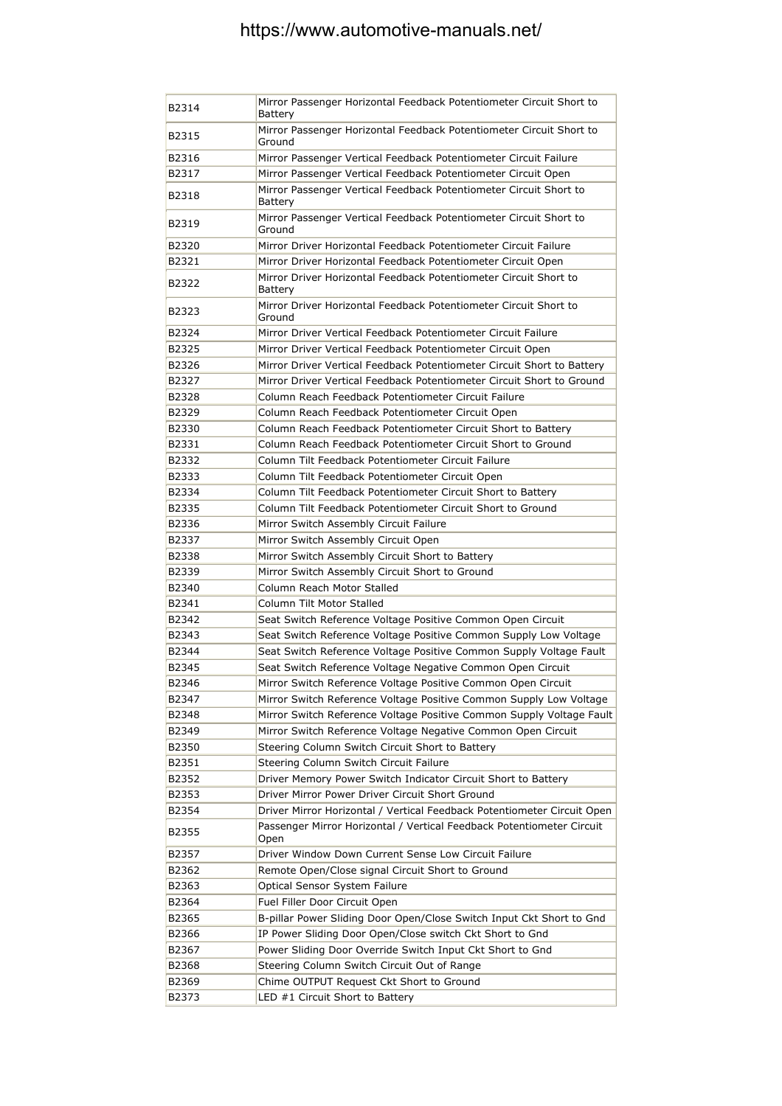| B2314 | Mirror Passenger Horizontal Feedback Potentiometer Circuit Short to<br>Battery |
|-------|--------------------------------------------------------------------------------|
| B2315 | Mirror Passenger Horizontal Feedback Potentiometer Circuit Short to<br>Ground  |
| B2316 | Mirror Passenger Vertical Feedback Potentiometer Circuit Failure               |
| B2317 | Mirror Passenger Vertical Feedback Potentiometer Circuit Open                  |
| B2318 | Mirror Passenger Vertical Feedback Potentiometer Circuit Short to<br>Battery   |
| B2319 | Mirror Passenger Vertical Feedback Potentiometer Circuit Short to<br>Ground    |
| B2320 | Mirror Driver Horizontal Feedback Potentiometer Circuit Failure                |
| B2321 | Mirror Driver Horizontal Feedback Potentiometer Circuit Open                   |
| B2322 | Mirror Driver Horizontal Feedback Potentiometer Circuit Short to<br>Battery    |
| B2323 | Mirror Driver Horizontal Feedback Potentiometer Circuit Short to<br>Ground     |
| B2324 | Mirror Driver Vertical Feedback Potentiometer Circuit Failure                  |
| B2325 | Mirror Driver Vertical Feedback Potentiometer Circuit Open                     |
| B2326 | Mirror Driver Vertical Feedback Potentiometer Circuit Short to Battery         |
| B2327 | Mirror Driver Vertical Feedback Potentiometer Circuit Short to Ground          |
| B2328 | Column Reach Feedback Potentiometer Circuit Failure                            |
| B2329 | Column Reach Feedback Potentiometer Circuit Open                               |
| B2330 | Column Reach Feedback Potentiometer Circuit Short to Battery                   |
| B2331 | Column Reach Feedback Potentiometer Circuit Short to Ground                    |
| B2332 | Column Tilt Feedback Potentiometer Circuit Failure                             |
| B2333 | Column Tilt Feedback Potentiometer Circuit Open                                |
| B2334 | Column Tilt Feedback Potentiometer Circuit Short to Battery                    |
| B2335 | Column Tilt Feedback Potentiometer Circuit Short to Ground                     |
| B2336 | Mirror Switch Assembly Circuit Failure                                         |
| B2337 | Mirror Switch Assembly Circuit Open                                            |
| B2338 | Mirror Switch Assembly Circuit Short to Battery                                |
| B2339 | Mirror Switch Assembly Circuit Short to Ground                                 |
| B2340 | Column Reach Motor Stalled                                                     |
|       | Column Tilt Motor Stalled                                                      |
| B2341 |                                                                                |
| B2342 | Seat Switch Reference Voltage Positive Common Open Circuit                     |
| B2343 | Seat Switch Reference Voltage Positive Common Supply Low Voltage               |
| B2344 | Seat Switch Reference Voltage Positive Common Supply Voltage Fault             |
| B2345 | Seat Switch Reference Voltage Negative Common Open Circuit                     |
| B2346 | Mirror Switch Reference Voltage Positive Common Open Circuit                   |
| B2347 | Mirror Switch Reference Voltage Positive Common Supply Low Voltage             |
| B2348 | Mirror Switch Reference Voltage Positive Common Supply Voltage Fault           |
| B2349 | Mirror Switch Reference Voltage Negative Common Open Circuit                   |
| B2350 | Steering Column Switch Circuit Short to Battery                                |
| B2351 | Steering Column Switch Circuit Failure                                         |
| B2352 | Driver Memory Power Switch Indicator Circuit Short to Battery                  |
| B2353 | Driver Mirror Power Driver Circuit Short Ground                                |
| B2354 | Driver Mirror Horizontal / Vertical Feedback Potentiometer Circuit Open        |
| B2355 | Passenger Mirror Horizontal / Vertical Feedback Potentiometer Circuit<br>Open  |
| B2357 | Driver Window Down Current Sense Low Circuit Failure                           |
| B2362 | Remote Open/Close signal Circuit Short to Ground                               |
| B2363 | Optical Sensor System Failure                                                  |
| B2364 | Fuel Filler Door Circuit Open                                                  |
| B2365 | B-pillar Power Sliding Door Open/Close Switch Input Ckt Short to Gnd           |
| B2366 | IP Power Sliding Door Open/Close switch Ckt Short to Gnd                       |
| B2367 | Power Sliding Door Override Switch Input Ckt Short to Gnd                      |
| B2368 | Steering Column Switch Circuit Out of Range                                    |
| B2369 | Chime OUTPUT Request Ckt Short to Ground                                       |
| B2373 | LED #1 Circuit Short to Battery                                                |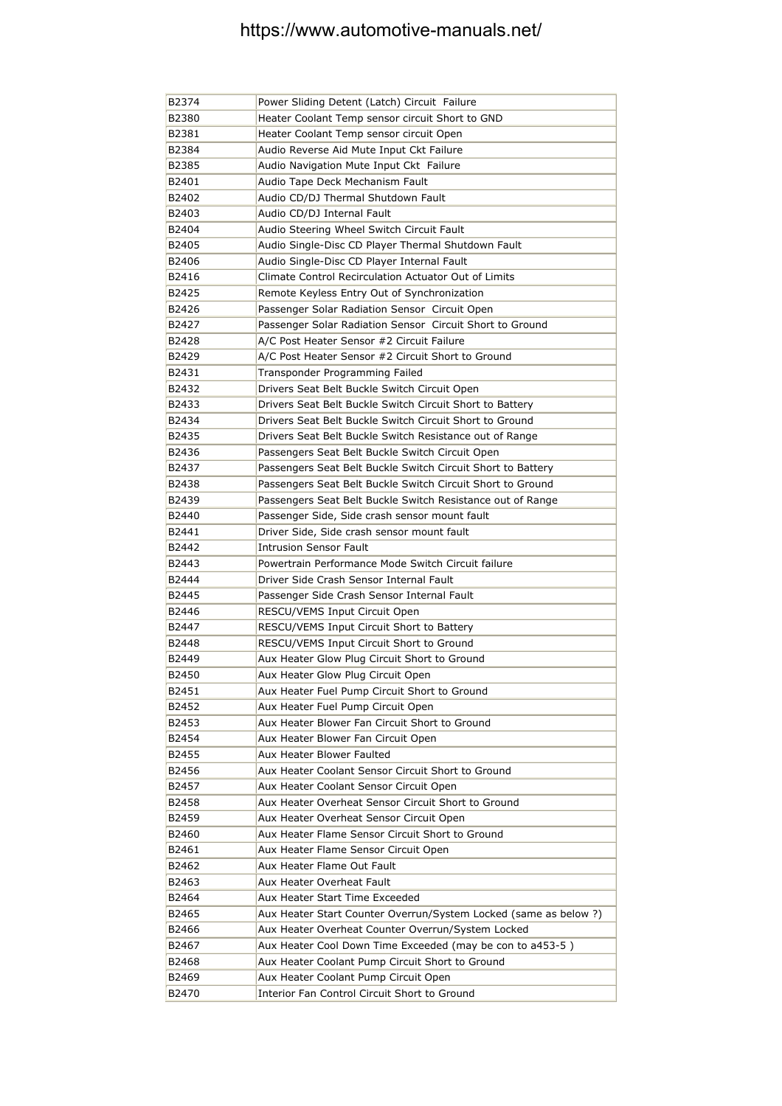| B2374 | Power Sliding Detent (Latch) Circuit Failure                     |
|-------|------------------------------------------------------------------|
| B2380 | Heater Coolant Temp sensor circuit Short to GND                  |
| B2381 | Heater Coolant Temp sensor circuit Open                          |
| B2384 | Audio Reverse Aid Mute Input Ckt Failure                         |
| B2385 | Audio Navigation Mute Input Ckt Failure                          |
| B2401 | Audio Tape Deck Mechanism Fault                                  |
| B2402 | Audio CD/DJ Thermal Shutdown Fault                               |
| B2403 | Audio CD/DJ Internal Fault                                       |
| B2404 | Audio Steering Wheel Switch Circuit Fault                        |
| B2405 | Audio Single-Disc CD Player Thermal Shutdown Fault               |
| B2406 | Audio Single-Disc CD Player Internal Fault                       |
| B2416 | Climate Control Recirculation Actuator Out of Limits             |
| B2425 | Remote Keyless Entry Out of Synchronization                      |
| B2426 | Passenger Solar Radiation Sensor Circuit Open                    |
| B2427 | Passenger Solar Radiation Sensor Circuit Short to Ground         |
| B2428 | A/C Post Heater Sensor #2 Circuit Failure                        |
| B2429 | A/C Post Heater Sensor #2 Circuit Short to Ground                |
| B2431 | Transponder Programming Failed                                   |
| B2432 | Drivers Seat Belt Buckle Switch Circuit Open                     |
| B2433 | Drivers Seat Belt Buckle Switch Circuit Short to Battery         |
| B2434 | Drivers Seat Belt Buckle Switch Circuit Short to Ground          |
| B2435 | Drivers Seat Belt Buckle Switch Resistance out of Range          |
| B2436 | Passengers Seat Belt Buckle Switch Circuit Open                  |
| B2437 | Passengers Seat Belt Buckle Switch Circuit Short to Battery      |
| B2438 | Passengers Seat Belt Buckle Switch Circuit Short to Ground       |
| B2439 | Passengers Seat Belt Buckle Switch Resistance out of Range       |
| B2440 | Passenger Side, Side crash sensor mount fault                    |
| B2441 | Driver Side, Side crash sensor mount fault                       |
| B2442 | <b>Intrusion Sensor Fault</b>                                    |
| B2443 | Powertrain Performance Mode Switch Circuit failure               |
| B2444 | Driver Side Crash Sensor Internal Fault                          |
| B2445 | Passenger Side Crash Sensor Internal Fault                       |
| B2446 | RESCU/VEMS Input Circuit Open                                    |
| B2447 | RESCU/VEMS Input Circuit Short to Battery                        |
| B2448 | RESCU/VEMS Input Circuit Short to Ground                         |
| B2449 | Aux Heater Glow Plug Circuit Short to Ground                     |
| B2450 | Aux Heater Glow Plug Circuit Open                                |
| B2451 | Aux Heater Fuel Pump Circuit Short to Ground                     |
| B2452 | Aux Heater Fuel Pump Circuit Open                                |
| B2453 | Aux Heater Blower Fan Circuit Short to Ground                    |
| B2454 | Aux Heater Blower Fan Circuit Open                               |
| B2455 | Aux Heater Blower Faulted                                        |
| B2456 | Aux Heater Coolant Sensor Circuit Short to Ground                |
| B2457 | Aux Heater Coolant Sensor Circuit Open                           |
| B2458 | Aux Heater Overheat Sensor Circuit Short to Ground               |
| B2459 | Aux Heater Overheat Sensor Circuit Open                          |
| B2460 | Aux Heater Flame Sensor Circuit Short to Ground                  |
| B2461 | Aux Heater Flame Sensor Circuit Open                             |
| B2462 | Aux Heater Flame Out Fault                                       |
| B2463 | Aux Heater Overheat Fault                                        |
| B2464 | Aux Heater Start Time Exceeded                                   |
| B2465 | Aux Heater Start Counter Overrun/System Locked (same as below ?) |
| B2466 | Aux Heater Overheat Counter Overrun/System Locked                |
| B2467 | Aux Heater Cool Down Time Exceeded (may be con to a453-5)        |
| B2468 | Aux Heater Coolant Pump Circuit Short to Ground                  |
| B2469 | Aux Heater Coolant Pump Circuit Open                             |
| B2470 | Interior Fan Control Circuit Short to Ground                     |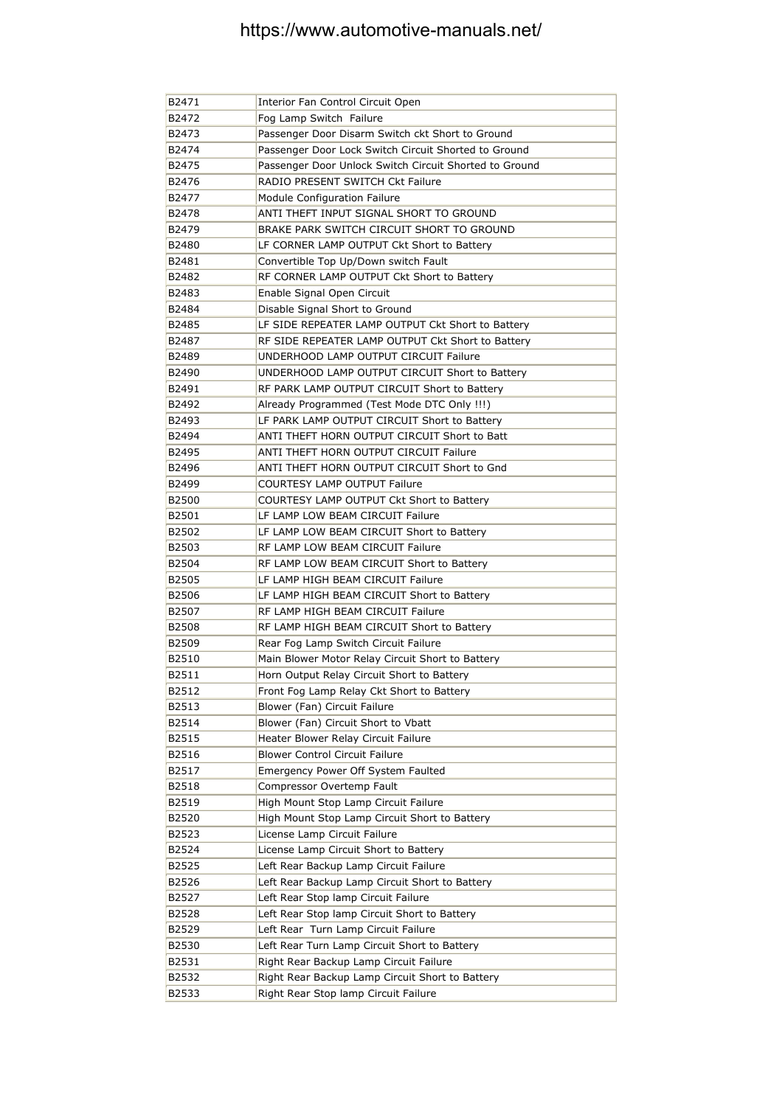| B2471 | Interior Fan Control Circuit Open                      |
|-------|--------------------------------------------------------|
| B2472 | Fog Lamp Switch Failure                                |
| B2473 | Passenger Door Disarm Switch ckt Short to Ground       |
| B2474 | Passenger Door Lock Switch Circuit Shorted to Ground   |
| B2475 | Passenger Door Unlock Switch Circuit Shorted to Ground |
| B2476 | RADIO PRESENT SWITCH Ckt Failure                       |
| B2477 | Module Configuration Failure                           |
| B2478 | ANTI THEFT INPUT SIGNAL SHORT TO GROUND                |
| B2479 | BRAKE PARK SWITCH CIRCUIT SHORT TO GROUND              |
| B2480 | LF CORNER LAMP OUTPUT Ckt Short to Battery             |
| B2481 | Convertible Top Up/Down switch Fault                   |
| B2482 | RF CORNER LAMP OUTPUT Ckt Short to Battery             |
| B2483 | Enable Signal Open Circuit                             |
| B2484 | Disable Signal Short to Ground                         |
| B2485 | LF SIDE REPEATER LAMP OUTPUT Ckt Short to Battery      |
| B2487 | RF SIDE REPEATER LAMP OUTPUT Ckt Short to Battery      |
| B2489 | UNDERHOOD LAMP OUTPUT CIRCUIT Failure                  |
| B2490 | UNDERHOOD LAMP OUTPUT CIRCUIT Short to Battery         |
| B2491 | RF PARK LAMP OUTPUT CIRCUIT Short to Battery           |
| B2492 | Already Programmed (Test Mode DTC Only !!!)            |
| B2493 | LF PARK LAMP OUTPUT CIRCUIT Short to Battery           |
| B2494 | ANTI THEFT HORN OUTPUT CIRCUIT Short to Batt           |
| B2495 | ANTI THEFT HORN OUTPUT CIRCUIT Failure                 |
| B2496 | ANTI THEFT HORN OUTPUT CIRCUIT Short to Gnd            |
| B2499 | <b>COURTESY LAMP OUTPUT Failure</b>                    |
| B2500 | COURTESY LAMP OUTPUT Ckt Short to Battery              |
| B2501 | LF LAMP LOW BEAM CIRCUIT Failure                       |
| B2502 | LF LAMP LOW BEAM CIRCUIT Short to Battery              |
| B2503 | RF LAMP LOW BEAM CIRCUIT Failure                       |
| B2504 | RF LAMP LOW BEAM CIRCUIT Short to Battery              |
| B2505 | LF LAMP HIGH BEAM CIRCUIT Failure                      |
| B2506 | LF LAMP HIGH BEAM CIRCUIT Short to Battery             |
| B2507 | RF LAMP HIGH BEAM CIRCUIT Failure                      |
| B2508 | RF LAMP HIGH BEAM CIRCUIT Short to Battery             |
| B2509 | Rear Fog Lamp Switch Circuit Failure                   |
| B2510 | Main Blower Motor Relay Circuit Short to Battery       |
| B2511 | Horn Output Relay Circuit Short to Battery             |
| B2512 | Front Fog Lamp Relay Ckt Short to Battery              |
| B2513 | Blower (Fan) Circuit Failure                           |
| B2514 | Blower (Fan) Circuit Short to Vbatt                    |
| B2515 | Heater Blower Relay Circuit Failure                    |
| B2516 | <b>Blower Control Circuit Failure</b>                  |
| B2517 | Emergency Power Off System Faulted                     |
| B2518 | Compressor Overtemp Fault                              |
| B2519 | High Mount Stop Lamp Circuit Failure                   |
| B2520 | High Mount Stop Lamp Circuit Short to Battery          |
| B2523 | License Lamp Circuit Failure                           |
| B2524 | License Lamp Circuit Short to Battery                  |
| B2525 | Left Rear Backup Lamp Circuit Failure                  |
| B2526 | Left Rear Backup Lamp Circuit Short to Battery         |
| B2527 | Left Rear Stop lamp Circuit Failure                    |
| B2528 | Left Rear Stop lamp Circuit Short to Battery           |
| B2529 | Left Rear Turn Lamp Circuit Failure                    |
| B2530 | Left Rear Turn Lamp Circuit Short to Battery           |
| B2531 | Right Rear Backup Lamp Circuit Failure                 |
| B2532 | Right Rear Backup Lamp Circuit Short to Battery        |
| B2533 | Right Rear Stop lamp Circuit Failure                   |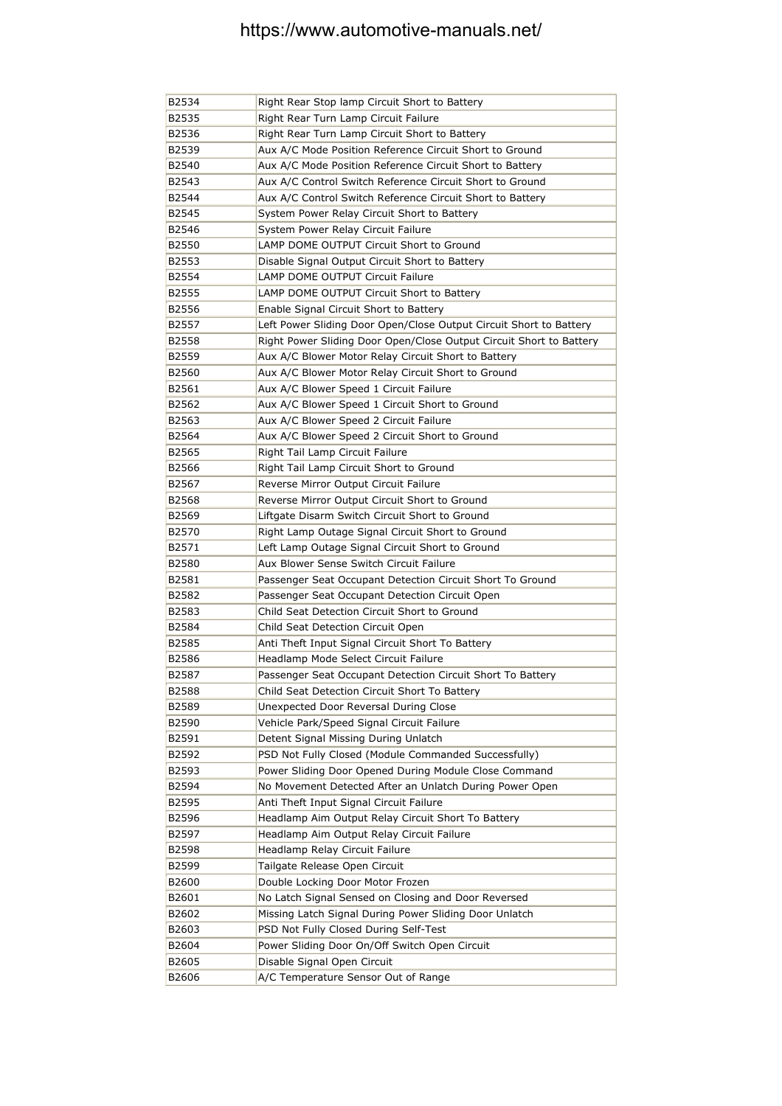| B2534 | Right Rear Stop lamp Circuit Short to Battery                       |
|-------|---------------------------------------------------------------------|
| B2535 | Right Rear Turn Lamp Circuit Failure                                |
| B2536 | Right Rear Turn Lamp Circuit Short to Battery                       |
| B2539 | Aux A/C Mode Position Reference Circuit Short to Ground             |
| B2540 | Aux A/C Mode Position Reference Circuit Short to Battery            |
| B2543 | Aux A/C Control Switch Reference Circuit Short to Ground            |
| B2544 | Aux A/C Control Switch Reference Circuit Short to Battery           |
| B2545 | System Power Relay Circuit Short to Battery                         |
| B2546 | System Power Relay Circuit Failure                                  |
| B2550 | LAMP DOME OUTPUT Circuit Short to Ground                            |
| B2553 | Disable Signal Output Circuit Short to Battery                      |
| B2554 | LAMP DOME OUTPUT Circuit Failure                                    |
| B2555 | LAMP DOME OUTPUT Circuit Short to Battery                           |
| B2556 | Enable Signal Circuit Short to Battery                              |
| B2557 | Left Power Sliding Door Open/Close Output Circuit Short to Battery  |
| B2558 | Right Power Sliding Door Open/Close Output Circuit Short to Battery |
| B2559 | Aux A/C Blower Motor Relay Circuit Short to Battery                 |
| B2560 | Aux A/C Blower Motor Relay Circuit Short to Ground                  |
| B2561 | Aux A/C Blower Speed 1 Circuit Failure                              |
| B2562 | Aux A/C Blower Speed 1 Circuit Short to Ground                      |
| B2563 | Aux A/C Blower Speed 2 Circuit Failure                              |
| B2564 | Aux A/C Blower Speed 2 Circuit Short to Ground                      |
| B2565 | Right Tail Lamp Circuit Failure                                     |
| B2566 | Right Tail Lamp Circuit Short to Ground                             |
| B2567 | Reverse Mirror Output Circuit Failure                               |
| B2568 | Reverse Mirror Output Circuit Short to Ground                       |
| B2569 | Liftgate Disarm Switch Circuit Short to Ground                      |
| B2570 | Right Lamp Outage Signal Circuit Short to Ground                    |
| B2571 | Left Lamp Outage Signal Circuit Short to Ground                     |
| B2580 | Aux Blower Sense Switch Circuit Failure                             |
| B2581 | Passenger Seat Occupant Detection Circuit Short To Ground           |
| B2582 | Passenger Seat Occupant Detection Circuit Open                      |
| B2583 | Child Seat Detection Circuit Short to Ground                        |
| B2584 | Child Seat Detection Circuit Open                                   |
| B2585 | Anti Theft Input Signal Circuit Short To Battery                    |
| B2586 | Headlamp Mode Select Circuit Failure                                |
| B2587 | Passenger Seat Occupant Detection Circuit Short To Battery          |
| B2588 | Child Seat Detection Circuit Short To Battery                       |
| B2589 | Unexpected Door Reversal During Close                               |
| B2590 | Vehicle Park/Speed Signal Circuit Failure                           |
| B2591 | Detent Signal Missing During Unlatch                                |
| B2592 | PSD Not Fully Closed (Module Commanded Successfully)                |
| B2593 | Power Sliding Door Opened During Module Close Command               |
| B2594 | No Movement Detected After an Unlatch During Power Open             |
| B2595 | Anti Theft Input Signal Circuit Failure                             |
| B2596 | Headlamp Aim Output Relay Circuit Short To Battery                  |
| B2597 | Headlamp Aim Output Relay Circuit Failure                           |
| B2598 | Headlamp Relay Circuit Failure                                      |
| B2599 | Tailgate Release Open Circuit                                       |
| B2600 | Double Locking Door Motor Frozen                                    |
| B2601 | No Latch Signal Sensed on Closing and Door Reversed                 |
| B2602 | Missing Latch Signal During Power Sliding Door Unlatch              |
| B2603 | PSD Not Fully Closed During Self-Test                               |
| B2604 | Power Sliding Door On/Off Switch Open Circuit                       |
| B2605 | Disable Signal Open Circuit                                         |
| B2606 | A/C Temperature Sensor Out of Range                                 |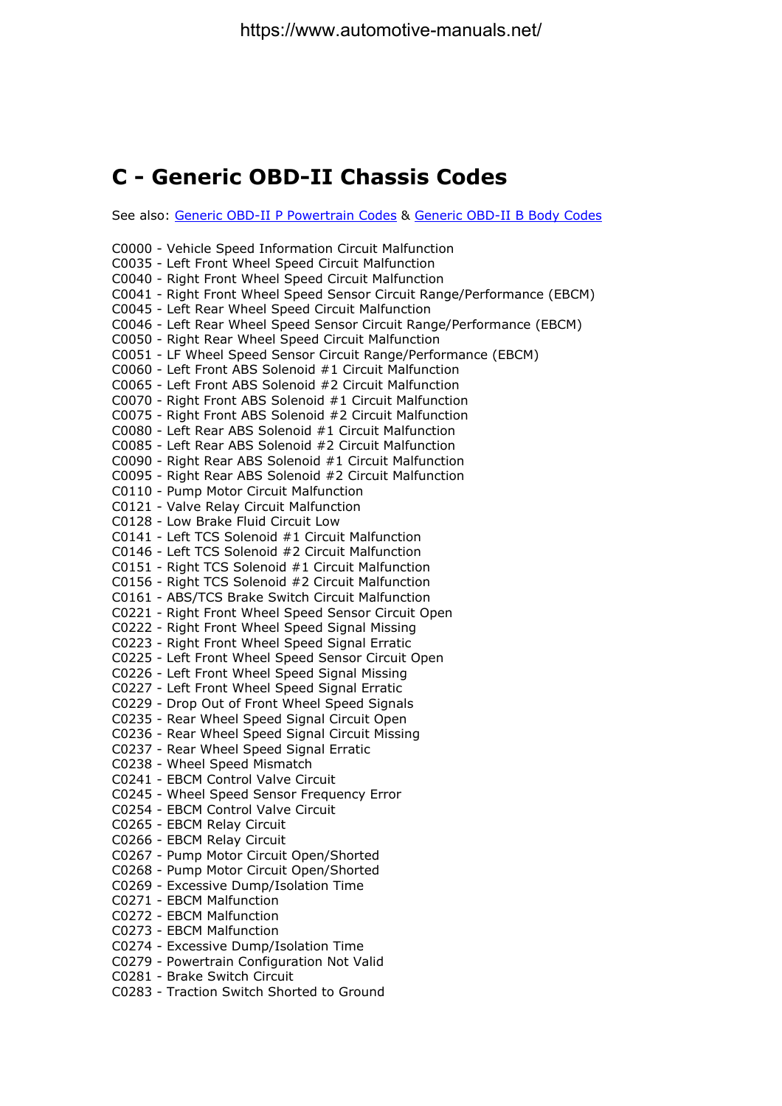#### **C - Generic OBD-II Chassis Codes**

See also: Generic OBD-II P Powertrain Codes & Generic OBD-II B Body Codes

C0000 - Vehicle Speed Information Circuit Malfunction C0035 - Left Front Wheel Speed Circuit Malfunction C0040 - Right Front Wheel Speed Circuit Malfunction C0041 - Right Front Wheel Speed Sensor Circuit Range/Performance (EBCM) C0045 - Left Rear Wheel Speed Circuit Malfunction C0046 - Left Rear Wheel Speed Sensor Circuit Range/Performance (EBCM) C0050 - Right Rear Wheel Speed Circuit Malfunction C0051 - LF Wheel Speed Sensor Circuit Range/Performance (EBCM) C0060 - Left Front ABS Solenoid #1 Circuit Malfunction C0065 - Left Front ABS Solenoid #2 Circuit Malfunction C0070 - Right Front ABS Solenoid #1 Circuit Malfunction C0075 - Right Front ABS Solenoid #2 Circuit Malfunction C0080 - Left Rear ABS Solenoid #1 Circuit Malfunction C0085 - Left Rear ABS Solenoid #2 Circuit Malfunction C0090 - Right Rear ABS Solenoid #1 Circuit Malfunction C0095 - Right Rear ABS Solenoid #2 Circuit Malfunction C0110 - Pump Motor Circuit Malfunction C0121 - Valve Relay Circuit Malfunction C0128 - Low Brake Fluid Circuit Low C0141 - Left TCS Solenoid #1 Circuit Malfunction C0146 - Left TCS Solenoid #2 Circuit Malfunction C0151 - Right TCS Solenoid #1 Circuit Malfunction C0156 - Right TCS Solenoid #2 Circuit Malfunction C0161 - ABS/TCS Brake Switch Circuit Malfunction C0221 - Right Front Wheel Speed Sensor Circuit Open C0222 - Right Front Wheel Speed Signal Missing C0223 - Right Front Wheel Speed Signal Erratic C0225 - Left Front Wheel Speed Sensor Circuit Open C0226 - Left Front Wheel Speed Signal Missing C0227 - Left Front Wheel Speed Signal Erratic C0229 - Drop Out of Front Wheel Speed Signals C0235 - Rear Wheel Speed Signal Circuit Open C0236 - Rear Wheel Speed Signal Circuit Missing C0237 - Rear Wheel Speed Signal Erratic C0238 - Wheel Speed Mismatch C0241 - EBCM Control Valve Circuit C0245 - Wheel Speed Sensor Frequency Error C0254 - EBCM Control Valve Circuit C0265 - EBCM Relay Circuit C0266 - EBCM Relay Circuit C0267 - Pump Motor Circuit Open/Shorted C0268 - Pump Motor Circuit Open/Shorted C0269 - Excessive Dump/Isolation Time C0271 - EBCM Malfunction C0272 - EBCM Malfunction C0273 - EBCM Malfunction C0274 - Excessive Dump/Isolation Time C0279 - Powertrain Configuration Not Valid C0281 - Brake Switch Circuit C0283 - Traction Switch Shorted to Ground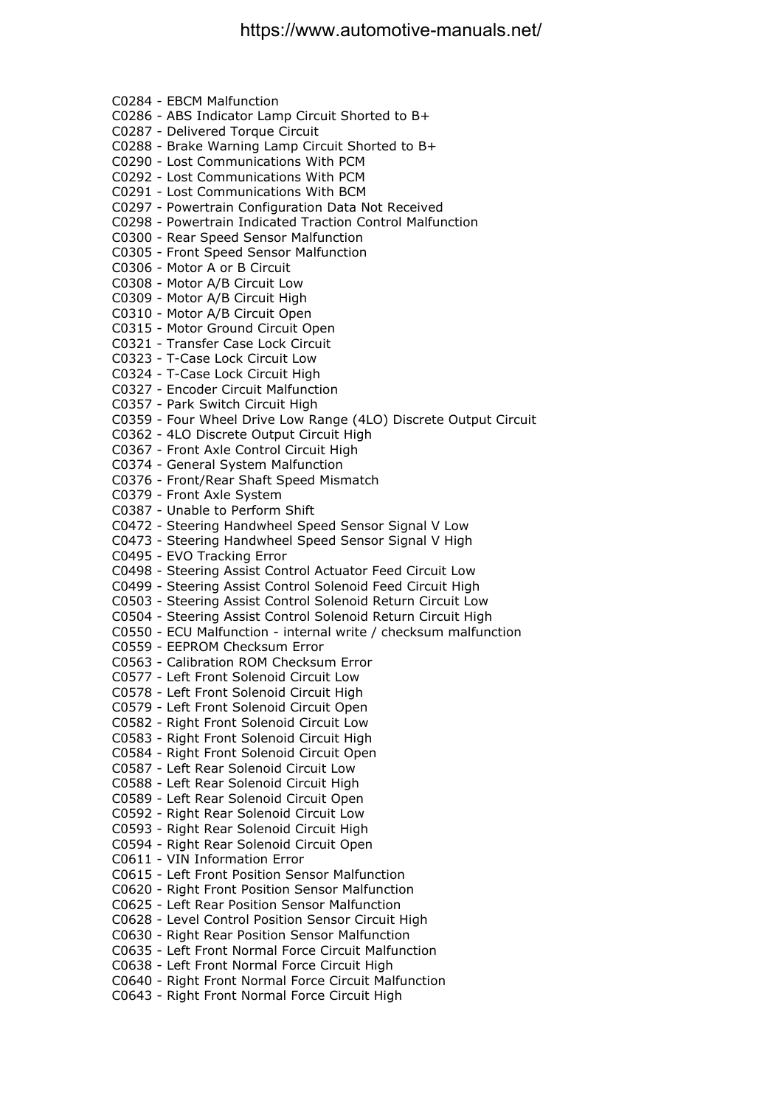C0284 - EBCM Malfunction C0286 - ABS Indicator Lamp Circuit Shorted to B+ C0287 - Delivered Torque Circuit C0288 - Brake Warning Lamp Circuit Shorted to B+ C0290 - Lost Communications With PCM C0292 - Lost Communications With PCM C0291 - Lost Communications With BCM C0297 - Powertrain Configuration Data Not Received C0298 - Powertrain Indicated Traction Control Malfunction C0300 - Rear Speed Sensor Malfunction C0305 - Front Speed Sensor Malfunction C0306 - Motor A or B Circuit C0308 - Motor A/B Circuit Low C0309 - Motor A/B Circuit High C0310 - Motor A/B Circuit Open C0315 - Motor Ground Circuit Open C0321 - Transfer Case Lock Circuit C0323 - T-Case Lock Circuit Low C0324 - T-Case Lock Circuit High C0327 - Encoder Circuit Malfunction C0357 - Park Switch Circuit High C0359 - Four Wheel Drive Low Range (4LO) Discrete Output Circuit C0362 - 4LO Discrete Output Circuit High C0367 - Front Axle Control Circuit High C0374 - General System Malfunction C0376 - Front/Rear Shaft Speed Mismatch C0379 - Front Axle System C0387 - Unable to Perform Shift C0472 - Steering Handwheel Speed Sensor Signal V Low C0473 - Steering Handwheel Speed Sensor Signal V High C0495 - EVO Tracking Error C0498 - Steering Assist Control Actuator Feed Circuit Low C0499 - Steering Assist Control Solenoid Feed Circuit High C0503 - Steering Assist Control Solenoid Return Circuit Low C0504 - Steering Assist Control Solenoid Return Circuit High C0550 - ECU Malfunction - internal write / checksum malfunction C0559 - EEPROM Checksum Error C0563 - Calibration ROM Checksum Error C0577 - Left Front Solenoid Circuit Low C0578 - Left Front Solenoid Circuit High C0579 - Left Front Solenoid Circuit Open C0582 - Right Front Solenoid Circuit Low C0583 - Right Front Solenoid Circuit High C0584 - Right Front Solenoid Circuit Open C0587 - Left Rear Solenoid Circuit Low C0588 - Left Rear Solenoid Circuit High C0589 - Left Rear Solenoid Circuit Open C0592 - Right Rear Solenoid Circuit Low C0593 - Right Rear Solenoid Circuit High C0594 - Right Rear Solenoid Circuit Open C0611 - VIN Information Error C0615 - Left Front Position Sensor Malfunction C0620 - Right Front Position Sensor Malfunction C0625 - Left Rear Position Sensor Malfunction C0628 - Level Control Position Sensor Circuit High C0630 - Right Rear Position Sensor Malfunction C0635 - Left Front Normal Force Circuit Malfunction C0638 - Left Front Normal Force Circuit High C0640 - Right Front Normal Force Circuit Malfunction C0643 - Right Front Normal Force Circuit High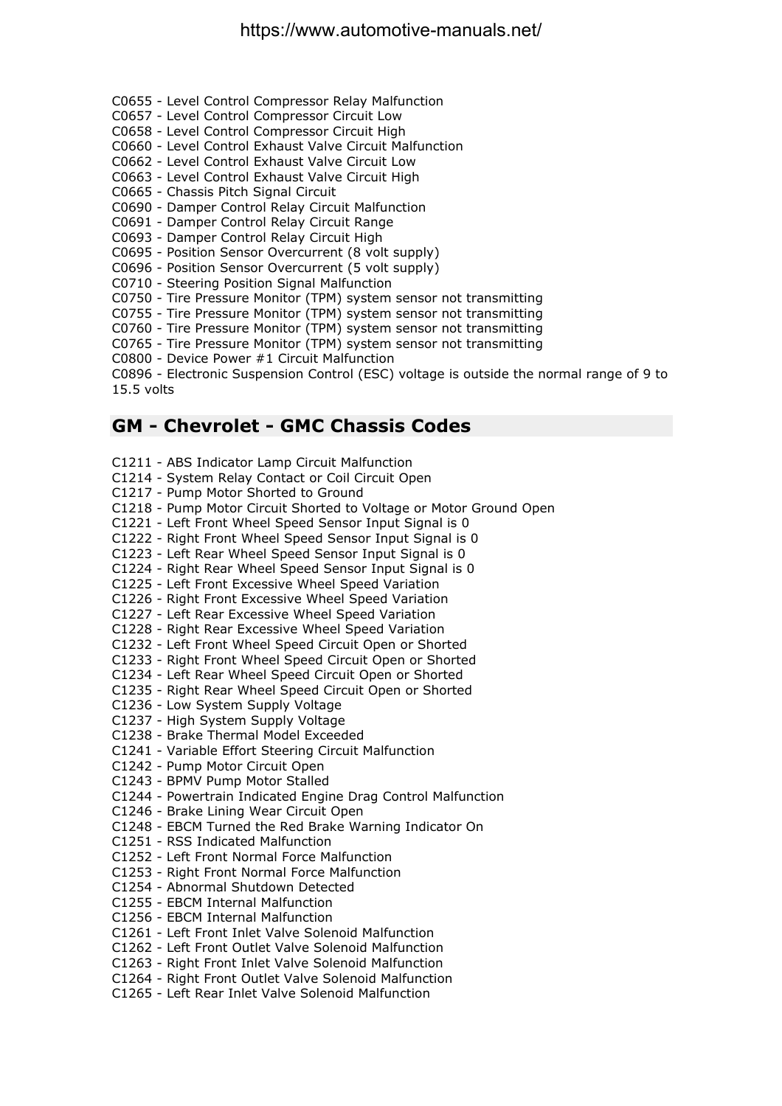- C0655 Level Control Compressor Relay Malfunction
- C0657 Level Control Compressor Circuit Low
- C0658 Level Control Compressor Circuit High
- C0660 Level Control Exhaust Valve Circuit Malfunction
- C0662 Level Control Exhaust Valve Circuit Low
- C0663 Level Control Exhaust Valve Circuit High
- C0665 Chassis Pitch Signal Circuit
- C0690 Damper Control Relay Circuit Malfunction
- C0691 Damper Control Relay Circuit Range
- C0693 Damper Control Relay Circuit High
- C0695 Position Sensor Overcurrent (8 volt supply)
- C0696 Position Sensor Overcurrent (5 volt supply)
- C0710 Steering Position Signal Malfunction
- C0750 Tire Pressure Monitor (TPM) system sensor not transmitting
- C0755 Tire Pressure Monitor (TPM) system sensor not transmitting
- C0760 Tire Pressure Monitor (TPM) system sensor not transmitting
- C0765 Tire Pressure Monitor (TPM) system sensor not transmitting
- C0800 Device Power #1 Circuit Malfunction

C0896 - Electronic Suspension Control (ESC) voltage is outside the normal range of 9 to 15.5 volts

#### **GM - Chevrolet - GMC Chassis Codes**

- C1211 ABS Indicator Lamp Circuit Malfunction
- C1214 System Relay Contact or Coil Circuit Open
- C1217 Pump Motor Shorted to Ground
- C1218 Pump Motor Circuit Shorted to Voltage or Motor Ground Open
- C1221 Left Front Wheel Speed Sensor Input Signal is 0
- C1222 Right Front Wheel Speed Sensor Input Signal is 0
- C1223 Left Rear Wheel Speed Sensor Input Signal is 0
- C1224 Right Rear Wheel Speed Sensor Input Signal is 0
- C1225 Left Front Excessive Wheel Speed Variation
- C1226 Right Front Excessive Wheel Speed Variation
- C1227 Left Rear Excessive Wheel Speed Variation
- C1228 Right Rear Excessive Wheel Speed Variation
- C1232 Left Front Wheel Speed Circuit Open or Shorted
- C1233 Right Front Wheel Speed Circuit Open or Shorted
- C1234 Left Rear Wheel Speed Circuit Open or Shorted
- C1235 Right Rear Wheel Speed Circuit Open or Shorted
- C1236 Low System Supply Voltage
- C1237 High System Supply Voltage
- C1238 Brake Thermal Model Exceeded
- C1241 Variable Effort Steering Circuit Malfunction
- C1242 Pump Motor Circuit Open
- C1243 BPMV Pump Motor Stalled
- C1244 Powertrain Indicated Engine Drag Control Malfunction
- C1246 Brake Lining Wear Circuit Open
- C1248 EBCM Turned the Red Brake Warning Indicator On
- C1251 RSS Indicated Malfunction
- C1252 Left Front Normal Force Malfunction
- C1253 Right Front Normal Force Malfunction
- C1254 Abnormal Shutdown Detected
- C1255 EBCM Internal Malfunction
- C1256 EBCM Internal Malfunction
- C1261 Left Front Inlet Valve Solenoid Malfunction
- C1262 Left Front Outlet Valve Solenoid Malfunction
- C1263 Right Front Inlet Valve Solenoid Malfunction
- C1264 Right Front Outlet Valve Solenoid Malfunction
- C1265 Left Rear Inlet Valve Solenoid Malfunction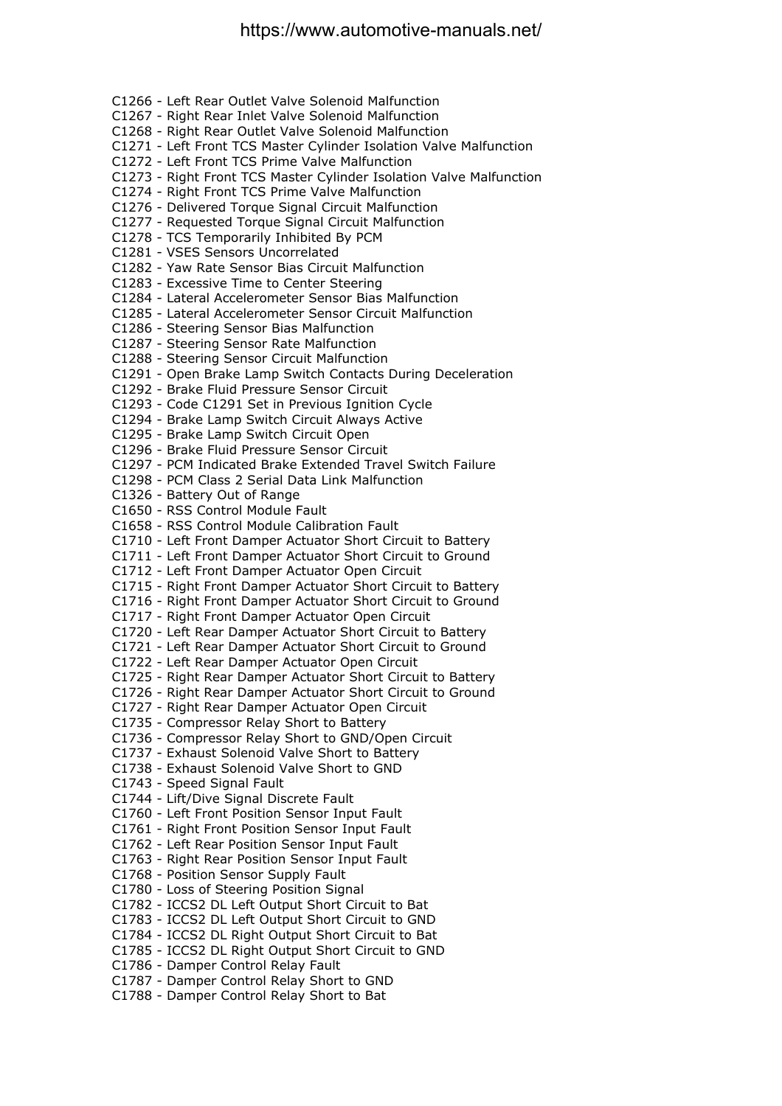C1266 - Left Rear Outlet Valve Solenoid Malfunction C1267 - Right Rear Inlet Valve Solenoid Malfunction C1268 - Right Rear Outlet Valve Solenoid Malfunction C1271 - Left Front TCS Master Cylinder Isolation Valve Malfunction C1272 - Left Front TCS Prime Valve Malfunction C1273 - Right Front TCS Master Cylinder Isolation Valve Malfunction C1274 - Right Front TCS Prime Valve Malfunction C1276 - Delivered Torque Signal Circuit Malfunction C1277 - Requested Torque Signal Circuit Malfunction C1278 - TCS Temporarily Inhibited By PCM C1281 - VSES Sensors Uncorrelated C1282 - Yaw Rate Sensor Bias Circuit Malfunction C1283 - Excessive Time to Center Steering C1284 - Lateral Accelerometer Sensor Bias Malfunction C1285 - Lateral Accelerometer Sensor Circuit Malfunction C1286 - Steering Sensor Bias Malfunction C1287 - Steering Sensor Rate Malfunction C1288 - Steering Sensor Circuit Malfunction C1291 - Open Brake Lamp Switch Contacts During Deceleration C1292 - Brake Fluid Pressure Sensor Circuit C1293 - Code C1291 Set in Previous Ignition Cycle C1294 - Brake Lamp Switch Circuit Always Active C1295 - Brake Lamp Switch Circuit Open C1296 - Brake Fluid Pressure Sensor Circuit C1297 - PCM Indicated Brake Extended Travel Switch Failure C1298 - PCM Class 2 Serial Data Link Malfunction C1326 - Battery Out of Range C1650 - RSS Control Module Fault C1658 - RSS Control Module Calibration Fault C1710 - Left Front Damper Actuator Short Circuit to Battery C1711 - Left Front Damper Actuator Short Circuit to Ground C1712 - Left Front Damper Actuator Open Circuit C1715 - Right Front Damper Actuator Short Circuit to Battery C1716 - Right Front Damper Actuator Short Circuit to Ground C1717 - Right Front Damper Actuator Open Circuit C1720 - Left Rear Damper Actuator Short Circuit to Battery C1721 - Left Rear Damper Actuator Short Circuit to Ground C1722 - Left Rear Damper Actuator Open Circuit C1725 - Right Rear Damper Actuator Short Circuit to Battery C1726 - Right Rear Damper Actuator Short Circuit to Ground C1727 - Right Rear Damper Actuator Open Circuit C1735 - Compressor Relay Short to Battery C1736 - Compressor Relay Short to GND/Open Circuit C1737 - Exhaust Solenoid Valve Short to Battery C1738 - Exhaust Solenoid Valve Short to GND C1743 - Speed Signal Fault C1744 - Lift/Dive Signal Discrete Fault C1760 - Left Front Position Sensor Input Fault C1761 - Right Front Position Sensor Input Fault C1762 - Left Rear Position Sensor Input Fault C1763 - Right Rear Position Sensor Input Fault C1768 - Position Sensor Supply Fault C1780 - Loss of Steering Position Signal C1782 - ICCS2 DL Left Output Short Circuit to Bat C1783 - ICCS2 DL Left Output Short Circuit to GND C1784 - ICCS2 DL Right Output Short Circuit to Bat C1785 - ICCS2 DL Right Output Short Circuit to GND C1786 - Damper Control Relay Fault C1787 - Damper Control Relay Short to GND C1788 - Damper Control Relay Short to Bat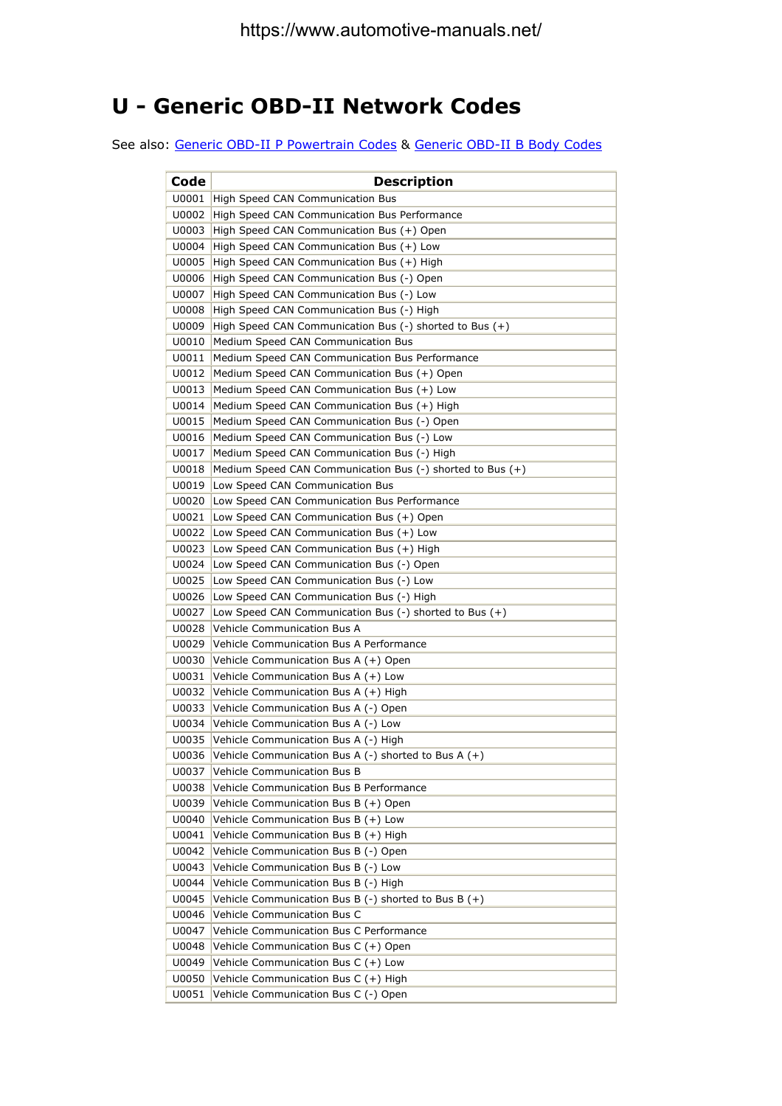#### **U - Generic OBD-II Network Codes**

See also: Generic OBD-II P Powertrain Codes & Generic OBD-II B Body Codes

| Code  | <b>Description</b>                                            |
|-------|---------------------------------------------------------------|
| U0001 | High Speed CAN Communication Bus                              |
| U0002 | High Speed CAN Communication Bus Performance                  |
| U0003 | High Speed CAN Communication Bus (+) Open                     |
| U0004 | High Speed CAN Communication Bus (+) Low                      |
| U0005 | High Speed CAN Communication Bus (+) High                     |
| U0006 | High Speed CAN Communication Bus (-) Open                     |
| U0007 | High Speed CAN Communication Bus (-) Low                      |
| U0008 | High Speed CAN Communication Bus (-) High                     |
| U0009 | High Speed CAN Communication Bus $(-)$ shorted to Bus $(+)$   |
| U0010 | Medium Speed CAN Communication Bus                            |
| U0011 | Medium Speed CAN Communication Bus Performance                |
| U0012 | Medium Speed CAN Communication Bus (+) Open                   |
| U0013 | Medium Speed CAN Communication Bus (+) Low                    |
| U0014 | Medium Speed CAN Communication Bus (+) High                   |
| U0015 | Medium Speed CAN Communication Bus (-) Open                   |
| U0016 | Medium Speed CAN Communication Bus (-) Low                    |
| U0017 | Medium Speed CAN Communication Bus (-) High                   |
| U0018 | Medium Speed CAN Communication Bus $(-)$ shorted to Bus $(+)$ |
| U0019 | Low Speed CAN Communication Bus                               |
| U0020 | Low Speed CAN Communication Bus Performance                   |
| U0021 | Low Speed CAN Communication Bus (+) Open                      |
| U0022 | Low Speed CAN Communication Bus (+) Low                       |
| U0023 | Low Speed CAN Communication Bus (+) High                      |
| U0024 | Low Speed CAN Communication Bus (-) Open                      |
| U0025 | Low Speed CAN Communication Bus (-) Low                       |
| U0026 | Low Speed CAN Communication Bus (-) High                      |
| U0027 | Low Speed CAN Communication Bus $(-)$ shorted to Bus $(+)$    |
| U0028 | Vehicle Communication Bus A                                   |
| U0029 | Vehicle Communication Bus A Performance                       |
| U0030 | Vehicle Communication Bus A (+) Open                          |
| U0031 | Vehicle Communication Bus A (+) Low                           |
| U0032 | Vehicle Communication Bus A (+) High                          |
| U0033 | Vehicle Communication Bus A (-) Open                          |
| U0034 | Vehicle Communication Bus A (-) Low                           |
| U0035 | Vehicle Communication Bus A (-) High                          |
| U0036 | Vehicle Communication Bus A $(-)$ shorted to Bus A $(+)$      |
| U0037 | Vehicle Communication Bus B                                   |
| U0038 | Vehicle Communication Bus B Performance                       |
| U0039 | Vehicle Communication Bus B (+) Open                          |
| U0040 | Vehicle Communication Bus $B (+)$ Low                         |
| U0041 | Vehicle Communication Bus B (+) High                          |
| U0042 | Vehicle Communication Bus B (-) Open                          |
| U0043 | Vehicle Communication Bus B (-) Low                           |
| U0044 | Vehicle Communication Bus B (-) High                          |
| U0045 | Vehicle Communication Bus B $(-)$ shorted to Bus B $(+)$      |
| U0046 | Vehicle Communication Bus C                                   |
| U0047 | Vehicle Communication Bus C Performance                       |
| U0048 | Vehicle Communication Bus C (+) Open                          |
| U0049 | Vehicle Communication Bus C (+) Low                           |
| U0050 | Vehicle Communication Bus C (+) High                          |
| U0051 | Vehicle Communication Bus C (-) Open                          |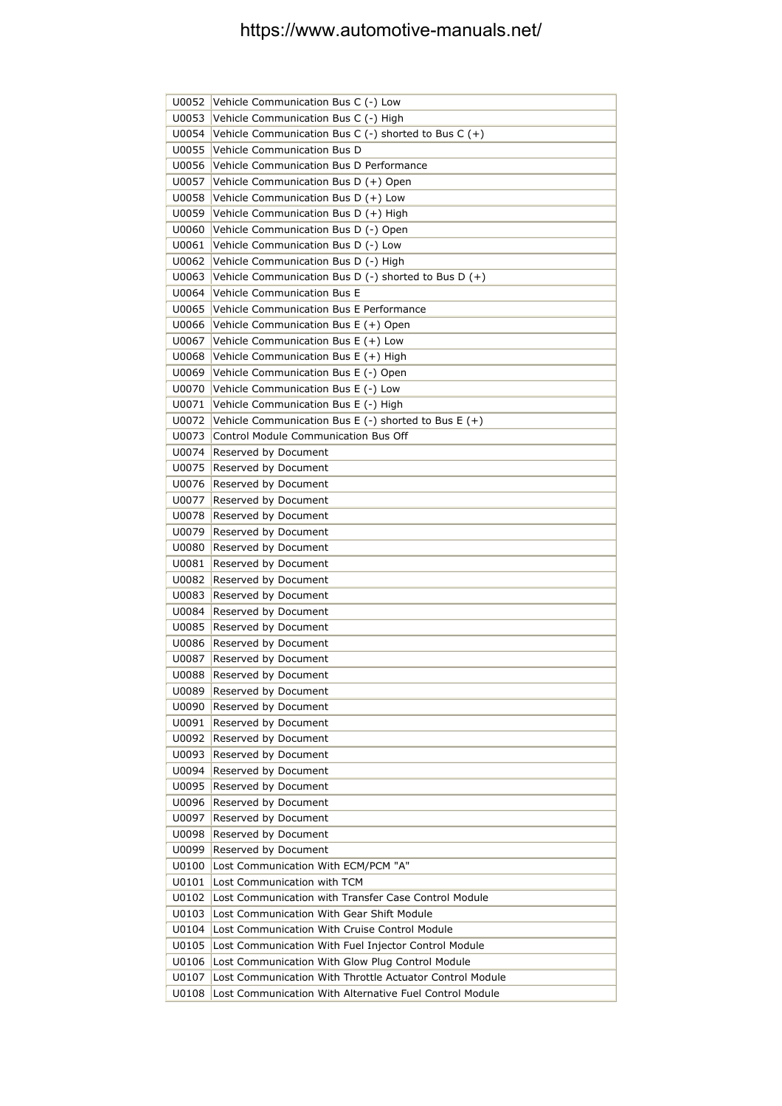|                | U0052 Vehicle Communication Bus C (-) Low                |
|----------------|----------------------------------------------------------|
| U0053          | Vehicle Communication Bus C (-) High                     |
| U0054          | Vehicle Communication Bus C $(-)$ shorted to Bus C $(+)$ |
| U0055          | Vehicle Communication Bus D                              |
| U0056          | Vehicle Communication Bus D Performance                  |
| U0057          | Vehicle Communication Bus D (+) Open                     |
| U0058          | Vehicle Communication Bus D (+) Low                      |
| U0059          | Vehicle Communication Bus D (+) High                     |
| U0060          | Vehicle Communication Bus D (-) Open                     |
| U0061          | Vehicle Communication Bus D (-) Low                      |
| U0062          | Vehicle Communication Bus D (-) High                     |
| U0063          | Vehicle Communication Bus D (-) shorted to Bus D (+)     |
| U0064          | <b>Vehicle Communication Bus E</b>                       |
| U0065          | Vehicle Communication Bus E Performance                  |
| U0066          | Vehicle Communication Bus E (+) Open                     |
| U0067          | Vehicle Communication Bus E (+) Low                      |
| U0068          | Vehicle Communication Bus E (+) High                     |
| U0069          | Vehicle Communication Bus E (-) Open                     |
| U0070          | Vehicle Communication Bus E (-) Low                      |
| U0071          | Vehicle Communication Bus E (-) High                     |
| U0072          | Vehicle Communication Bus E $(-)$ shorted to Bus E $(+)$ |
| U0073          | Control Module Communication Bus Off                     |
| U0074          | Reserved by Document                                     |
| U0075          | Reserved by Document                                     |
| U0076          | Reserved by Document                                     |
| U0077          | Reserved by Document                                     |
| U0078          | Reserved by Document                                     |
| U0079          | Reserved by Document                                     |
| U0080          | Reserved by Document                                     |
| U0081          | Reserved by Document                                     |
| U0082          | Reserved by Document                                     |
| U0083          | Reserved by Document                                     |
| U0084          | Reserved by Document                                     |
| U0085          | Reserved by Document                                     |
| U0086<br>U0087 | Reserved by Document<br>Reserved by Document             |
| U0088          | Reserved by Document                                     |
| U0089          | Reserved by Document                                     |
| U0090          | Reserved by Document                                     |
| U0091          | Reserved by Document                                     |
| U0092          | Reserved by Document                                     |
| U0093          | Reserved by Document                                     |
| U0094          | Reserved by Document                                     |
| U0095          | Reserved by Document                                     |
| U0096          | Reserved by Document                                     |
| U0097          | Reserved by Document                                     |
| U0098          | Reserved by Document                                     |
| U0099          | Reserved by Document                                     |
| U0100          | Lost Communication With ECM/PCM "A"                      |
| U0101          | Lost Communication with TCM                              |
| U0102          | Lost Communication with Transfer Case Control Module     |
| U0103          | Lost Communication With Gear Shift Module                |
| U0104          | Lost Communication With Cruise Control Module            |
| U0105          | Lost Communication With Fuel Injector Control Module     |
| U0106          | Lost Communication With Glow Plug Control Module         |
| U0107          | Lost Communication With Throttle Actuator Control Module |
| U0108          | Lost Communication With Alternative Fuel Control Module  |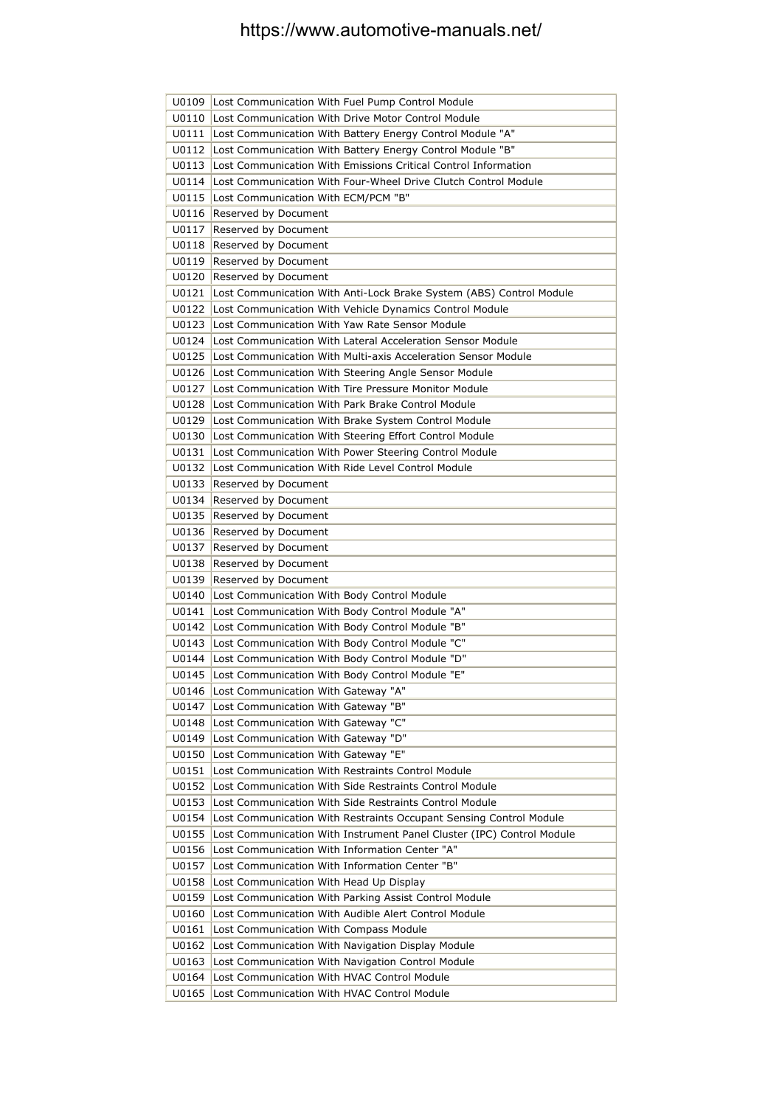| U0109          | Lost Communication With Fuel Pump Control Module                                                                   |
|----------------|--------------------------------------------------------------------------------------------------------------------|
| U0110          | Lost Communication With Drive Motor Control Module                                                                 |
| U0111          | Lost Communication With Battery Energy Control Module "A"                                                          |
| U0112          | Lost Communication With Battery Energy Control Module "B"                                                          |
| U0113          | Lost Communication With Emissions Critical Control Information                                                     |
| $U$ 0114       | Lost Communication With Four-Wheel Drive Clutch Control Module                                                     |
| U0115          | Lost Communication With ECM/PCM "B"                                                                                |
| U0116          | Reserved by Document                                                                                               |
| U0117          | Reserved by Document                                                                                               |
| U0118          | Reserved by Document                                                                                               |
| U0119          | Reserved by Document                                                                                               |
| U0120          | Reserved by Document                                                                                               |
|                | U0121   Lost Communication With Anti-Lock Brake System (ABS) Control Module                                        |
|                | U0122 Lost Communication With Vehicle Dynamics Control Module                                                      |
|                | U0123 Lost Communication With Yaw Rate Sensor Module                                                               |
|                | U0124 Lost Communication With Lateral Acceleration Sensor Module                                                   |
| U0125          | Lost Communication With Multi-axis Acceleration Sensor Module                                                      |
|                | U0126 Lost Communication With Steering Angle Sensor Module                                                         |
| U0127          | Lost Communication With Tire Pressure Monitor Module                                                               |
| U0128          | Lost Communication With Park Brake Control Module                                                                  |
| U0129          | Lost Communication With Brake System Control Module                                                                |
| U0130          | Lost Communication With Steering Effort Control Module                                                             |
| U0131          | Lost Communication With Power Steering Control Module                                                              |
| U0132          | Lost Communication With Ride Level Control Module                                                                  |
| U0133          | Reserved by Document                                                                                               |
| U0134          | Reserved by Document                                                                                               |
| U0135          | Reserved by Document                                                                                               |
| U0136          | Reserved by Document                                                                                               |
| U0137          | Reserved by Document                                                                                               |
| U0138          | Reserved by Document                                                                                               |
| U0139          | Reserved by Document                                                                                               |
| U0140          | Lost Communication With Body Control Module                                                                        |
| U0141          | Lost Communication With Body Control Module "A"                                                                    |
|                | U0142 Lost Communication With Body Control Module "B"                                                              |
|                | U0143   Lost Communication With Body Control Module "C"                                                            |
|                | U0144   Lost Communication With Body Control Module "D"<br>U0145   Lost Communication With Body Control Module "E" |
|                |                                                                                                                    |
|                | U0146   Lost Communication With Gateway "A"<br>Lost Communication With Gateway "B"                                 |
| U0147          | Lost Communication With Gateway "C"                                                                                |
| U0148<br>U0149 | Lost Communication With Gateway "D"                                                                                |
| U0150          | Lost Communication With Gateway "E"                                                                                |
| U0151          | Lost Communication With Restraints Control Module                                                                  |
| U0152          | Lost Communication With Side Restraints Control Module                                                             |
| U0153          | Lost Communication With Side Restraints Control Module                                                             |
| U0154          | Lost Communication With Restraints Occupant Sensing Control Module                                                 |
| U0155          | Lost Communication With Instrument Panel Cluster (IPC) Control Module                                              |
| U0156          | Lost Communication With Information Center "A"                                                                     |
| U0157          | Lost Communication With Information Center "B"                                                                     |
| U0158          | Lost Communication With Head Up Display                                                                            |
| U0159          | Lost Communication With Parking Assist Control Module                                                              |
| U0160          | Lost Communication With Audible Alert Control Module                                                               |
| U0161          | Lost Communication With Compass Module                                                                             |
| U0162          | Lost Communication With Navigation Display Module                                                                  |
| U0163          | Lost Communication With Navigation Control Module                                                                  |
| U0164          | Lost Communication With HVAC Control Module                                                                        |
| U0165          | Lost Communication With HVAC Control Module                                                                        |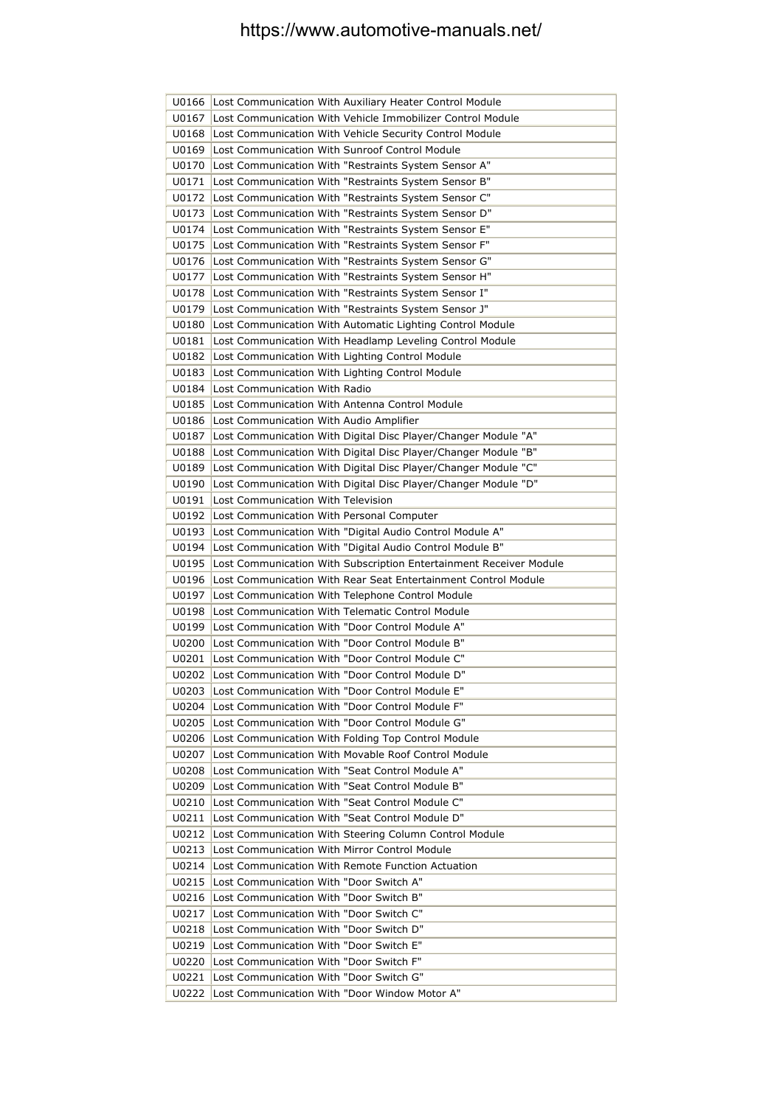|       | U0166 Lost Communication With Auxiliary Heater Control Module                                                  |
|-------|----------------------------------------------------------------------------------------------------------------|
| U0167 | Lost Communication With Vehicle Immobilizer Control Module                                                     |
| U0168 | Lost Communication With Vehicle Security Control Module                                                        |
| U0169 | Lost Communication With Sunroof Control Module                                                                 |
| U0170 | Lost Communication With "Restraints System Sensor A"                                                           |
| U0171 | Lost Communication With "Restraints System Sensor B"                                                           |
| U0172 | Lost Communication With "Restraints System Sensor C"                                                           |
| U0173 | Lost Communication With "Restraints System Sensor D"                                                           |
| U0174 | Lost Communication With "Restraints System Sensor E"                                                           |
| U0175 | Lost Communication With "Restraints System Sensor F"                                                           |
| U0176 | Lost Communication With "Restraints System Sensor G"                                                           |
| U0177 | Lost Communication With "Restraints System Sensor H"                                                           |
| U0178 | Lost Communication With "Restraints System Sensor I"                                                           |
| U0179 | Lost Communication With "Restraints System Sensor J"                                                           |
| U0180 | Lost Communication With Automatic Lighting Control Module                                                      |
| U0181 | Lost Communication With Headlamp Leveling Control Module                                                       |
| U0182 | Lost Communication With Lighting Control Module                                                                |
| U0183 | Lost Communication With Lighting Control Module                                                                |
| U0184 | Lost Communication With Radio                                                                                  |
| U0185 | Lost Communication With Antenna Control Module                                                                 |
| U0186 | Lost Communication With Audio Amplifier                                                                        |
| U0187 | Lost Communication With Digital Disc Player/Changer Module "A"                                                 |
| U0188 | Lost Communication With Digital Disc Player/Changer Module "B"                                                 |
| U0189 | Lost Communication With Digital Disc Player/Changer Module "C"                                                 |
| U0190 | Lost Communication With Digital Disc Player/Changer Module "D"                                                 |
| U0191 | Lost Communication With Television                                                                             |
| U0192 | Lost Communication With Personal Computer                                                                      |
| U0193 | Lost Communication With "Digital Audio Control Module A"                                                       |
| U0194 | Lost Communication With "Digital Audio Control Module B"                                                       |
| U0195 | Lost Communication With Subscription Entertainment Receiver Module                                             |
| U0196 |                                                                                                                |
|       | Lost Communication With Rear Seat Entertainment Control Module                                                 |
| U0197 | Lost Communication With Telephone Control Module                                                               |
| U0198 | Lost Communication With Telematic Control Module                                                               |
| U0199 | Lost Communication With "Door Control Module A"                                                                |
|       | U0200 Lost Communication With "Door Control Module B"                                                          |
|       | U0201 Lost Communication With "Door Control Module C"                                                          |
|       | U0202 Lost Communication With "Door Control Module D"                                                          |
| U0203 | Lost Communication With "Door Control Module E"                                                                |
| U0204 | Lost Communication With "Door Control Module F"                                                                |
| U0205 | Lost Communication With "Door Control Module G"                                                                |
|       | U0206 Lost Communication With Folding Top Control Module                                                       |
| U0207 | Lost Communication With Movable Roof Control Module                                                            |
| U0208 | Lost Communication With "Seat Control Module A"                                                                |
| U0209 | Lost Communication With "Seat Control Module B"                                                                |
| U0210 | Lost Communication With "Seat Control Module C"                                                                |
|       | U0211 Lost Communication With "Seat Control Module D"                                                          |
|       | U0212 Lost Communication With Steering Column Control Module                                                   |
|       | U0213 Lost Communication With Mirror Control Module<br>U0214 Lost Communication With Remote Function Actuation |
| U0215 | Lost Communication With "Door Switch A"                                                                        |
| U0216 | Lost Communication With "Door Switch B"                                                                        |
| U0217 | Lost Communication With "Door Switch C"                                                                        |
| U0218 | Lost Communication With "Door Switch D"                                                                        |
| U0219 | Lost Communication With "Door Switch E"                                                                        |
| U0220 | Lost Communication With "Door Switch F"                                                                        |
| U0221 | Lost Communication With "Door Switch G"                                                                        |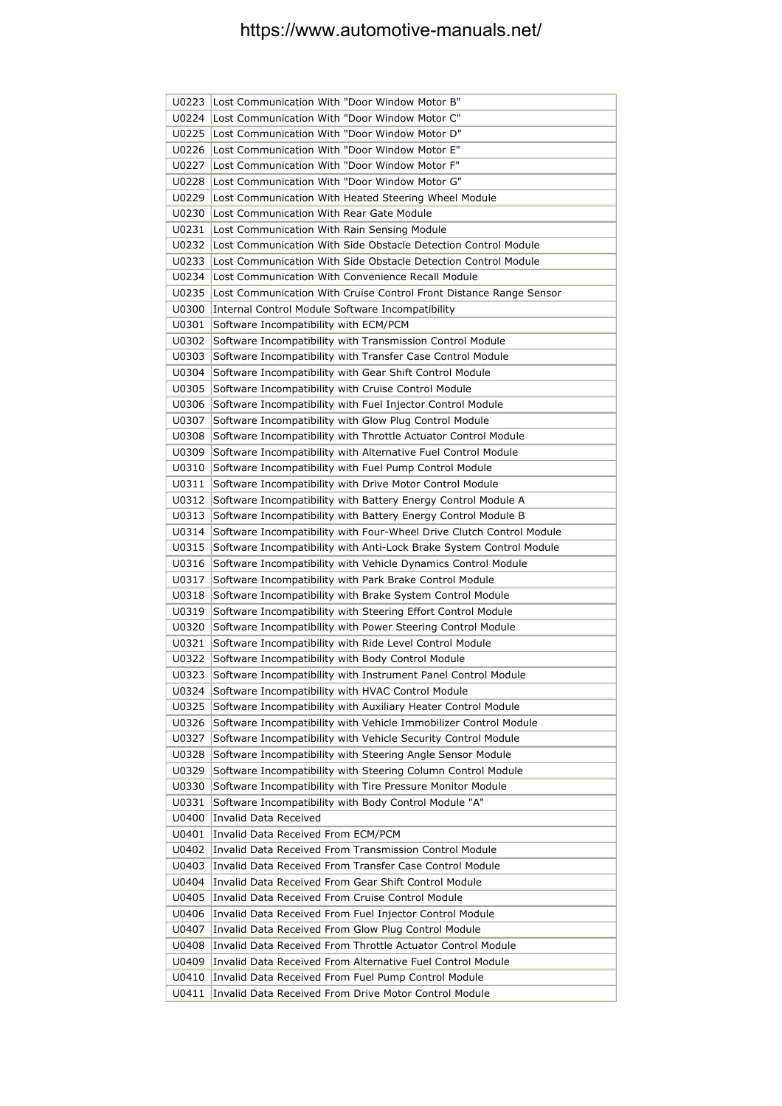| U0223          | Lost Communication With "Door Window Motor B"                                                                                        |
|----------------|--------------------------------------------------------------------------------------------------------------------------------------|
| U0224          | Lost Communication With "Door Window Motor C"                                                                                        |
| U0225          | Lost Communication With "Door Window Motor D"                                                                                        |
| U0226          | Lost Communication With "Door Window Motor E"                                                                                        |
| U0227          | Lost Communication With "Door Window Motor F"                                                                                        |
| U0228          | Lost Communication With "Door Window Motor G"                                                                                        |
| U0229          | Lost Communication With Heated Steering Wheel Module                                                                                 |
| U0230          | Lost Communication With Rear Gate Module                                                                                             |
| U0231          | Lost Communication With Rain Sensing Module                                                                                          |
| U0232          | Lost Communication With Side Obstacle Detection Control Module                                                                       |
| U0233          | Lost Communication With Side Obstacle Detection Control Module                                                                       |
| U0234          | Lost Communication With Convenience Recall Module                                                                                    |
| U0235          | Lost Communication With Cruise Control Front Distance Range Sensor                                                                   |
| U0300          | Internal Control Module Software Incompatibility                                                                                     |
| U0301          | Software Incompatibility with ECM/PCM                                                                                                |
| U0302          | Software Incompatibility with Transmission Control Module                                                                            |
| U0303          | Software Incompatibility with Transfer Case Control Module                                                                           |
| U0304          | Software Incompatibility with Gear Shift Control Module                                                                              |
| U0305          | Software Incompatibility with Cruise Control Module                                                                                  |
| U0306          | Software Incompatibility with Fuel Injector Control Module                                                                           |
| U0307          | Software Incompatibility with Glow Plug Control Module                                                                               |
| U0308          | Software Incompatibility with Throttle Actuator Control Module                                                                       |
| U0309          | Software Incompatibility with Alternative Fuel Control Module                                                                        |
| U0310          | Software Incompatibility with Fuel Pump Control Module                                                                               |
| U0311          | Software Incompatibility with Drive Motor Control Module                                                                             |
| U0312          | Software Incompatibility with Battery Energy Control Module A                                                                        |
| U0313          | Software Incompatibility with Battery Energy Control Module B                                                                        |
| U0314          | Software Incompatibility with Four-Wheel Drive Clutch Control Module                                                                 |
| U0315<br>U0316 | Software Incompatibility with Anti-Lock Brake System Control Module<br>Software Incompatibility with Vehicle Dynamics Control Module |
| U0317          | Software Incompatibility with Park Brake Control Module                                                                              |
| U0318          | Software Incompatibility with Brake System Control Module                                                                            |
| U0319          | Software Incompatibility with Steering Effort Control Module                                                                         |
| U0320          | Software Incompatibility with Power Steering Control Module                                                                          |
| U0321          | Software Incompatibility with Ride Level Control Module                                                                              |
| U0322          | Software Incompatibility with Body Control Module                                                                                    |
| U0323          | Software Incompatibility with Instrument Panel Control Module                                                                        |
| U0324          | Software Incompatibility with HVAC Control Module                                                                                    |
| U0325          | Software Incompatibility with Auxiliary Heater Control Module                                                                        |
| U0326          | Software Incompatibility with Vehicle Immobilizer Control Module                                                                     |
| U0327          | Software Incompatibility with Vehicle Security Control Module                                                                        |
| U0328          | Software Incompatibility with Steering Angle Sensor Module                                                                           |
| U0329          | Software Incompatibility with Steering Column Control Module                                                                         |
| U0330          | Software Incompatibility with Tire Pressure Monitor Module                                                                           |
| U0331          | Software Incompatibility with Body Control Module "A"                                                                                |
| U0400          | <b>Invalid Data Received</b>                                                                                                         |
| U0401          | Invalid Data Received From ECM/PCM                                                                                                   |
| U0402          | Invalid Data Received From Transmission Control Module                                                                               |
| U0403          | Invalid Data Received From Transfer Case Control Module                                                                              |
| U0404          | Invalid Data Received From Gear Shift Control Module                                                                                 |
| U0405          | Invalid Data Received From Cruise Control Module                                                                                     |
| U0406          | Invalid Data Received From Fuel Injector Control Module                                                                              |
| U0407          | Invalid Data Received From Glow Plug Control Module                                                                                  |
| U0408          | Invalid Data Received From Throttle Actuator Control Module                                                                          |
| U0409          | Invalid Data Received From Alternative Fuel Control Module                                                                           |
| U0410          | Invalid Data Received From Fuel Pump Control Module                                                                                  |
| U0411          | Invalid Data Received From Drive Motor Control Module                                                                                |